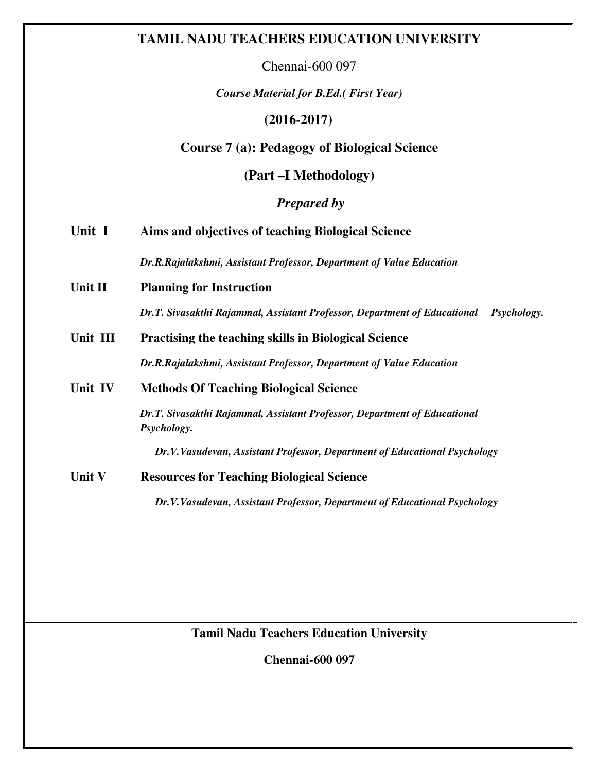# **TAMIL NADU TEACHERS EDUCATION UNIVERSITY**

Chennai-600 097

*Course Material for B.Ed.( First Year)* 

# **(2016-2017)**

# **Course 7 (a): Pedagogy of Biological Science**

**(Part –I Methodology)** 

 *Prepared by* 

| Unit I        | Aims and objectives of teaching Biological Science                                              |  |  |  |  |
|---------------|-------------------------------------------------------------------------------------------------|--|--|--|--|
|               | Dr.R.Rajalakshmi, Assistant Professor, Department of Value Education                            |  |  |  |  |
| Unit II       | <b>Planning for Instruction</b>                                                                 |  |  |  |  |
|               | Dr.T. Sivasakthi Rajammal, Assistant Professor, Department of Educational<br><i>Psychology.</i> |  |  |  |  |
| Unit III      | <b>Practising the teaching skills in Biological Science</b>                                     |  |  |  |  |
|               | Dr.R.Rajalakshmi, Assistant Professor, Department of Value Education                            |  |  |  |  |
| Unit IV       | <b>Methods Of Teaching Biological Science</b>                                                   |  |  |  |  |
|               | Dr.T. Sivasakthi Rajammal, Assistant Professor, Department of Educational<br>Psychology.        |  |  |  |  |
|               | Dr.V.Vasudevan, Assistant Professor, Department of Educational Psychology                       |  |  |  |  |
| <b>Unit V</b> | <b>Resources for Teaching Biological Science</b>                                                |  |  |  |  |
|               | Dr.V.Vasudevan, Assistant Professor, Department of Educational Psychology                       |  |  |  |  |

**Tamil Nadu Teachers Education University** 

**Chennai-600 097**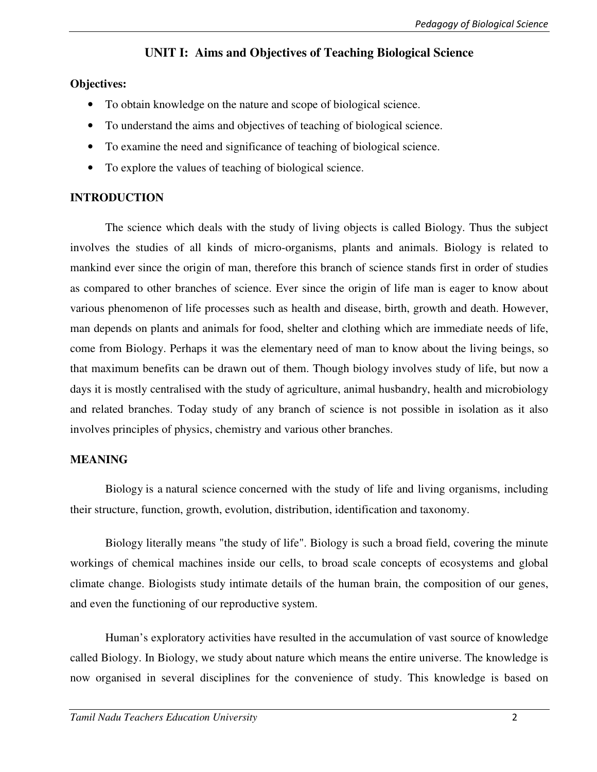# **UNIT I: Aims and Objectives of Teaching Biological Science**

### **Objectives:**

- To obtain knowledge on the nature and scope of biological science.
- To understand the aims and objectives of teaching of biological science.
- To examine the need and significance of teaching of biological science.
- To explore the values of teaching of biological science.

### **INTRODUCTION**

The science which deals with the study of living objects is called Biology. Thus the subject involves the studies of all kinds of micro-organisms, plants and animals. Biology is related to mankind ever since the origin of man, therefore this branch of science stands first in order of studies as compared to other branches of science. Ever since the origin of life man is eager to know about various phenomenon of life processes such as health and disease, birth, growth and death. However, man depends on plants and animals for food, shelter and clothing which are immediate needs of life, come from Biology. Perhaps it was the elementary need of man to know about the living beings, so that maximum benefits can be drawn out of them. Though biology involves study of life, but now a days it is mostly centralised with the study of agriculture, animal husbandry, health and microbiology and related branches. Today study of any branch of science is not possible in isolation as it also involves principles of physics, chemistry and various other branches.

### **MEANING**

Biology is a natural science concerned with the study of life and living organisms, including their structure, function, growth, evolution, distribution, identification and taxonomy.

Biology literally means "the study of life". Biology is such a broad field, covering the minute workings of chemical machines inside our cells, to broad scale concepts of ecosystems and global climate change. Biologists study intimate details of the human brain, the composition of our genes, and even the functioning of our reproductive system.

Human's exploratory activities have resulted in the accumulation of vast source of knowledge called Biology. In Biology, we study about nature which means the entire universe. The knowledge is now organised in several disciplines for the convenience of study. This knowledge is based on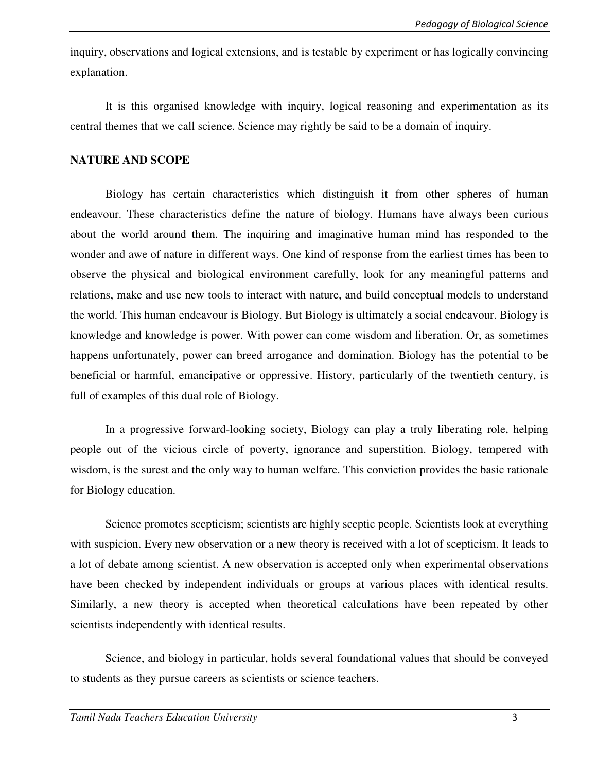inquiry, observations and logical extensions, and is testable by experiment or has logically convincing explanation.

It is this organised knowledge with inquiry, logical reasoning and experimentation as its central themes that we call science. Science may rightly be said to be a domain of inquiry.

### **NATURE AND SCOPE**

Biology has certain characteristics which distinguish it from other spheres of human endeavour. These characteristics define the nature of biology. Humans have always been curious about the world around them. The inquiring and imaginative human mind has responded to the wonder and awe of nature in different ways. One kind of response from the earliest times has been to observe the physical and biological environment carefully, look for any meaningful patterns and relations, make and use new tools to interact with nature, and build conceptual models to understand the world. This human endeavour is Biology. But Biology is ultimately a social endeavour. Biology is knowledge and knowledge is power. With power can come wisdom and liberation. Or, as sometimes happens unfortunately, power can breed arrogance and domination. Biology has the potential to be beneficial or harmful, emancipative or oppressive. History, particularly of the twentieth century, is full of examples of this dual role of Biology.

In a progressive forward-looking society, Biology can play a truly liberating role, helping people out of the vicious circle of poverty, ignorance and superstition. Biology, tempered with wisdom, is the surest and the only way to human welfare. This conviction provides the basic rationale for Biology education.

Science promotes scepticism; scientists are highly sceptic people. Scientists look at everything with suspicion. Every new observation or a new theory is received with a lot of scepticism. It leads to a lot of debate among scientist. A new observation is accepted only when experimental observations have been checked by independent individuals or groups at various places with identical results. Similarly, a new theory is accepted when theoretical calculations have been repeated by other scientists independently with identical results.

Science, and biology in particular, holds several foundational values that should be conveyed to students as they pursue careers as scientists or science teachers.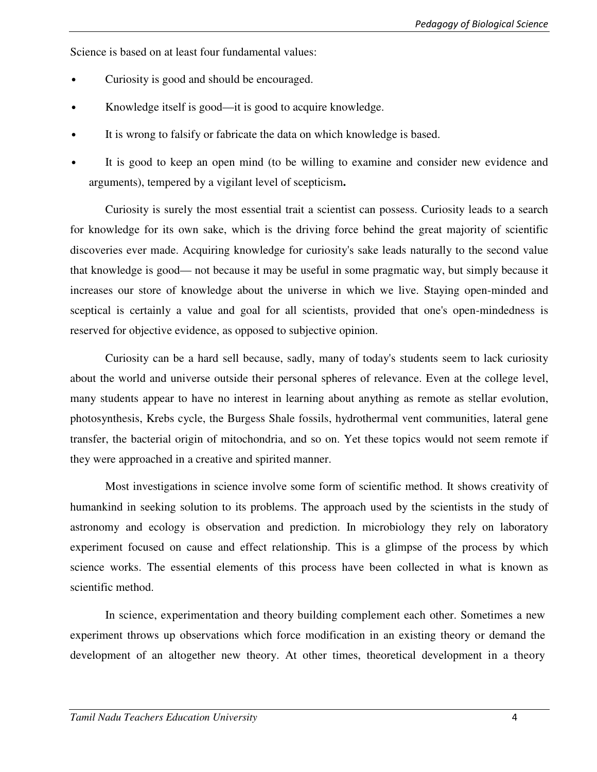Science is based on at least four fundamental values:

- Curiosity is good and should be encouraged.
- Knowledge itself is good—it is good to acquire knowledge.
- It is wrong to falsify or fabricate the data on which knowledge is based.
- It is good to keep an open mind (to be willing to examine and consider new evidence and arguments), tempered by a vigilant level of scepticism**.**

Curiosity is surely the most essential trait a scientist can possess. Curiosity leads to a search for knowledge for its own sake, which is the driving force behind the great majority of scientific discoveries ever made. Acquiring knowledge for curiosity's sake leads naturally to the second value that knowledge is good— not because it may be useful in some pragmatic way, but simply because it increases our store of knowledge about the universe in which we live. Staying open-minded and sceptical is certainly a value and goal for all scientists, provided that one's open-mindedness is reserved for objective evidence, as opposed to subjective opinion.

Curiosity can be a hard sell because, sadly, many of today's students seem to lack curiosity about the world and universe outside their personal spheres of relevance. Even at the college level, many students appear to have no interest in learning about anything as remote as stellar evolution, photosynthesis, Krebs cycle, the Burgess Shale fossils, hydrothermal vent communities, lateral gene transfer, the bacterial origin of mitochondria, and so on. Yet these topics would not seem remote if they were approached in a creative and spirited manner.

Most investigations in science involve some form of scientific method. It shows creativity of humankind in seeking solution to its problems. The approach used by the scientists in the study of astronomy and ecology is observation and prediction. In microbiology they rely on laboratory experiment focused on cause and effect relationship. This is a glimpse of the process by which science works. The essential elements of this process have been collected in what is known as scientific method.

In science, experimentation and theory building complement each other. Sometimes a new experiment throws up observations which force modification in an existing theory or demand the development of an altogether new theory. At other times, theoretical development in a theory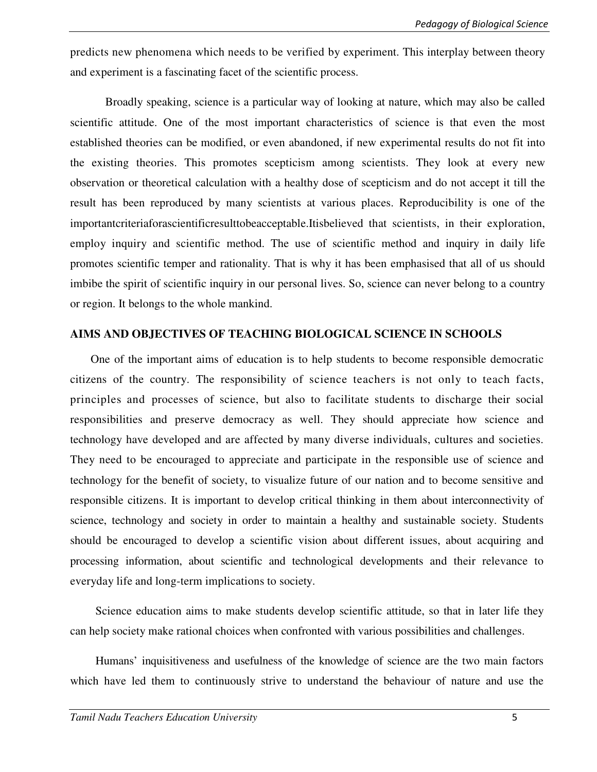predicts new phenomena which needs to be verified by experiment. This interplay between theory and experiment is a fascinating facet of the scientific process.

Broadly speaking, science is a particular way of looking at nature, which may also be called scientific attitude. One of the most important characteristics of science is that even the most established theories can be modified, or even abandoned, if new experimental results do not fit into the existing theories. This promotes scepticism among scientists. They look at every new observation or theoretical calculation with a healthy dose of scepticism and do not accept it till the result has been reproduced by many scientists at various places. Reproducibility is one of the importantcriteriaforascientificresulttobeacceptable.Itisbelieved that scientists, in their exploration, employ inquiry and scientific method. The use of scientific method and inquiry in daily life promotes scientific temper and rationality. That is why it has been emphasised that all of us should imbibe the spirit of scientific inquiry in our personal lives. So, science can never belong to a country or region. It belongs to the whole mankind.

#### **AIMS AND OBJECTIVES OF TEACHING BIOLOGICAL SCIENCE IN SCHOOLS**

One of the important aims of education is to help students to become responsible democratic citizens of the country. The responsibility of science teachers is not only to teach facts, principles and processes of science, but also to facilitate students to discharge their social responsibilities and preserve democracy as well. They should appreciate how science and technology have developed and are affected by many diverse individuals, cultures and societies. They need to be encouraged to appreciate and participate in the responsible use of science and technology for the benefit of society, to visualize future of our nation and to become sensitive and responsible citizens. It is important to develop critical thinking in them about interconnectivity of science, technology and society in order to maintain a healthy and sustainable society. Students should be encouraged to develop a scientific vision about different issues, about acquiring and processing information, about scientific and technological developments and their relevance to everyday life and long-term implications to society.

Science education aims to make students develop scientific attitude, so that in later life they can help society make rational choices when confronted with various possibilities and challenges.

Humans' inquisitiveness and usefulness of the knowledge of science are the two main factors which have led them to continuously strive to understand the behaviour of nature and use the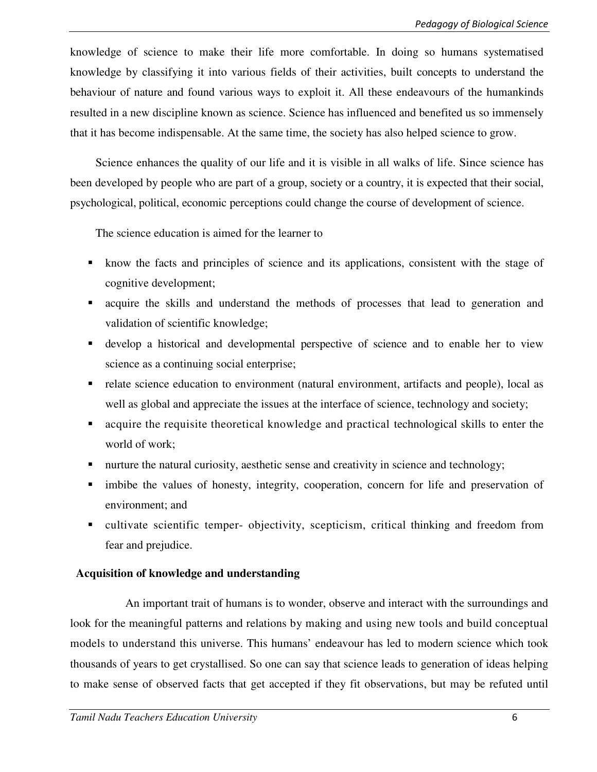knowledge of science to make their life more comfortable. In doing so humans systematised knowledge by classifying it into various fields of their activities, built concepts to understand the behaviour of nature and found various ways to exploit it. All these endeavours of the humankinds resulted in a new discipline known as science. Science has influenced and benefited us so immensely that it has become indispensable. At the same time, the society has also helped science to grow.

Science enhances the quality of our life and it is visible in all walks of life. Since science has been developed by people who are part of a group, society or a country, it is expected that their social, psychological, political, economic perceptions could change the course of development of science.

The science education is aimed for the learner to

- know the facts and principles of science and its applications, consistent with the stage of cognitive development;
- acquire the skills and understand the methods of processes that lead to generation and validation of scientific knowledge;
- develop a historical and developmental perspective of science and to enable her to view science as a continuing social enterprise;
- relate science education to environment (natural environment, artifacts and people), local as well as global and appreciate the issues at the interface of science, technology and society;
- acquire the requisite theoretical knowledge and practical technological skills to enter the world of work;
- nurture the natural curiosity, aesthetic sense and creativity in science and technology;
- imbibe the values of honesty, integrity, cooperation, concern for life and preservation of environment; and
- cultivate scientific temper- objectivity, scepticism, critical thinking and freedom from fear and prejudice.

# **Acquisition of knowledge and understanding**

An important trait of humans is to wonder, observe and interact with the surroundings and look for the meaningful patterns and relations by making and using new tools and build conceptual models to understand this universe. This humans' endeavour has led to modern science which took thousands of years to get crystallised. So one can say that science leads to generation of ideas helping to make sense of observed facts that get accepted if they fit observations, but may be refuted until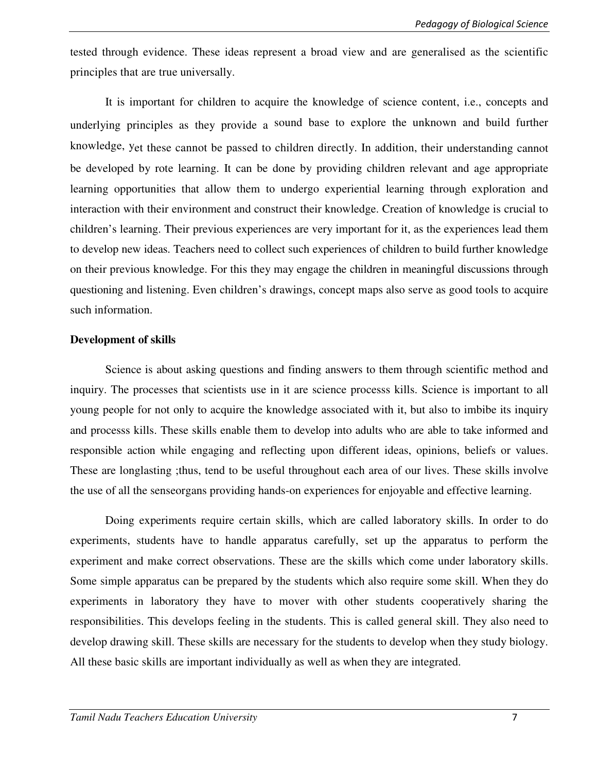tested through evidence. These ideas represent a broad view and are generalised as the scientific principles that are true universally.

It is important for children to acquire the knowledge of science content, i.e., concepts and underlying principles as they provide a sound base to explore the unknown and build further knowledge, yet these cannot be passed to children directly. In addition, their understanding cannot be developed by rote learning. It can be done by providing children relevant and age appropriate learning opportunities that allow them to undergo experiential learning through exploration and interaction with their environment and construct their knowledge. Creation of knowledge is crucial to children's learning. Their previous experiences are very important for it, as the experiences lead them to develop new ideas. Teachers need to collect such experiences of children to build further knowledge on their previous knowledge. For this they may engage the children in meaningful discussions through questioning and listening. Even children's drawings, concept maps also serve as good tools to acquire such information.

#### **Development of skills**

Science is about asking questions and finding answers to them through scientific method and inquiry. The processes that scientists use in it are science processs kills. Science is important to all young people for not only to acquire the knowledge associated with it, but also to imbibe its inquiry and processs kills. These skills enable them to develop into adults who are able to take informed and responsible action while engaging and reflecting upon different ideas, opinions, beliefs or values. These are longlasting ;thus, tend to be useful throughout each area of our lives. These skills involve the use of all the senseorgans providing hands-on experiences for enjoyable and effective learning.

Doing experiments require certain skills, which are called laboratory skills. In order to do experiments, students have to handle apparatus carefully, set up the apparatus to perform the experiment and make correct observations. These are the skills which come under laboratory skills. Some simple apparatus can be prepared by the students which also require some skill. When they do experiments in laboratory they have to mover with other students cooperatively sharing the responsibilities. This develops feeling in the students. This is called general skill. They also need to develop drawing skill. These skills are necessary for the students to develop when they study biology. All these basic skills are important individually as well as when they are integrated.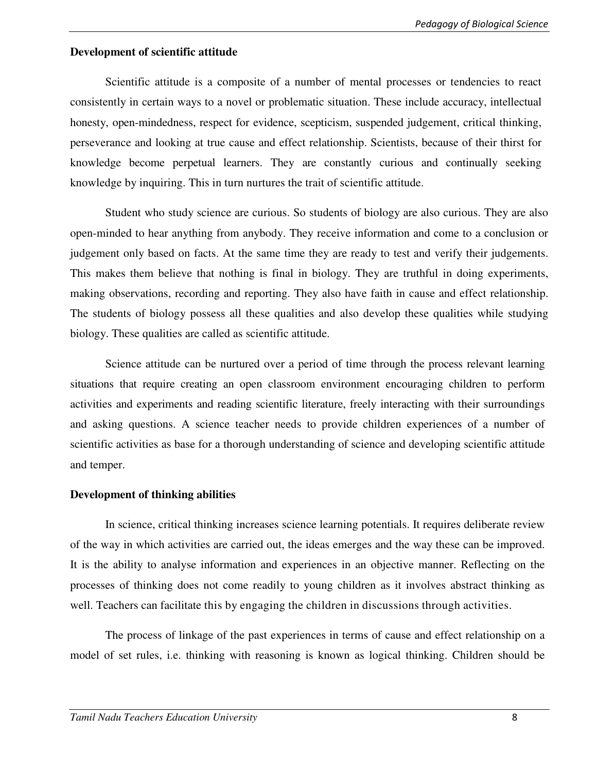### **Development of scientific attitude**

Scientific attitude is a composite of a number of mental processes or tendencies to react consistently in certain ways to a novel or problematic situation. These include accuracy, intellectual honesty, open-mindedness, respect for evidence, scepticism, suspended judgement, critical thinking, perseverance and looking at true cause and effect relationship. Scientists, because of their thirst for knowledge become perpetual learners. They are constantly curious and continually seeking knowledge by inquiring. This in turn nurtures the trait of scientific attitude.

Student who study science are curious. So students of biology are also curious. They are also open-minded to hear anything from anybody. They receive information and come to a conclusion or judgement only based on facts. At the same time they are ready to test and verify their judgements. This makes them believe that nothing is final in biology. They are truthful in doing experiments, making observations, recording and reporting. They also have faith in cause and effect relationship. The students of biology possess all these qualities and also develop these qualities while studying biology. These qualities are called as scientific attitude.

Science attitude can be nurtured over a period of time through the process relevant learning situations that require creating an open classroom environment encouraging children to perform activities and experiments and reading scientific literature, freely interacting with their surroundings and asking questions. A science teacher needs to provide children experiences of a number of scientific activities as base for a thorough understanding of science and developing scientific attitude and temper.

### **Development of thinking abilities**

In science, critical thinking increases science learning potentials. It requires deliberate review of the way in which activities are carried out, the ideas emerges and the way these can be improved. It is the ability to analyse information and experiences in an objective manner. Reflecting on the processes of thinking does not come readily to young children as it involves abstract thinking as well. Teachers can facilitate this by engaging the children in discussions through activities.

The process of linkage of the past experiences in terms of cause and effect relationship on a model of set rules, i.e. thinking with reasoning is known as logical thinking. Children should be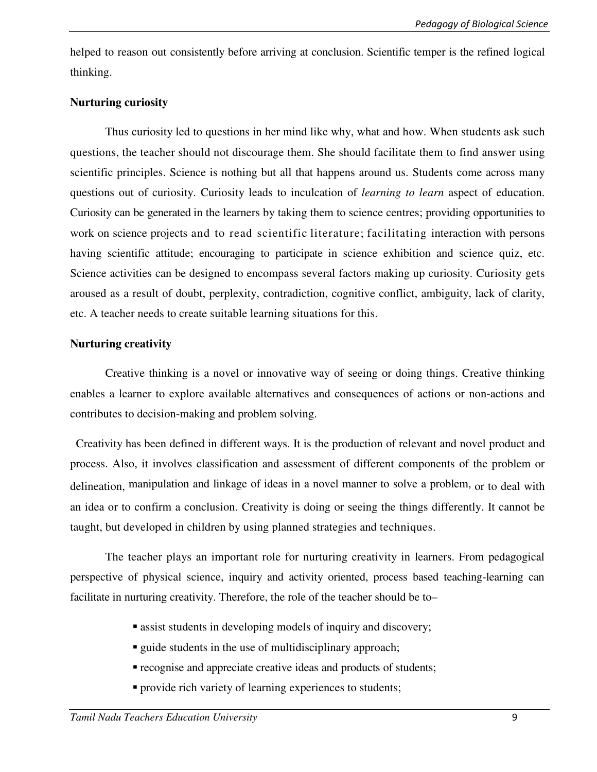helped to reason out consistently before arriving at conclusion. Scientific temper is the refined logical thinking.

### **Nurturing curiosity**

Thus curiosity led to questions in her mind like why, what and how. When students ask such questions, the teacher should not discourage them. She should facilitate them to find answer using scientific principles. Science is nothing but all that happens around us. Students come across many questions out of curiosity. Curiosity leads to inculcation of *learning to learn* aspect of education. Curiosity can be generated in the learners by taking them to science centres; providing opportunities to work on science projects and to read scientific literature; facilitating interaction with persons having scientific attitude; encouraging to participate in science exhibition and science quiz, etc. Science activities can be designed to encompass several factors making up curiosity. Curiosity gets aroused as a result of doubt, perplexity, contradiction, cognitive conflict, ambiguity, lack of clarity, etc. A teacher needs to create suitable learning situations for this.

### **Nurturing creativity**

Creative thinking is a novel or innovative way of seeing or doing things. Creative thinking enables a learner to explore available alternatives and consequences of actions or non-actions and contributes to decision-making and problem solving.

Creativity has been defined in different ways. It is the production of relevant and novel product and process. Also, it involves classification and assessment of different components of the problem or delineation, manipulation and linkage of ideas in a novel manner to solve a problem, or to deal with an idea or to confirm a conclusion. Creativity is doing or seeing the things differently. It cannot be taught, but developed in children by using planned strategies and techniques.

The teacher plays an important role for nurturing creativity in learners. From pedagogical perspective of physical science, inquiry and activity oriented, process based teaching-learning can facilitate in nurturing creativity. Therefore, the role of the teacher should be to–

- assist students in developing models of inquiry and discovery;
- quide students in the use of multidisciplinary approach;
- recognise and appreciate creative ideas and products of students;
- **provide rich variety of learning experiences to students;**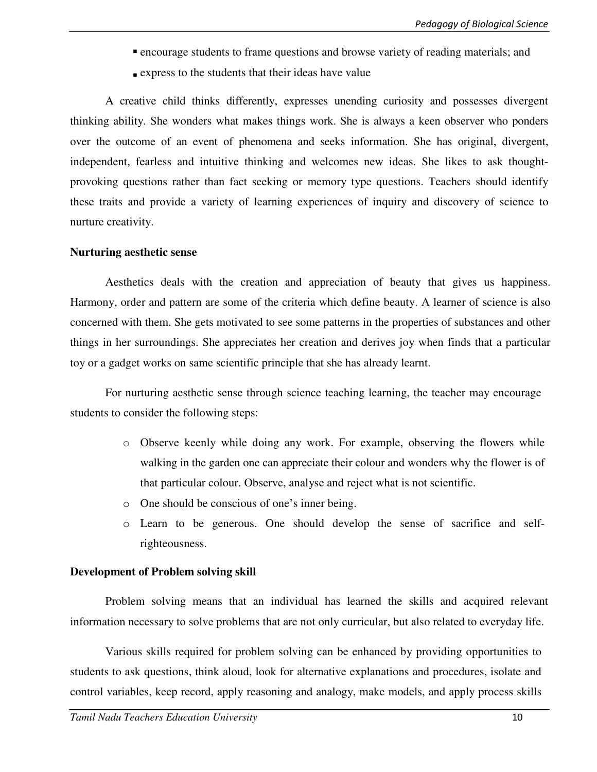- encourage students to frame questions and browse variety of reading materials; and
- express to the students that their ideas have value

A creative child thinks differently, expresses unending curiosity and possesses divergent thinking ability. She wonders what makes things work. She is always a keen observer who ponders over the outcome of an event of phenomena and seeks information. She has original, divergent, independent, fearless and intuitive thinking and welcomes new ideas. She likes to ask thoughtprovoking questions rather than fact seeking or memory type questions. Teachers should identify these traits and provide a variety of learning experiences of inquiry and discovery of science to nurture creativity.

#### **Nurturing aesthetic sense**

Aesthetics deals with the creation and appreciation of beauty that gives us happiness. Harmony, order and pattern are some of the criteria which define beauty. A learner of science is also concerned with them. She gets motivated to see some patterns in the properties of substances and other things in her surroundings. She appreciates her creation and derives joy when finds that a particular toy or a gadget works on same scientific principle that she has already learnt.

For nurturing aesthetic sense through science teaching learning, the teacher may encourage students to consider the following steps:

- o Observe keenly while doing any work. For example, observing the flowers while walking in the garden one can appreciate their colour and wonders why the flower is of that particular colour. Observe, analyse and reject what is not scientific.
- o One should be conscious of one's inner being.
- o Learn to be generous. One should develop the sense of sacrifice and selfrighteousness.

### **Development of Problem solving skill**

Problem solving means that an individual has learned the skills and acquired relevant information necessary to solve problems that are not only curricular, but also related to everyday life.

Various skills required for problem solving can be enhanced by providing opportunities to students to ask questions, think aloud, look for alternative explanations and procedures, isolate and control variables, keep record, apply reasoning and analogy, make models, and apply process skills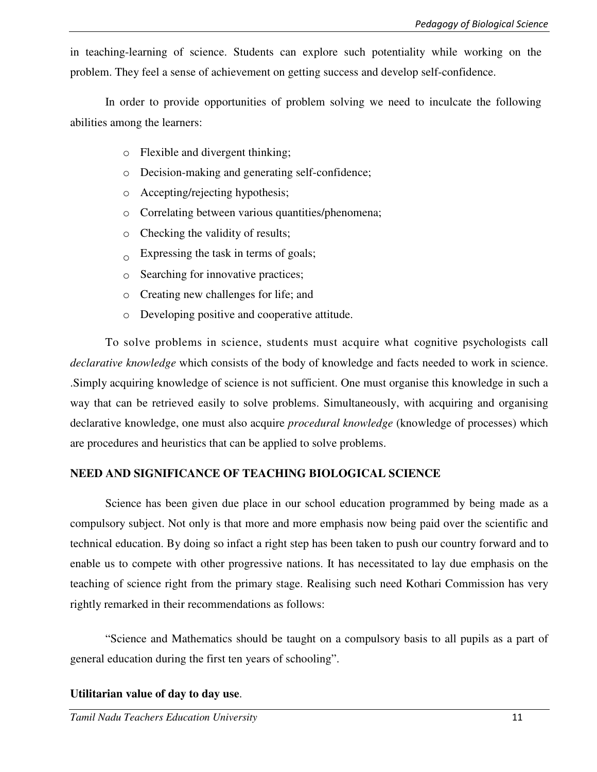in teaching-learning of science. Students can explore such potentiality while working on the problem. They feel a sense of achievement on getting success and develop self-confidence.

In order to provide opportunities of problem solving we need to inculcate the following abilities among the learners:

- o Flexible and divergent thinking;
- o Decision-making and generating self-confidence;
- o Accepting/rejecting hypothesis;
- o Correlating between various quantities/phenomena;
- o Checking the validity of results;
- $\alpha$  Expressing the task in terms of goals;
- $\circ$  Searching for innovative practices;
- o Creating new challenges for life; and
- o Developing positive and cooperative attitude.

To solve problems in science, students must acquire what cognitive psychologists call *declarative knowledge* which consists of the body of knowledge and facts needed to work in science. .Simply acquiring knowledge of science is not sufficient. One must organise this knowledge in such a way that can be retrieved easily to solve problems. Simultaneously, with acquiring and organising declarative knowledge, one must also acquire *procedural knowledge* (knowledge of processes) which are procedures and heuristics that can be applied to solve problems.

### **NEED AND SIGNIFICANCE OF TEACHING BIOLOGICAL SCIENCE**

 Science has been given due place in our school education programmed by being made as a compulsory subject. Not only is that more and more emphasis now being paid over the scientific and technical education. By doing so infact a right step has been taken to push our country forward and to enable us to compete with other progressive nations. It has necessitated to lay due emphasis on the teaching of science right from the primary stage. Realising such need Kothari Commission has very rightly remarked in their recommendations as follows:

"Science and Mathematics should be taught on a compulsory basis to all pupils as a part of general education during the first ten years of schooling".

### **Utilitarian value of day to day use**.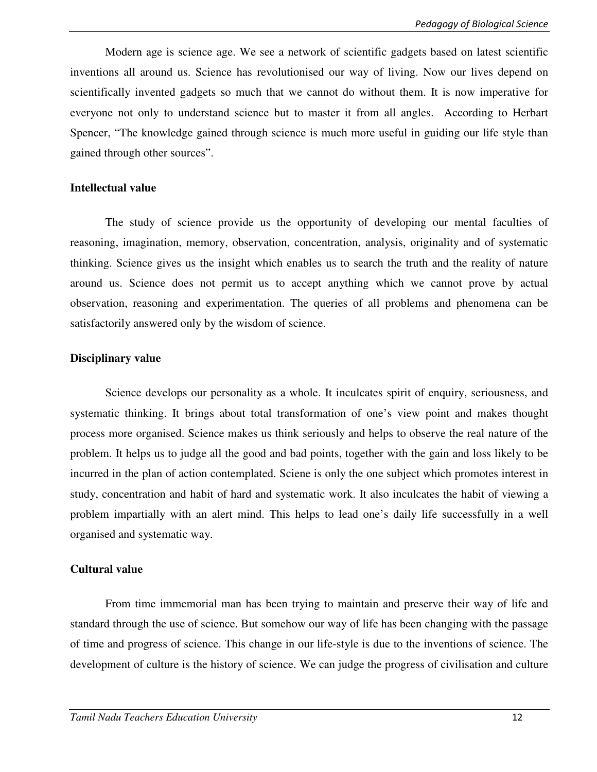Modern age is science age. We see a network of scientific gadgets based on latest scientific inventions all around us. Science has revolutionised our way of living. Now our lives depend on scientifically invented gadgets so much that we cannot do without them. It is now imperative for everyone not only to understand science but to master it from all angles. According to Herbart Spencer, "The knowledge gained through science is much more useful in guiding our life style than gained through other sources".

#### **Intellectual value**

 The study of science provide us the opportunity of developing our mental faculties of reasoning, imagination, memory, observation, concentration, analysis, originality and of systematic thinking. Science gives us the insight which enables us to search the truth and the reality of nature around us. Science does not permit us to accept anything which we cannot prove by actual observation, reasoning and experimentation. The queries of all problems and phenomena can be satisfactorily answered only by the wisdom of science.

#### **Disciplinary value**

Science develops our personality as a whole. It inculcates spirit of enquiry, seriousness, and systematic thinking. It brings about total transformation of one's view point and makes thought process more organised. Science makes us think seriously and helps to observe the real nature of the problem. It helps us to judge all the good and bad points, together with the gain and loss likely to be incurred in the plan of action contemplated. Sciene is only the one subject which promotes interest in study, concentration and habit of hard and systematic work. It also inculcates the habit of viewing a problem impartially with an alert mind. This helps to lead one's daily life successfully in a well organised and systematic way.

#### **Cultural value**

From time immemorial man has been trying to maintain and preserve their way of life and standard through the use of science. But somehow our way of life has been changing with the passage of time and progress of science. This change in our life-style is due to the inventions of science. The development of culture is the history of science. We can judge the progress of civilisation and culture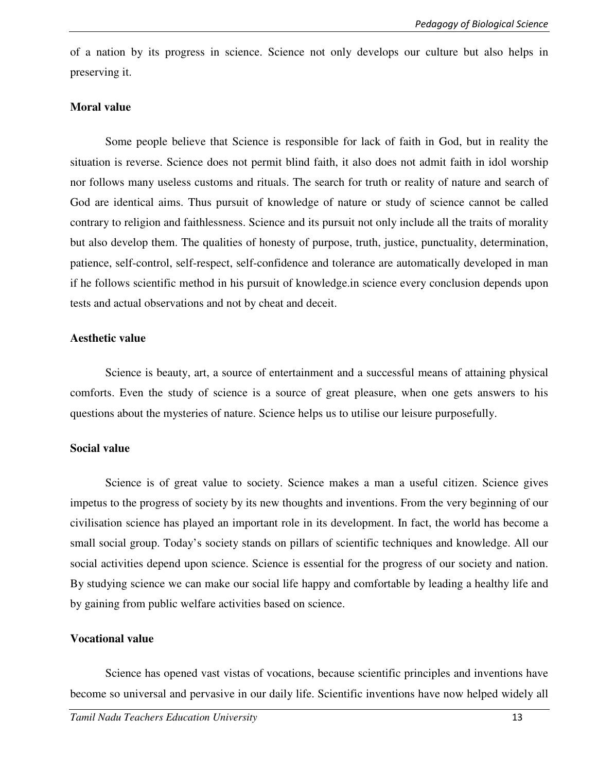of a nation by its progress in science. Science not only develops our culture but also helps in preserving it.

#### **Moral value**

Some people believe that Science is responsible for lack of faith in God, but in reality the situation is reverse. Science does not permit blind faith, it also does not admit faith in idol worship nor follows many useless customs and rituals. The search for truth or reality of nature and search of God are identical aims. Thus pursuit of knowledge of nature or study of science cannot be called contrary to religion and faithlessness. Science and its pursuit not only include all the traits of morality but also develop them. The qualities of honesty of purpose, truth, justice, punctuality, determination, patience, self-control, self-respect, self-confidence and tolerance are automatically developed in man if he follows scientific method in his pursuit of knowledge.in science every conclusion depends upon tests and actual observations and not by cheat and deceit.

#### **Aesthetic value**

Science is beauty, art, a source of entertainment and a successful means of attaining physical comforts. Even the study of science is a source of great pleasure, when one gets answers to his questions about the mysteries of nature. Science helps us to utilise our leisure purposefully.

### **Social value**

Science is of great value to society. Science makes a man a useful citizen. Science gives impetus to the progress of society by its new thoughts and inventions. From the very beginning of our civilisation science has played an important role in its development. In fact, the world has become a small social group. Today's society stands on pillars of scientific techniques and knowledge. All our social activities depend upon science. Science is essential for the progress of our society and nation. By studying science we can make our social life happy and comfortable by leading a healthy life and by gaining from public welfare activities based on science.

### **Vocational value**

Science has opened vast vistas of vocations, because scientific principles and inventions have become so universal and pervasive in our daily life. Scientific inventions have now helped widely all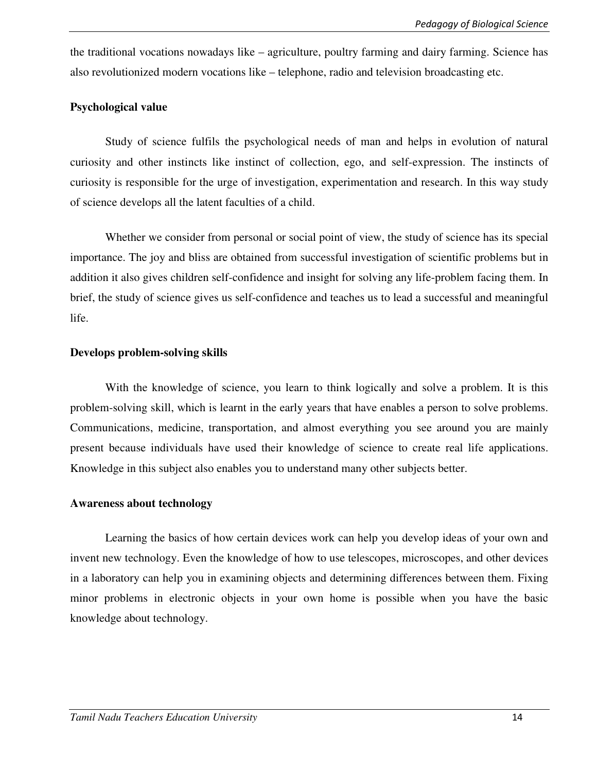the traditional vocations nowadays like – agriculture, poultry farming and dairy farming. Science has also revolutionized modern vocations like – telephone, radio and television broadcasting etc.

#### **Psychological value**

Study of science fulfils the psychological needs of man and helps in evolution of natural curiosity and other instincts like instinct of collection, ego, and self-expression. The instincts of curiosity is responsible for the urge of investigation, experimentation and research. In this way study of science develops all the latent faculties of a child.

Whether we consider from personal or social point of view, the study of science has its special importance. The joy and bliss are obtained from successful investigation of scientific problems but in addition it also gives children self-confidence and insight for solving any life-problem facing them. In brief, the study of science gives us self-confidence and teaches us to lead a successful and meaningful life.

#### **Develops problem-solving skills**

With the knowledge of science, you learn to think logically and solve a problem. It is this problem-solving skill, which is learnt in the early years that have enables a person to solve problems. Communications, medicine, transportation, and almost everything you see around you are mainly present because individuals have used their knowledge of science to create real life applications. Knowledge in this subject also enables you to understand many other subjects better.

#### **Awareness about technology**

Learning the basics of how certain devices work can help you develop ideas of your own and invent new technology. Even the knowledge of how to use telescopes, microscopes, and other devices in a laboratory can help you in examining objects and determining differences between them. Fixing minor problems in electronic objects in your own home is possible when you have the basic knowledge about technology.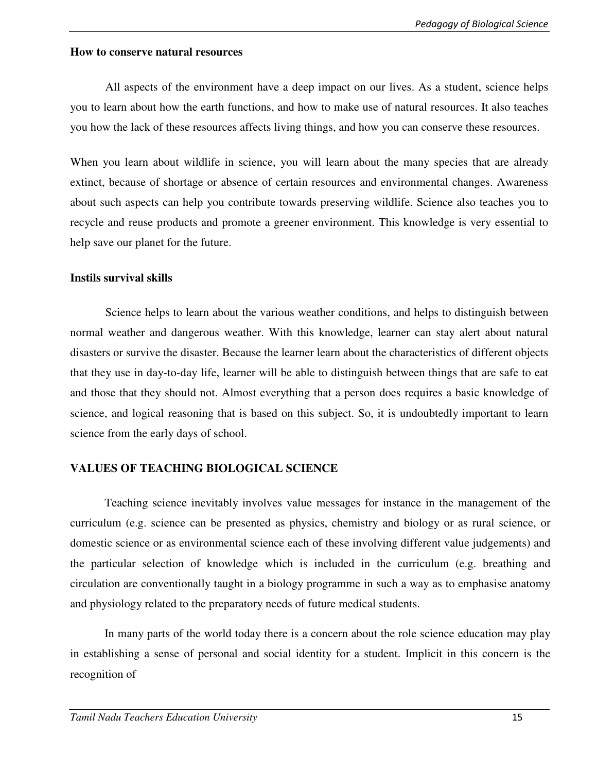#### **How to conserve natural resources**

All aspects of the environment have a deep impact on our lives. As a student, science helps you to learn about how the earth functions, and how to make use of natural resources. It also teaches you how the lack of these resources affects living things, and how you can conserve these resources.

When you learn about wildlife in science, you will learn about the many species that are already extinct, because of shortage or absence of certain resources and environmental changes. Awareness about such aspects can help you contribute towards preserving wildlife. Science also teaches you to recycle and reuse products and promote a greener environment. This knowledge is very essential to help save our planet for the future.

### **Instils survival skills**

Science helps to learn about the various weather conditions, and helps to distinguish between normal weather and dangerous weather. With this knowledge, learner can stay alert about natural disasters or survive the disaster. Because the learner learn about the characteristics of different objects that they use in day-to-day life, learner will be able to distinguish between things that are safe to eat and those that they should not. Almost everything that a person does requires a basic knowledge of science, and logical reasoning that is based on this subject. So, it is undoubtedly important to learn science from the early days of school.

### **VALUES OF TEACHING BIOLOGICAL SCIENCE**

Teaching science inevitably involves value messages for instance in the management of the curriculum (e.g. science can be presented as physics, chemistry and biology or as rural science, or domestic science or as environmental science each of these involving different value judgements) and the particular selection of knowledge which is included in the curriculum (e.g. breathing and circulation are conventionally taught in a biology programme in such a way as to emphasise anatomy and physiology related to the preparatory needs of future medical students.

In many parts of the world today there is a concern about the role science education may play in establishing a sense of personal and social identity for a student. Implicit in this concern is the recognition of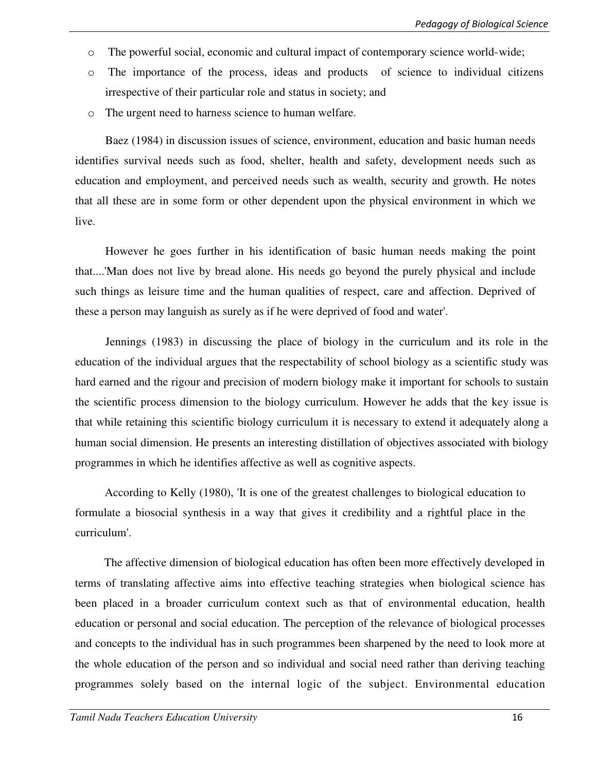- o The powerful social, economic and cultural impact of contemporary science world-wide;
- o The importance of the process, ideas and products of science to individual citizens irrespective of their particular role and status in society; and
- o The urgent need to harness science to human welfare.

Baez (1984) in discussion issues of science, environment, education and basic human needs identifies survival needs such as food, shelter, health and safety, development needs such as education and employment, and perceived needs such as wealth, security and growth. He notes that all these are in some form or other dependent upon the physical environment in which we live.

However he goes further in his identification of basic human needs making the point that....'Man does not live by bread alone. His needs go beyond the purely physical and include such things as leisure time and the human qualities of respect, care and affection. Deprived of these a person may languish as surely as if he were deprived of food and water'.

Jennings (1983) in discussing the place of biology in the curriculum and its role in the education of the individual argues that the respectability of school biology as a scientific study was hard earned and the rigour and precision of modern biology make it important for schools to sustain the scientific process dimension to the biology curriculum. However he adds that the key issue is that while retaining this scientific biology curriculum it is necessary to extend it adequately along a human social dimension. He presents an interesting distillation of objectives associated with biology programmes in which he identifies affective as well as cognitive aspects.

According to Kelly (1980), 'It is one of the greatest challenges to biological education to formulate a biosocial synthesis in a way that gives it credibility and a rightful place in the curriculum'.

The affective dimension of biological education has often been more effectively developed in terms of translating affective aims into effective teaching strategies when biological science has been placed in a broader curriculum context such as that of environmental education, health education or personal and social education. The perception of the relevance of biological processes and concepts to the individual has in such programmes been sharpened by the need to look more at the whole education of the person and so individual and social need rather than deriving teaching programmes solely based on the internal logic of the subject. Environmental education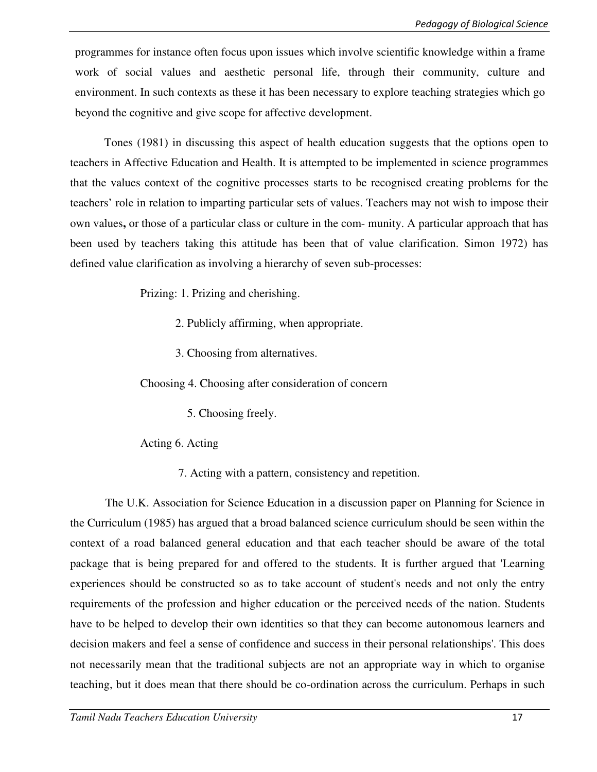programmes for instance often focus upon issues which involve scientific knowledge within a frame work of social values and aesthetic personal life, through their community, culture and environment. In such contexts as these it has been necessary to explore teaching strategies which go beyond the cognitive and give scope for affective development.

Tones (1981) in discussing this aspect of health education suggests that the options open to teachers in Affective Education and Health. It is attempted to be implemented in science programmes that the values context of the cognitive processes starts to be recognised creating problems for the teachers' role in relation to imparting particular sets of values. Teachers may not wish to impose their own values**,** or those of a particular class or culture in the com- munity. A particular approach that has been used by teachers taking this attitude has been that of value clarification. Simon 1972) has defined value clarification as involving a hierarchy of seven sub-processes:

Prizing: 1. Prizing and cherishing.

- 2. Publicly affirming, when appropriate.
- 3. Choosing from alternatives.

Choosing 4. Choosing after consideration of concern

5. Choosing freely.

Acting 6. Acting

7. Acting with a pattern, consistency and repetition.

The U.K. Association for Science Education in a discussion paper on Planning for Science in the Curriculum (1985) has argued that a broad balanced science curriculum should be seen within the context of a road balanced general education and that each teacher should be aware of the total package that is being prepared for and offered to the students. It is further argued that 'Learning experiences should be constructed so as to take account of student's needs and not only the entry requirements of the profession and higher education or the perceived needs of the nation. Students have to be helped to develop their own identities so that they can become autonomous learners and decision makers and feel a sense of confidence and success in their personal relationships'. This does not necessarily mean that the traditional subjects are not an appropriate way in which to organise teaching, but it does mean that there should be co-ordination across the curriculum. Perhaps in such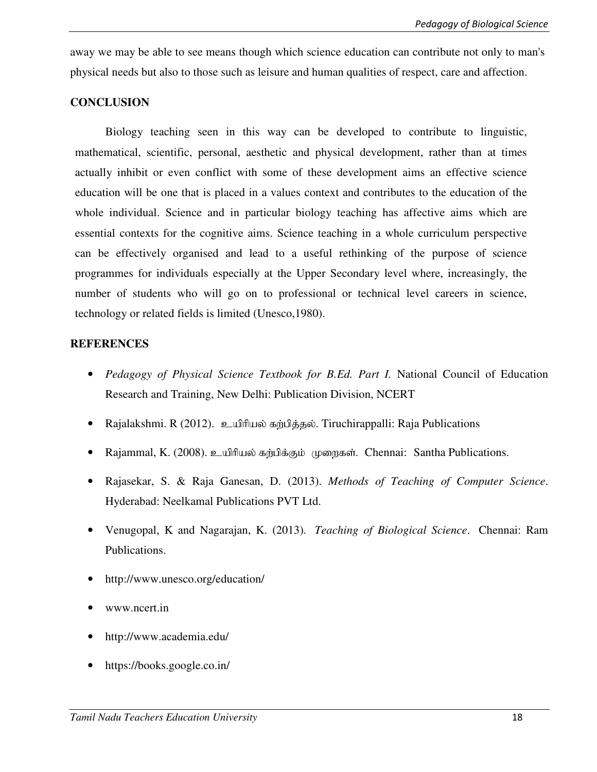away we may be able to see means though which science education can contribute not only to man's physical needs but also to those such as leisure and human qualities of respect, care and affection.

#### **CONCLUSION**

Biology teaching seen in this way can be developed to contribute to linguistic, mathematical, scientific, personal, aesthetic and physical development, rather than at times actually inhibit or even conflict with some of these development aims an effective science education will be one that is placed in a values context and contributes to the education of the whole individual. Science and in particular biology teaching has affective aims which are essential contexts for the cognitive aims. Science teaching in a whole curriculum perspective can be effectively organised and lead to a useful rethinking of the purpose of science programmes for individuals especially at the Upper Secondary level where, increasingly, the number of students who will go on to professional or technical level careers in science, technology or related fields is limited (Unesco,1980).

#### **REFERENCES**

- *Pedagogy of Physical Science Textbook for B.Ed. Part I.* National Council of Education Research and Training, New Delhi: Publication Division, NCERT
- Rajalakshmi. R (2012). உயிரியல் கற்பித்தல். Tiruchirappalli: Raja Publications
- Rajammal, K. (2008). உயிரியல் கற்பிக்கும் முறைகள். Chennai: Santha Publications.
- Rajasekar, S. & Raja Ganesan, D. (2013). *Methods of Teaching of Computer Science*. Hyderabad: Neelkamal Publications PVT Ltd.
- Venugopal, K and Nagarajan, K. (2013). *Teaching of Biological Science*. Chennai: Ram Publications.
- http://www.unesco.org/education/
- www.ncert.in
- http://www.academia.edu/
- https://books.google.co.in/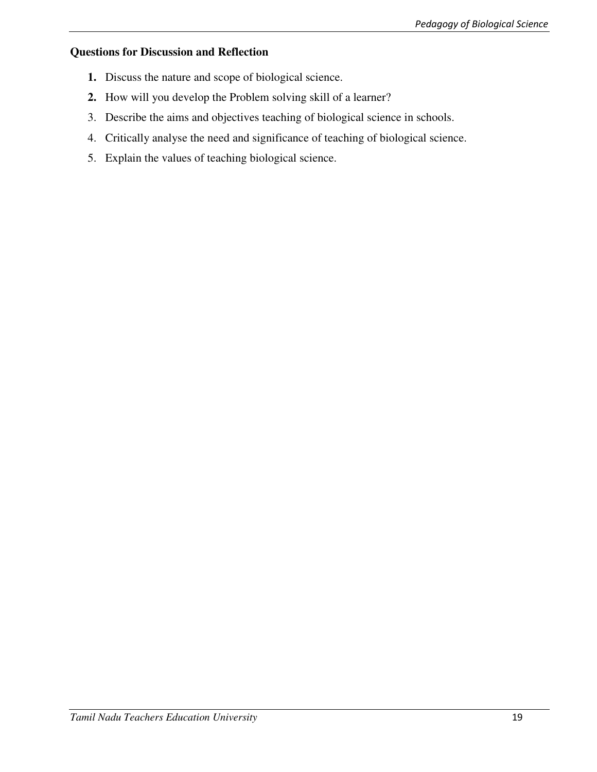# **Questions for Discussion and Reflection**

- **1.** Discuss the nature and scope of biological science.
- **2.** How will you develop the Problem solving skill of a learner?
- 3. Describe the aims and objectives teaching of biological science in schools.
- 4. Critically analyse the need and significance of teaching of biological science.
- 5. Explain the values of teaching biological science.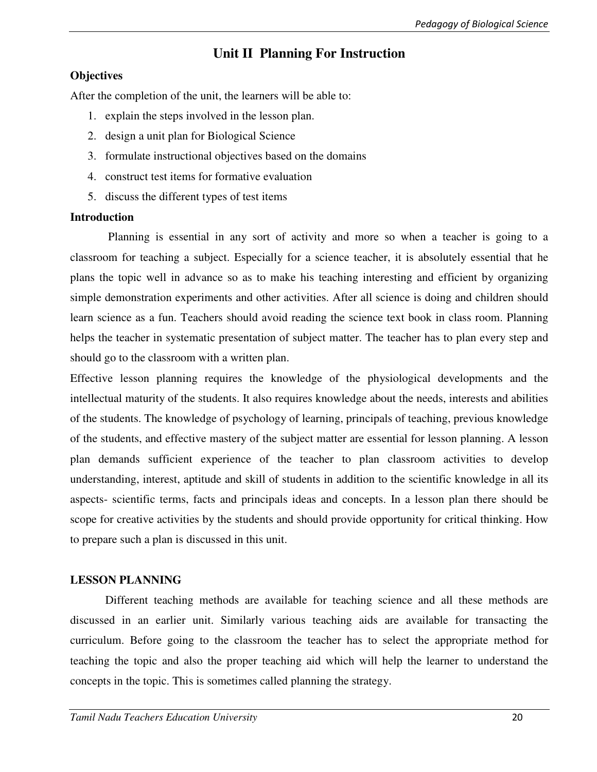# **Unit II Planning For Instruction**

### **Objectives**

After the completion of the unit, the learners will be able to:

- 1. explain the steps involved in the lesson plan.
- 2. design a unit plan for Biological Science
- 3. formulate instructional objectives based on the domains
- 4. construct test items for formative evaluation
- 5. discuss the different types of test items

### **Introduction**

 Planning is essential in any sort of activity and more so when a teacher is going to a classroom for teaching a subject. Especially for a science teacher, it is absolutely essential that he plans the topic well in advance so as to make his teaching interesting and efficient by organizing simple demonstration experiments and other activities. After all science is doing and children should learn science as a fun. Teachers should avoid reading the science text book in class room. Planning helps the teacher in systematic presentation of subject matter. The teacher has to plan every step and should go to the classroom with a written plan.

Effective lesson planning requires the knowledge of the physiological developments and the intellectual maturity of the students. It also requires knowledge about the needs, interests and abilities of the students. The knowledge of psychology of learning, principals of teaching, previous knowledge of the students, and effective mastery of the subject matter are essential for lesson planning. A lesson plan demands sufficient experience of the teacher to plan classroom activities to develop understanding, interest, aptitude and skill of students in addition to the scientific knowledge in all its aspects- scientific terms, facts and principals ideas and concepts. In a lesson plan there should be scope for creative activities by the students and should provide opportunity for critical thinking. How to prepare such a plan is discussed in this unit.

# **LESSON PLANNING**

 Different teaching methods are available for teaching science and all these methods are discussed in an earlier unit. Similarly various teaching aids are available for transacting the curriculum. Before going to the classroom the teacher has to select the appropriate method for teaching the topic and also the proper teaching aid which will help the learner to understand the concepts in the topic. This is sometimes called planning the strategy.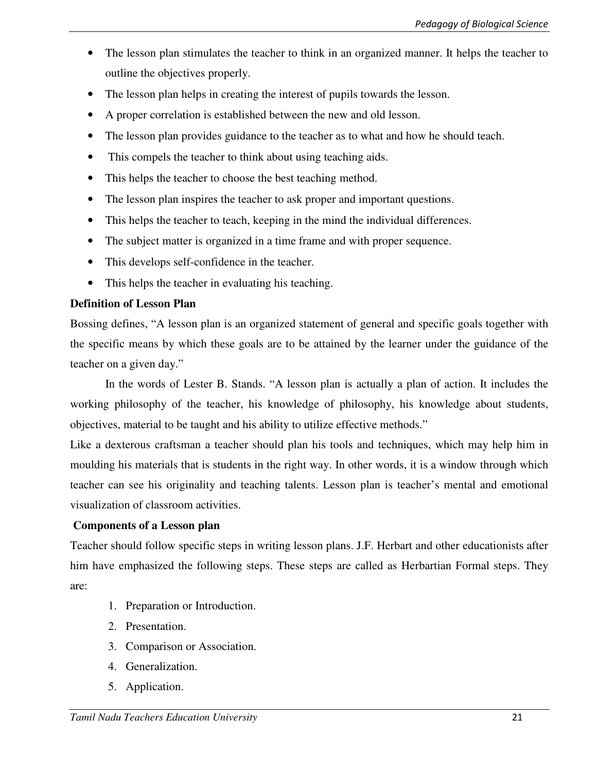- The lesson plan stimulates the teacher to think in an organized manner. It helps the teacher to outline the objectives properly.
- The lesson plan helps in creating the interest of pupils towards the lesson.
- A proper correlation is established between the new and old lesson.
- The lesson plan provides guidance to the teacher as to what and how he should teach.
- This compels the teacher to think about using teaching aids.
- This helps the teacher to choose the best teaching method.
- The lesson plan inspires the teacher to ask proper and important questions.
- This helps the teacher to teach, keeping in the mind the individual differences.
- The subject matter is organized in a time frame and with proper sequence.
- This develops self-confidence in the teacher.
- This helps the teacher in evaluating his teaching.

# **Definition of Lesson Plan**

Bossing defines, "A lesson plan is an organized statement of general and specific goals together with the specific means by which these goals are to be attained by the learner under the guidance of the teacher on a given day."

 In the words of Lester B. Stands. "A lesson plan is actually a plan of action. It includes the working philosophy of the teacher, his knowledge of philosophy, his knowledge about students, objectives, material to be taught and his ability to utilize effective methods."

Like a dexterous craftsman a teacher should plan his tools and techniques, which may help him in moulding his materials that is students in the right way. In other words, it is a window through which teacher can see his originality and teaching talents. Lesson plan is teacher's mental and emotional visualization of classroom activities.

# **Components of a Lesson plan**

Teacher should follow specific steps in writing lesson plans. J.F. Herbart and other educationists after him have emphasized the following steps. These steps are called as Herbartian Formal steps. They are:

- 1. Preparation or Introduction.
- 2. Presentation.
- 3. Comparison or Association.
- 4. Generalization.
- 5. Application.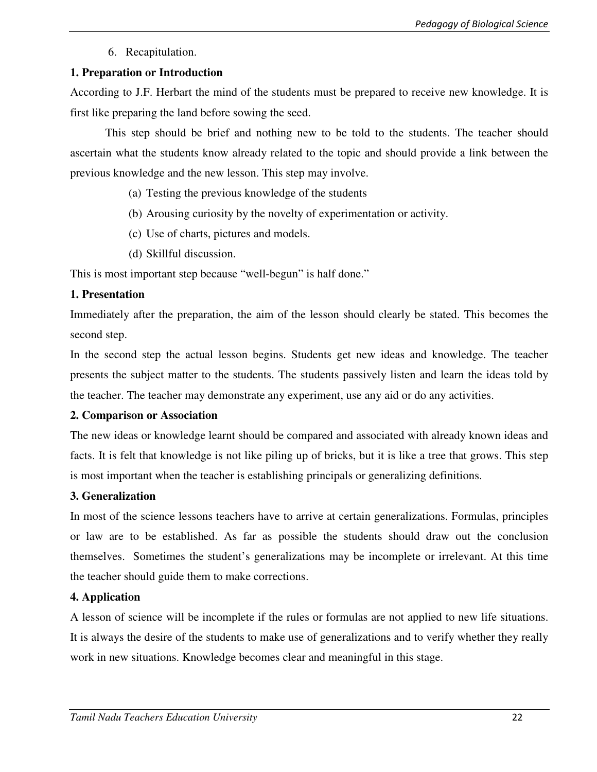6. Recapitulation.

# **1. Preparation or Introduction**

According to J.F. Herbart the mind of the students must be prepared to receive new knowledge. It is first like preparing the land before sowing the seed.

 This step should be brief and nothing new to be told to the students. The teacher should ascertain what the students know already related to the topic and should provide a link between the previous knowledge and the new lesson. This step may involve.

- (a) Testing the previous knowledge of the students
- (b) Arousing curiosity by the novelty of experimentation or activity.
- (c) Use of charts, pictures and models.
- (d) Skillful discussion.

This is most important step because "well-begun" is half done."

### **1. Presentation**

Immediately after the preparation, the aim of the lesson should clearly be stated. This becomes the second step.

In the second step the actual lesson begins. Students get new ideas and knowledge. The teacher presents the subject matter to the students. The students passively listen and learn the ideas told by the teacher. The teacher may demonstrate any experiment, use any aid or do any activities.

# **2. Comparison or Association**

The new ideas or knowledge learnt should be compared and associated with already known ideas and facts. It is felt that knowledge is not like piling up of bricks, but it is like a tree that grows. This step is most important when the teacher is establishing principals or generalizing definitions.

# **3. Generalization**

In most of the science lessons teachers have to arrive at certain generalizations. Formulas, principles or law are to be established. As far as possible the students should draw out the conclusion themselves. Sometimes the student's generalizations may be incomplete or irrelevant. At this time the teacher should guide them to make corrections.

# **4. Application**

A lesson of science will be incomplete if the rules or formulas are not applied to new life situations. It is always the desire of the students to make use of generalizations and to verify whether they really work in new situations. Knowledge becomes clear and meaningful in this stage.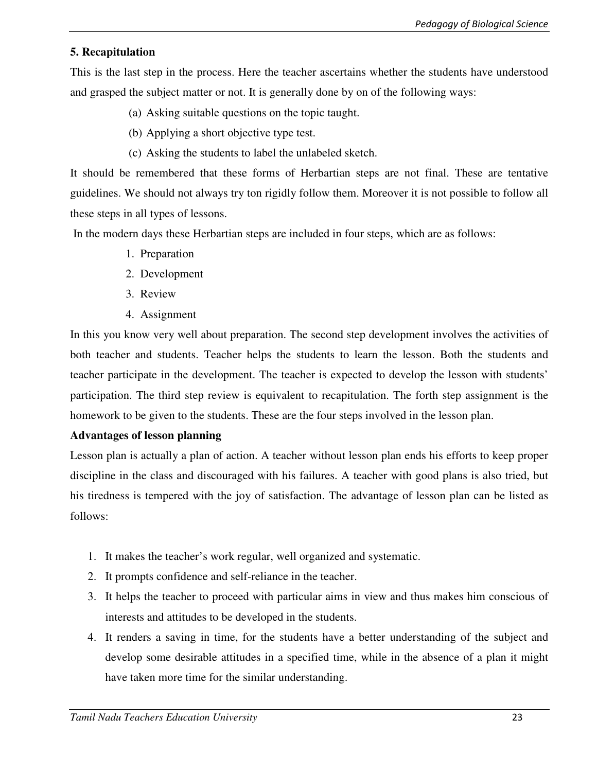# **5. Recapitulation**

This is the last step in the process. Here the teacher ascertains whether the students have understood and grasped the subject matter or not. It is generally done by on of the following ways:

- (a) Asking suitable questions on the topic taught.
- (b) Applying a short objective type test.
- (c) Asking the students to label the unlabeled sketch.

It should be remembered that these forms of Herbartian steps are not final. These are tentative guidelines. We should not always try ton rigidly follow them. Moreover it is not possible to follow all these steps in all types of lessons.

In the modern days these Herbartian steps are included in four steps, which are as follows:

- 1. Preparation
- 2. Development
- 3. Review
- 4. Assignment

In this you know very well about preparation. The second step development involves the activities of both teacher and students. Teacher helps the students to learn the lesson. Both the students and teacher participate in the development. The teacher is expected to develop the lesson with students' participation. The third step review is equivalent to recapitulation. The forth step assignment is the homework to be given to the students. These are the four steps involved in the lesson plan.

### **Advantages of lesson planning**

Lesson plan is actually a plan of action. A teacher without lesson plan ends his efforts to keep proper discipline in the class and discouraged with his failures. A teacher with good plans is also tried, but his tiredness is tempered with the joy of satisfaction. The advantage of lesson plan can be listed as follows:

- 1. It makes the teacher's work regular, well organized and systematic.
- 2. It prompts confidence and self-reliance in the teacher.
- 3. It helps the teacher to proceed with particular aims in view and thus makes him conscious of interests and attitudes to be developed in the students.
- 4. It renders a saving in time, for the students have a better understanding of the subject and develop some desirable attitudes in a specified time, while in the absence of a plan it might have taken more time for the similar understanding.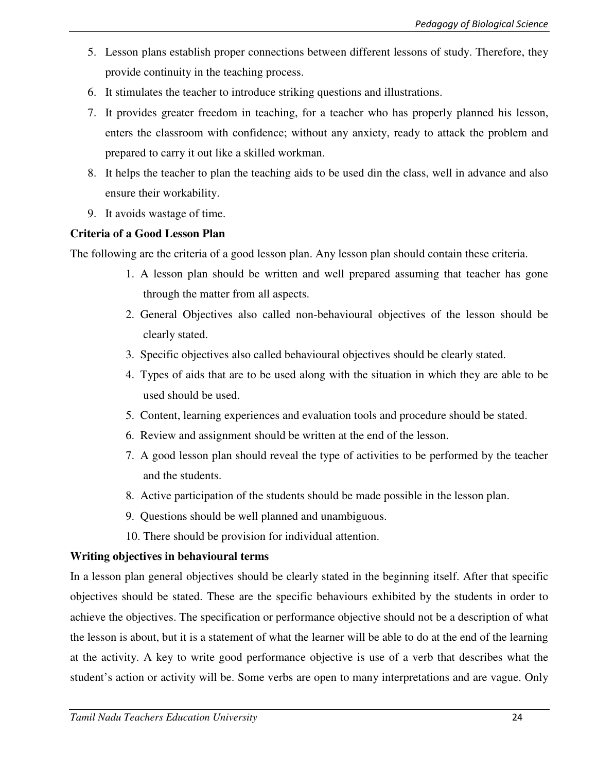- 5. Lesson plans establish proper connections between different lessons of study. Therefore, they provide continuity in the teaching process.
- 6. It stimulates the teacher to introduce striking questions and illustrations.
- 7. It provides greater freedom in teaching, for a teacher who has properly planned his lesson, enters the classroom with confidence; without any anxiety, ready to attack the problem and prepared to carry it out like a skilled workman.
- 8. It helps the teacher to plan the teaching aids to be used din the class, well in advance and also ensure their workability.
- 9. It avoids wastage of time.

# **Criteria of a Good Lesson Plan**

The following are the criteria of a good lesson plan. Any lesson plan should contain these criteria.

- 1. A lesson plan should be written and well prepared assuming that teacher has gone through the matter from all aspects.
- 2. General Objectives also called non-behavioural objectives of the lesson should be clearly stated.
- 3. Specific objectives also called behavioural objectives should be clearly stated.
- 4. Types of aids that are to be used along with the situation in which they are able to be used should be used.
- 5. Content, learning experiences and evaluation tools and procedure should be stated.
- 6. Review and assignment should be written at the end of the lesson.
- 7. A good lesson plan should reveal the type of activities to be performed by the teacher and the students.
- 8. Active participation of the students should be made possible in the lesson plan.
- 9. Questions should be well planned and unambiguous.
- 10. There should be provision for individual attention.

# **Writing objectives in behavioural terms**

In a lesson plan general objectives should be clearly stated in the beginning itself. After that specific objectives should be stated. These are the specific behaviours exhibited by the students in order to achieve the objectives. The specification or performance objective should not be a description of what the lesson is about, but it is a statement of what the learner will be able to do at the end of the learning at the activity. A key to write good performance objective is use of a verb that describes what the student's action or activity will be. Some verbs are open to many interpretations and are vague. Only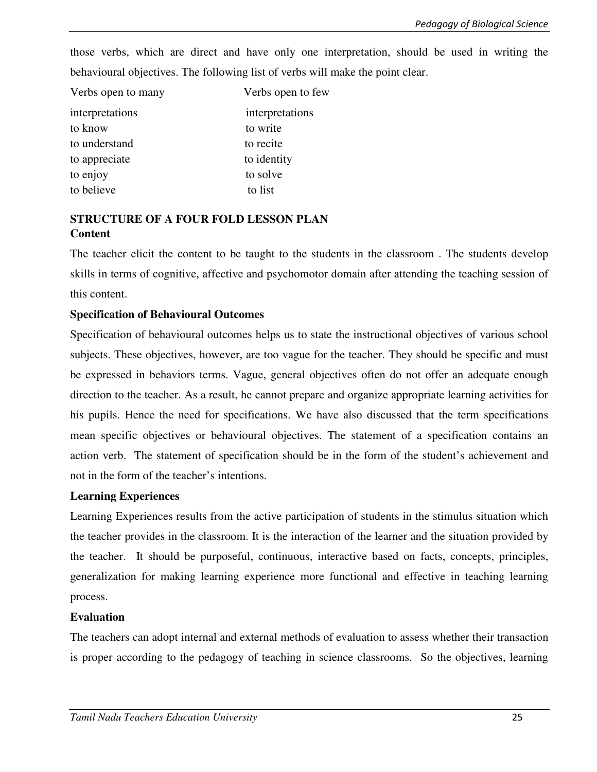those verbs, which are direct and have only one interpretation, should be used in writing the behavioural objectives. The following list of verbs will make the point clear.

| Verbs open to many | Verbs open to few |
|--------------------|-------------------|
| interpretations    | interpretations   |
| to know            | to write          |
| to understand      | to recite         |
| to appreciate      | to identity       |
| to enjoy           | to solve          |
| to believe         | to list           |

# **STRUCTURE OF A FOUR FOLD LESSON PLAN Content**

The teacher elicit the content to be taught to the students in the classroom . The students develop skills in terms of cognitive, affective and psychomotor domain after attending the teaching session of this content.

# **Specification of Behavioural Outcomes**

Specification of behavioural outcomes helps us to state the instructional objectives of various school subjects. These objectives, however, are too vague for the teacher. They should be specific and must be expressed in behaviors terms. Vague, general objectives often do not offer an adequate enough direction to the teacher. As a result, he cannot prepare and organize appropriate learning activities for his pupils. Hence the need for specifications. We have also discussed that the term specifications mean specific objectives or behavioural objectives. The statement of a specification contains an action verb. The statement of specification should be in the form of the student's achievement and not in the form of the teacher's intentions.

# **Learning Experiences**

Learning Experiences results from the active participation of students in the stimulus situation which the teacher provides in the classroom. It is the interaction of the learner and the situation provided by the teacher. It should be purposeful, continuous, interactive based on facts, concepts, principles, generalization for making learning experience more functional and effective in teaching learning process.

# **Evaluation**

The teachers can adopt internal and external methods of evaluation to assess whether their transaction is proper according to the pedagogy of teaching in science classrooms. So the objectives, learning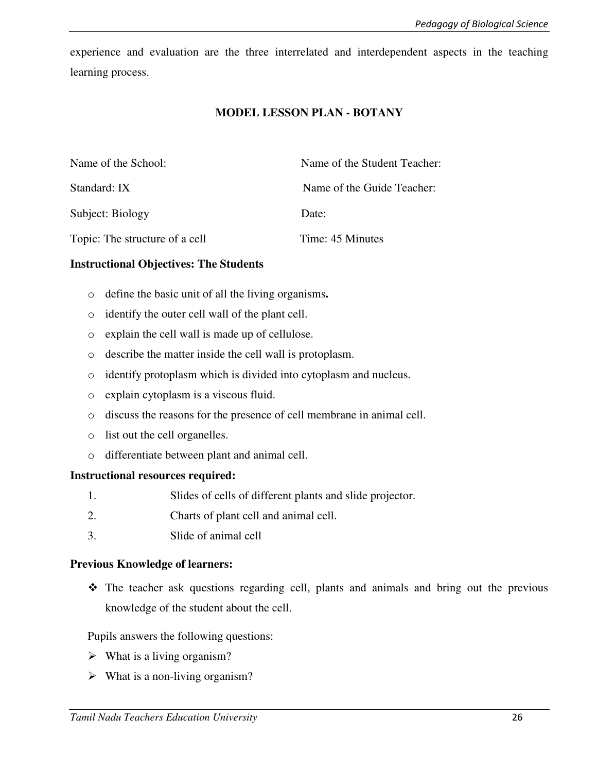experience and evaluation are the three interrelated and interdependent aspects in the teaching learning process.

#### **MODEL LESSON PLAN - BOTANY**

| Name of the School:            | Name of the Student Teacher: |
|--------------------------------|------------------------------|
| Standard: IX                   | Name of the Guide Teacher:   |
| Subject: Biology               | Date:                        |
| Topic: The structure of a cell | Time: 45 Minutes             |

#### **Instructional Objectives: The Students**

- o define the basic unit of all the living organisms**.**
- o identify the outer cell wall of the plant cell.
- o explain the cell wall is made up of cellulose.
- o describe the matter inside the cell wall is protoplasm.
- o identify protoplasm which is divided into cytoplasm and nucleus.
- o explain cytoplasm is a viscous fluid.
- o discuss the reasons for the presence of cell membrane in animal cell.
- o list out the cell organelles.
- o differentiate between plant and animal cell.

#### **Instructional resources required:**

- 1. Slides of cells of different plants and slide projector.
- 2. Charts of plant cell and animal cell.
- 3. Slide of animal cell

#### **Previous Knowledge of learners:**

- The teacher ask questions regarding cell, plants and animals and bring out the previous knowledge of the student about the cell.

Pupils answers the following questions:

- $\triangleright$  What is a living organism?
- $\triangleright$  What is a non-living organism?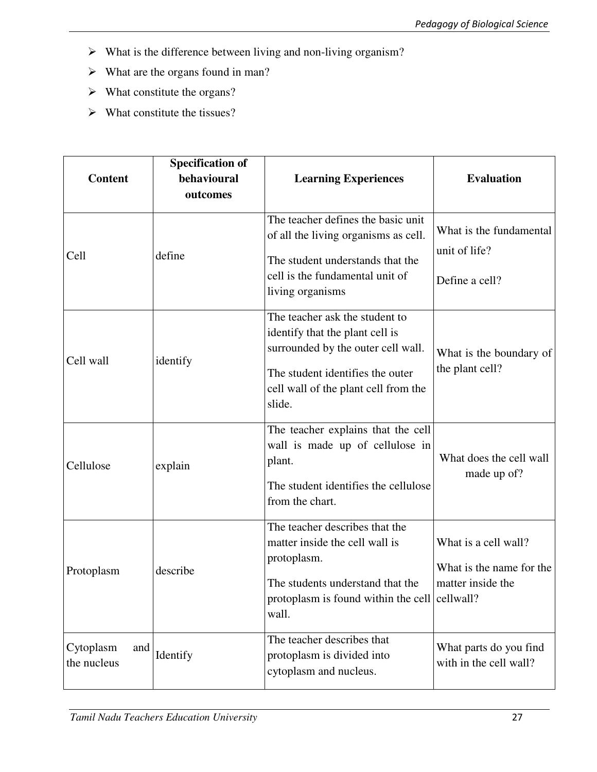- $\triangleright$  What is the difference between living and non-living organism?
- $\triangleright$  What are the organs found in man?
- $\triangleright$  What constitute the organs?
- $\triangleright$  What constitute the tissues?

| <b>Content</b>                  | <b>Specification of</b><br>behavioural<br>outcomes | <b>Learning Experiences</b>                                                                                                                                                                   | <b>Evaluation</b>                                                     |
|---------------------------------|----------------------------------------------------|-----------------------------------------------------------------------------------------------------------------------------------------------------------------------------------------------|-----------------------------------------------------------------------|
| Cell                            | define                                             | The teacher defines the basic unit<br>of all the living organisms as cell.<br>The student understands that the<br>cell is the fundamental unit of<br>living organisms                         | What is the fundamental<br>unit of life?<br>Define a cell?            |
| Cell wall                       | identify                                           | The teacher ask the student to<br>identify that the plant cell is<br>surrounded by the outer cell wall.<br>The student identifies the outer<br>cell wall of the plant cell from the<br>slide. | What is the boundary of<br>the plant cell?                            |
| Cellulose                       | explain                                            | The teacher explains that the cell<br>wall is made up of cellulose in<br>plant.<br>The student identifies the cellulose<br>from the chart.                                                    | What does the cell wall<br>made up of?                                |
| Protoplasm                      | describe                                           | The teacher describes that the<br>matter inside the cell wall is<br>protoplasm.<br>The students understand that the<br>protoplasm is found within the cell cellwall?<br>wall.                 | What is a cell wall?<br>What is the name for the<br>matter inside the |
| Cytoplasm<br>and<br>the nucleus | Identify                                           | The teacher describes that<br>protoplasm is divided into<br>cytoplasm and nucleus.                                                                                                            | What parts do you find<br>with in the cell wall?                      |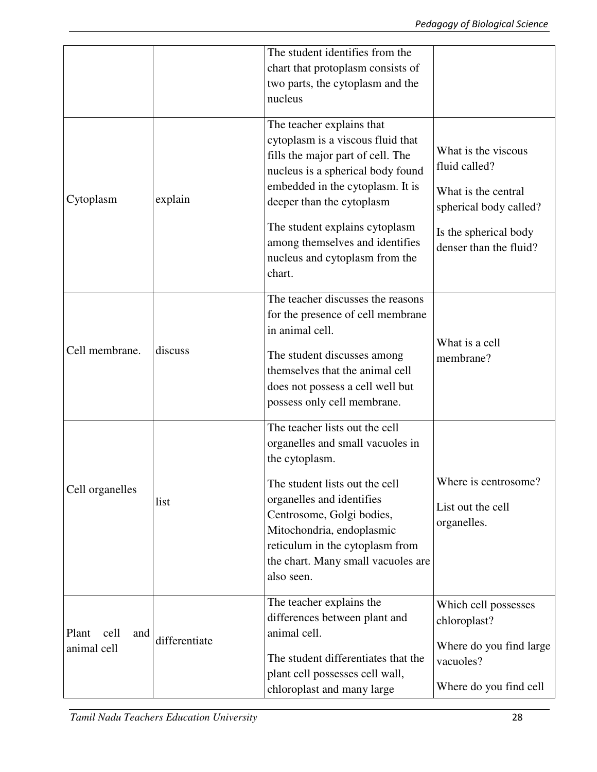|                      |               | The student identifies from the                                                                               |                                                 |
|----------------------|---------------|---------------------------------------------------------------------------------------------------------------|-------------------------------------------------|
|                      |               | chart that protoplasm consists of                                                                             |                                                 |
|                      |               | two parts, the cytoplasm and the<br>nucleus                                                                   |                                                 |
|                      |               |                                                                                                               |                                                 |
|                      |               | The teacher explains that<br>cytoplasm is a viscous fluid that<br>fills the major part of cell. The           | What is the viscous                             |
|                      |               | nucleus is a spherical body found                                                                             | fluid called?                                   |
| Cytoplasm            | explain       | embedded in the cytoplasm. It is<br>deeper than the cytoplasm                                                 | What is the central<br>spherical body called?   |
|                      |               | The student explains cytoplasm<br>among themselves and identifies<br>nucleus and cytoplasm from the<br>chart. | Is the spherical body<br>denser than the fluid? |
|                      |               | The teacher discusses the reasons                                                                             |                                                 |
|                      |               | for the presence of cell membrane                                                                             |                                                 |
|                      | discuss       | in animal cell.                                                                                               | What is a cell                                  |
| Cell membrane.       |               | The student discusses among                                                                                   | membrane?                                       |
|                      |               | themselves that the animal cell<br>does not possess a cell well but                                           |                                                 |
|                      |               | possess only cell membrane.                                                                                   |                                                 |
|                      |               | The teacher lists out the cell                                                                                |                                                 |
|                      | list          | organelles and small vacuoles in<br>the cytoplasm.                                                            |                                                 |
|                      |               |                                                                                                               | Where is centrosome?                            |
| Cell organelles      |               | The student lists out the cell<br>organelles and identifies                                                   |                                                 |
|                      |               | Centrosome, Golgi bodies,                                                                                     | List out the cell<br>organelles.                |
|                      |               | Mitochondria, endoplasmic<br>reticulum in the cytoplasm from                                                  |                                                 |
|                      |               | the chart. Many small vacuoles are                                                                            |                                                 |
|                      |               | also seen.                                                                                                    |                                                 |
|                      | differentiate | The teacher explains the                                                                                      | Which cell possesses                            |
| Plant<br>cell<br>and |               | differences between plant and<br>animal cell.                                                                 | chloroplast?                                    |
| animal cell          |               |                                                                                                               | Where do you find large                         |
|                      |               | The student differentiates that the<br>plant cell possesses cell wall,                                        | vacuoles?                                       |
|                      |               | chloroplast and many large                                                                                    | Where do you find cell                          |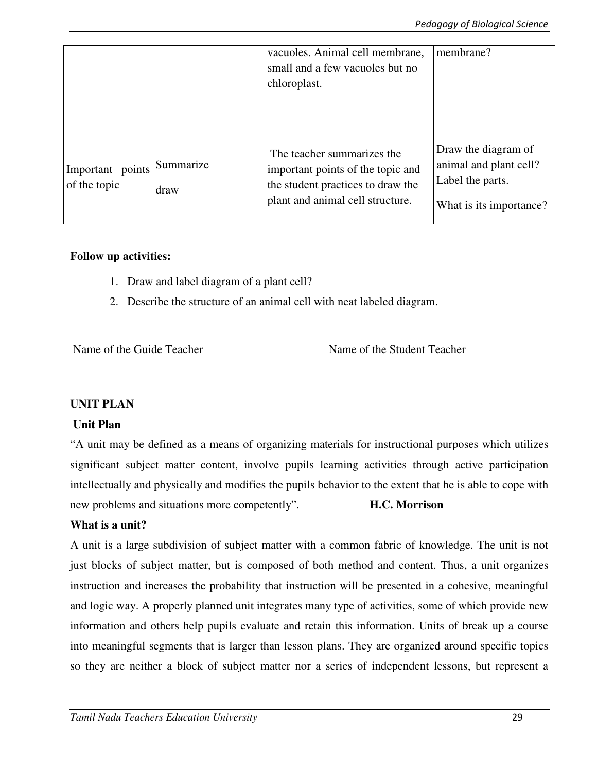|                                  |                   | vacuoles. Animal cell membrane,<br>small and a few vacuoles but no<br>chloroplast.                                                       | membrane?                                                                                    |
|----------------------------------|-------------------|------------------------------------------------------------------------------------------------------------------------------------------|----------------------------------------------------------------------------------------------|
| Important points<br>of the topic | Summarize<br>draw | The teacher summarizes the<br>important points of the topic and<br>the student practices to draw the<br>plant and animal cell structure. | Draw the diagram of<br>animal and plant cell?<br>Label the parts.<br>What is its importance? |

### **Follow up activities:**

- 1. Draw and label diagram of a plant cell?
- 2. Describe the structure of an animal cell with neat labeled diagram.

Name of the Guide Teacher Name of the Student Teacher

# **UNIT PLAN**

# **Unit Plan**

"A unit may be defined as a means of organizing materials for instructional purposes which utilizes significant subject matter content, involve pupils learning activities through active participation intellectually and physically and modifies the pupils behavior to the extent that he is able to cope with new problems and situations more competently". **H.C. Morrison** 

# **What is a unit?**

A unit is a large subdivision of subject matter with a common fabric of knowledge. The unit is not just blocks of subject matter, but is composed of both method and content. Thus, a unit organizes instruction and increases the probability that instruction will be presented in a cohesive, meaningful and logic way. A properly planned unit integrates many type of activities, some of which provide new information and others help pupils evaluate and retain this information. Units of break up a course into meaningful segments that is larger than lesson plans. They are organized around specific topics so they are neither a block of subject matter nor a series of independent lessons, but represent a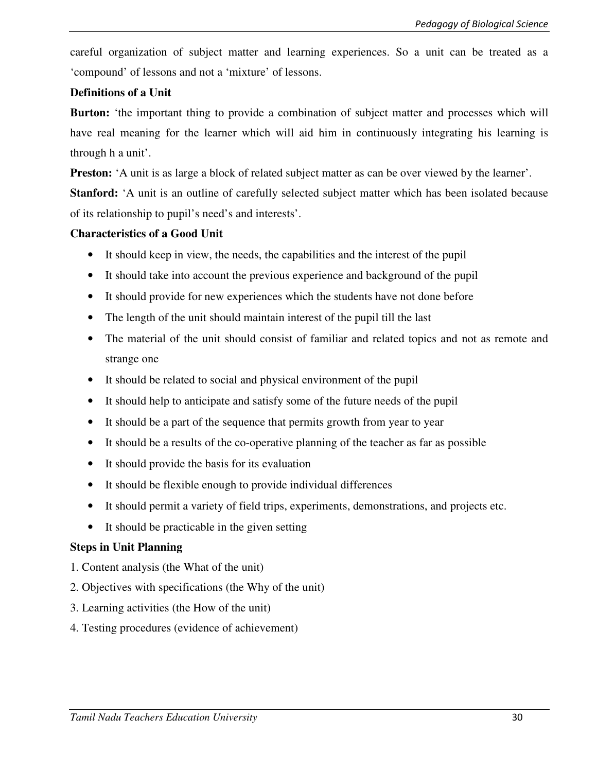careful organization of subject matter and learning experiences. So a unit can be treated as a 'compound' of lessons and not a 'mixture' of lessons.

### **Definitions of a Unit**

**Burton:** 'the important thing to provide a combination of subject matter and processes which will have real meaning for the learner which will aid him in continuously integrating his learning is through h a unit'.

**Preston:** 'A unit is as large a block of related subject matter as can be over viewed by the learner'.

**Stanford:** 'A unit is an outline of carefully selected subject matter which has been isolated because of its relationship to pupil's need's and interests'.

### **Characteristics of a Good Unit**

- It should keep in view, the needs, the capabilities and the interest of the pupil
- It should take into account the previous experience and background of the pupil
- It should provide for new experiences which the students have not done before
- The length of the unit should maintain interest of the pupil till the last
- The material of the unit should consist of familiar and related topics and not as remote and strange one
- It should be related to social and physical environment of the pupil
- It should help to anticipate and satisfy some of the future needs of the pupil
- It should be a part of the sequence that permits growth from year to year
- It should be a results of the co-operative planning of the teacher as far as possible
- It should provide the basis for its evaluation
- It should be flexible enough to provide individual differences
- It should permit a variety of field trips, experiments, demonstrations, and projects etc.
- It should be practicable in the given setting

# **Steps in Unit Planning**

- 1. Content analysis (the What of the unit)
- 2. Objectives with specifications (the Why of the unit)
- 3. Learning activities (the How of the unit)
- 4. Testing procedures (evidence of achievement)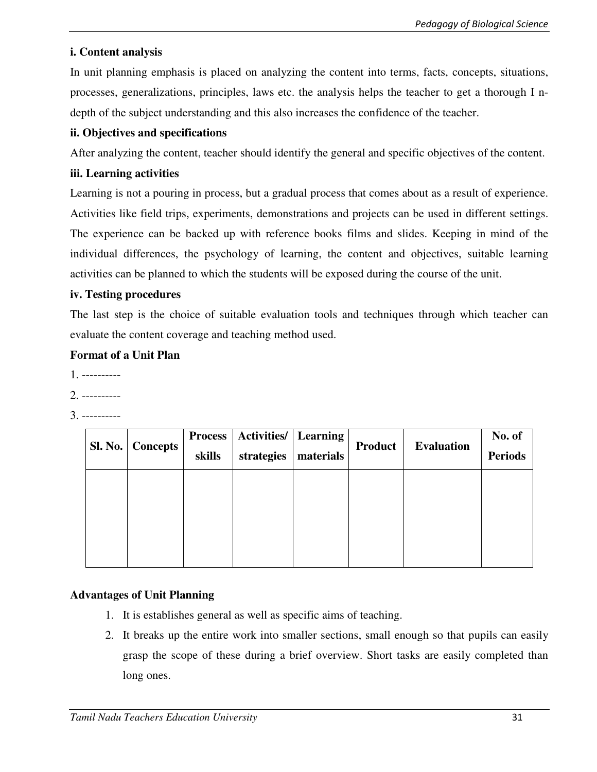# **i. Content analysis**

In unit planning emphasis is placed on analyzing the content into terms, facts, concepts, situations, processes, generalizations, principles, laws etc. the analysis helps the teacher to get a thorough I ndepth of the subject understanding and this also increases the confidence of the teacher.

# **ii. Objectives and specifications**

After analyzing the content, teacher should identify the general and specific objectives of the content.

# **iii. Learning activities**

Learning is not a pouring in process, but a gradual process that comes about as a result of experience. Activities like field trips, experiments, demonstrations and projects can be used in different settings. The experience can be backed up with reference books films and slides. Keeping in mind of the individual differences, the psychology of learning, the content and objectives, suitable learning activities can be planned to which the students will be exposed during the course of the unit.

# **iv. Testing procedures**

The last step is the choice of suitable evaluation tools and techniques through which teacher can evaluate the content coverage and teaching method used.

# **Format of a Unit Plan**

- 1. ----------
- 2. ----------
- 3. ----------

| Sl. No.   Concepts |        | <b>Process   Activities/   Learning</b> |           | <b>Product</b> | <b>Evaluation</b> | No. of         |
|--------------------|--------|-----------------------------------------|-----------|----------------|-------------------|----------------|
|                    | skills | strategies                              | materials |                |                   | <b>Periods</b> |
|                    |        |                                         |           |                |                   |                |
|                    |        |                                         |           |                |                   |                |
|                    |        |                                         |           |                |                   |                |
|                    |        |                                         |           |                |                   |                |

# **Advantages of Unit Planning**

- 1. It is establishes general as well as specific aims of teaching.
- 2. It breaks up the entire work into smaller sections, small enough so that pupils can easily grasp the scope of these during a brief overview. Short tasks are easily completed than long ones.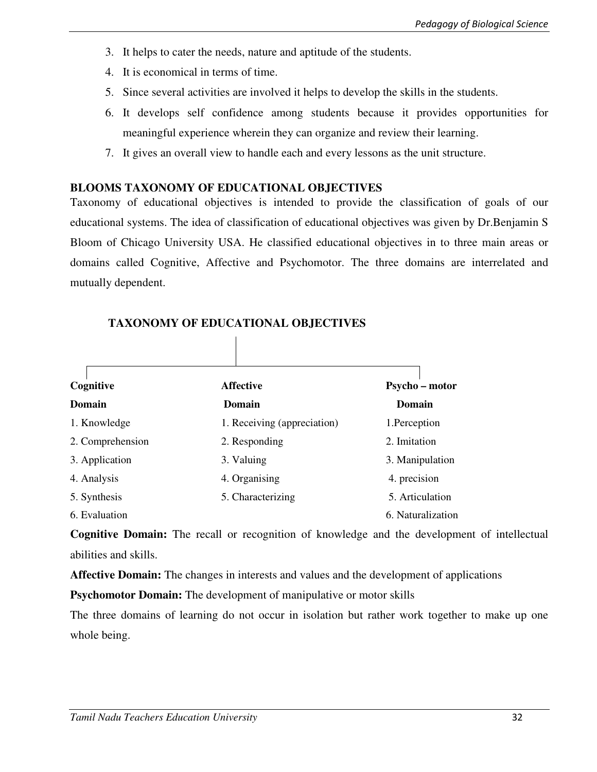- 3. It helps to cater the needs, nature and aptitude of the students.
- 4. It is economical in terms of time.
- 5. Since several activities are involved it helps to develop the skills in the students.
- 6. It develops self confidence among students because it provides opportunities for meaningful experience wherein they can organize and review their learning.
- 7. It gives an overall view to handle each and every lessons as the unit structure.

# **BLOOMS TAXONOMY OF EDUCATIONAL OBJECTIVES**

Taxonomy of educational objectives is intended to provide the classification of goals of our educational systems. The idea of classification of educational objectives was given by Dr.Benjamin S Bloom of Chicago University USA. He classified educational objectives in to three main areas or domains called Cognitive, Affective and Psychomotor. The three domains are interrelated and mutually dependent.

| Cognitive        | <b>Affective</b>            | Psycho - motor    |
|------------------|-----------------------------|-------------------|
| Domain           | Domain                      | <b>Domain</b>     |
| 1. Knowledge     | 1. Receiving (appreciation) | 1.Perception      |
| 2. Comprehension | 2. Responding               | 2. Imitation      |
| 3. Application   | 3. Valuing                  | 3. Manipulation   |
| 4. Analysis      | 4. Organising               | 4. precision      |
| 5. Synthesis     | 5. Characterizing           | 5. Articulation   |
| 6. Evaluation    |                             | 6. Naturalization |

# **TAXONOMY OF EDUCATIONAL OBJECTIVES**

**Cognitive Domain:** The recall or recognition of knowledge and the development of intellectual abilities and skills.

**Affective Domain:** The changes in interests and values and the development of applications

**Psychomotor Domain:** The development of manipulative or motor skills

The three domains of learning do not occur in isolation but rather work together to make up one whole being.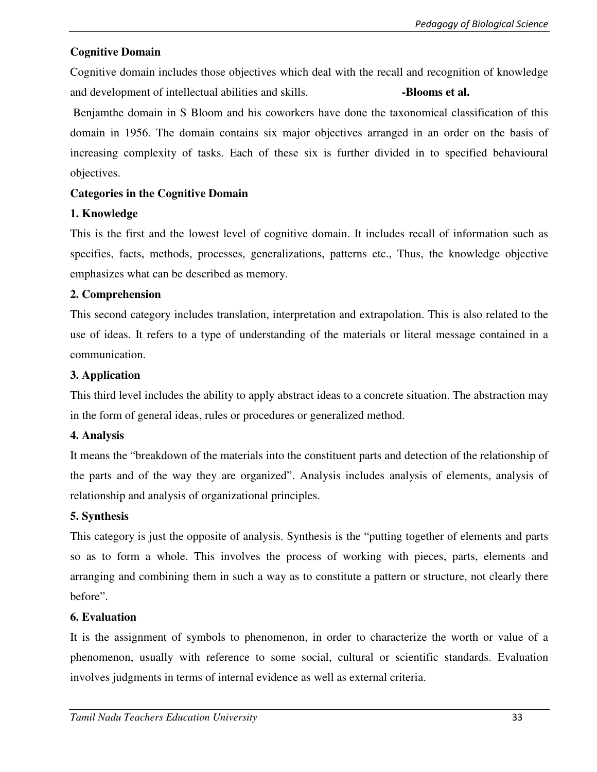# **Cognitive Domain**

Cognitive domain includes those objectives which deal with the recall and recognition of knowledge and development of intellectual abilities and skills. **Blooms et al. -Blooms et al.** 

 Benjamthe domain in S Bloom and his coworkers have done the taxonomical classification of this domain in 1956. The domain contains six major objectives arranged in an order on the basis of increasing complexity of tasks. Each of these six is further divided in to specified behavioural objectives.

# **Categories in the Cognitive Domain**

# **1. Knowledge**

This is the first and the lowest level of cognitive domain. It includes recall of information such as specifies, facts, methods, processes, generalizations, patterns etc., Thus, the knowledge objective emphasizes what can be described as memory.

# **2. Comprehension**

This second category includes translation, interpretation and extrapolation. This is also related to the use of ideas. It refers to a type of understanding of the materials or literal message contained in a communication.

# **3. Application**

This third level includes the ability to apply abstract ideas to a concrete situation. The abstraction may in the form of general ideas, rules or procedures or generalized method.

# **4. Analysis**

It means the "breakdown of the materials into the constituent parts and detection of the relationship of the parts and of the way they are organized". Analysis includes analysis of elements, analysis of relationship and analysis of organizational principles.

# **5. Synthesis**

This category is just the opposite of analysis. Synthesis is the "putting together of elements and parts so as to form a whole. This involves the process of working with pieces, parts, elements and arranging and combining them in such a way as to constitute a pattern or structure, not clearly there before".

# **6. Evaluation**

It is the assignment of symbols to phenomenon, in order to characterize the worth or value of a phenomenon, usually with reference to some social, cultural or scientific standards. Evaluation involves judgments in terms of internal evidence as well as external criteria.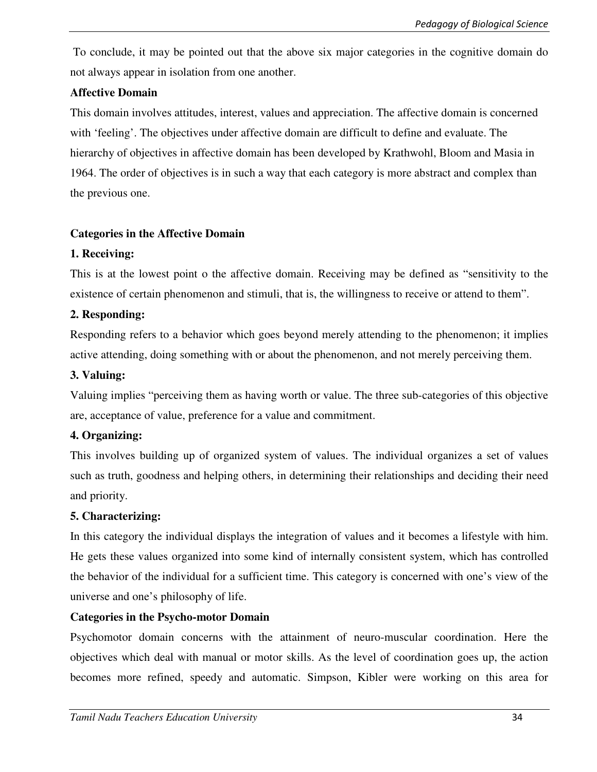To conclude, it may be pointed out that the above six major categories in the cognitive domain do not always appear in isolation from one another.

# **Affective Domain**

This domain involves attitudes, interest, values and appreciation. The affective domain is concerned with 'feeling'. The objectives under affective domain are difficult to define and evaluate. The hierarchy of objectives in affective domain has been developed by Krathwohl, Bloom and Masia in 1964. The order of objectives is in such a way that each category is more abstract and complex than the previous one.

# **Categories in the Affective Domain**

# **1. Receiving:**

This is at the lowest point o the affective domain. Receiving may be defined as "sensitivity to the existence of certain phenomenon and stimuli, that is, the willingness to receive or attend to them".

# **2. Responding:**

Responding refers to a behavior which goes beyond merely attending to the phenomenon; it implies active attending, doing something with or about the phenomenon, and not merely perceiving them.

# **3. Valuing:**

Valuing implies "perceiving them as having worth or value. The three sub-categories of this objective are, acceptance of value, preference for a value and commitment.

# **4. Organizing:**

This involves building up of organized system of values. The individual organizes a set of values such as truth, goodness and helping others, in determining their relationships and deciding their need and priority.

# **5. Characterizing:**

In this category the individual displays the integration of values and it becomes a lifestyle with him. He gets these values organized into some kind of internally consistent system, which has controlled the behavior of the individual for a sufficient time. This category is concerned with one's view of the universe and one's philosophy of life.

# **Categories in the Psycho-motor Domain**

Psychomotor domain concerns with the attainment of neuro-muscular coordination. Here the objectives which deal with manual or motor skills. As the level of coordination goes up, the action becomes more refined, speedy and automatic. Simpson, Kibler were working on this area for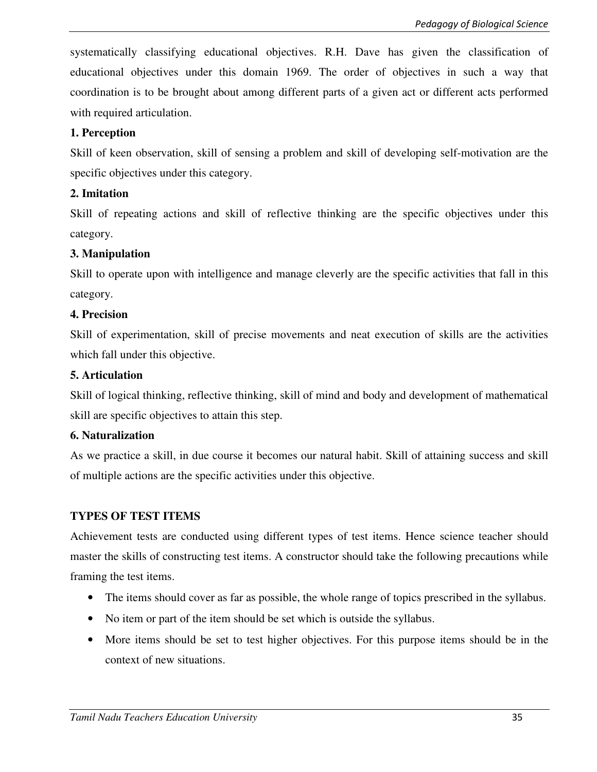systematically classifying educational objectives. R.H. Dave has given the classification of educational objectives under this domain 1969. The order of objectives in such a way that coordination is to be brought about among different parts of a given act or different acts performed with required articulation.

# **1. Perception**

Skill of keen observation, skill of sensing a problem and skill of developing self-motivation are the specific objectives under this category.

# **2. Imitation**

Skill of repeating actions and skill of reflective thinking are the specific objectives under this category.

# **3. Manipulation**

Skill to operate upon with intelligence and manage cleverly are the specific activities that fall in this category.

# **4. Precision**

Skill of experimentation, skill of precise movements and neat execution of skills are the activities which fall under this objective.

# **5. Articulation**

Skill of logical thinking, reflective thinking, skill of mind and body and development of mathematical skill are specific objectives to attain this step.

# **6. Naturalization**

As we practice a skill, in due course it becomes our natural habit. Skill of attaining success and skill of multiple actions are the specific activities under this objective.

# **TYPES OF TEST ITEMS**

Achievement tests are conducted using different types of test items. Hence science teacher should master the skills of constructing test items. A constructor should take the following precautions while framing the test items.

- The items should cover as far as possible, the whole range of topics prescribed in the syllabus.
- No item or part of the item should be set which is outside the syllabus.
- More items should be set to test higher objectives. For this purpose items should be in the context of new situations.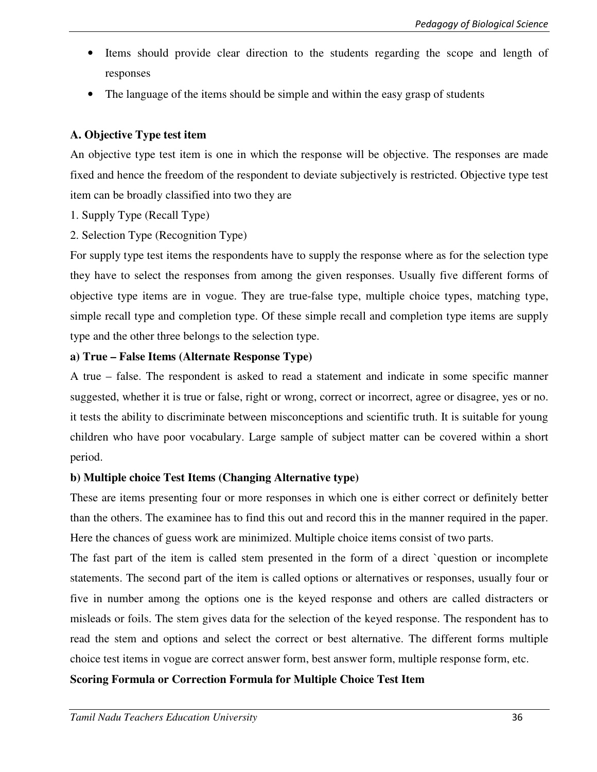- Items should provide clear direction to the students regarding the scope and length of responses
- The language of the items should be simple and within the easy grasp of students

# **A. Objective Type test item**

An objective type test item is one in which the response will be objective. The responses are made fixed and hence the freedom of the respondent to deviate subjectively is restricted. Objective type test item can be broadly classified into two they are

- 1. Supply Type (Recall Type)
- 2. Selection Type (Recognition Type)

For supply type test items the respondents have to supply the response where as for the selection type they have to select the responses from among the given responses. Usually five different forms of objective type items are in vogue. They are true-false type, multiple choice types, matching type, simple recall type and completion type. Of these simple recall and completion type items are supply type and the other three belongs to the selection type.

# **a) True – False Items (Alternate Response Type)**

A true – false. The respondent is asked to read a statement and indicate in some specific manner suggested, whether it is true or false, right or wrong, correct or incorrect, agree or disagree, yes or no. it tests the ability to discriminate between misconceptions and scientific truth. It is suitable for young children who have poor vocabulary. Large sample of subject matter can be covered within a short period.

# **b) Multiple choice Test Items (Changing Alternative type)**

These are items presenting four or more responses in which one is either correct or definitely better than the others. The examinee has to find this out and record this in the manner required in the paper. Here the chances of guess work are minimized. Multiple choice items consist of two parts.

The fast part of the item is called stem presented in the form of a direct `question or incomplete statements. The second part of the item is called options or alternatives or responses, usually four or five in number among the options one is the keyed response and others are called distracters or misleads or foils. The stem gives data for the selection of the keyed response. The respondent has to read the stem and options and select the correct or best alternative. The different forms multiple choice test items in vogue are correct answer form, best answer form, multiple response form, etc.

# **Scoring Formula or Correction Formula for Multiple Choice Test Item**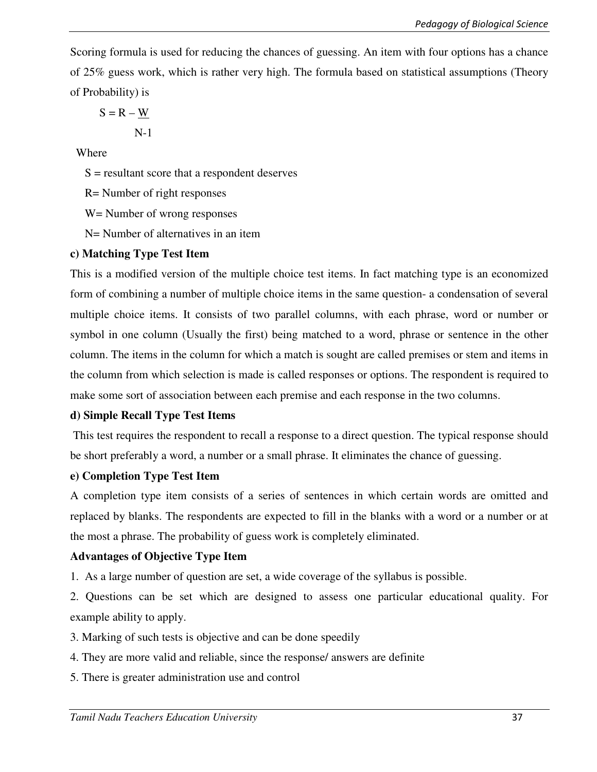Scoring formula is used for reducing the chances of guessing. An item with four options has a chance of 25% guess work, which is rather very high. The formula based on statistical assumptions (Theory of Probability) is

$$
S = R - \underline{W}
$$
  
N-1

Where

 $S =$  resultant score that a respondent deserves

R= Number of right responses

W= Number of wrong responses

N= Number of alternatives in an item

#### **c) Matching Type Test Item**

This is a modified version of the multiple choice test items. In fact matching type is an economized form of combining a number of multiple choice items in the same question- a condensation of several multiple choice items. It consists of two parallel columns, with each phrase, word or number or symbol in one column (Usually the first) being matched to a word, phrase or sentence in the other column. The items in the column for which a match is sought are called premises or stem and items in the column from which selection is made is called responses or options. The respondent is required to make some sort of association between each premise and each response in the two columns.

#### **d) Simple Recall Type Test Items**

 This test requires the respondent to recall a response to a direct question. The typical response should be short preferably a word, a number or a small phrase. It eliminates the chance of guessing.

#### **e) Completion Type Test Item**

A completion type item consists of a series of sentences in which certain words are omitted and replaced by blanks. The respondents are expected to fill in the blanks with a word or a number or at the most a phrase. The probability of guess work is completely eliminated.

#### **Advantages of Objective Type Item**

1. As a large number of question are set, a wide coverage of the syllabus is possible.

2. Questions can be set which are designed to assess one particular educational quality. For example ability to apply.

- 3. Marking of such tests is objective and can be done speedily
- 4. They are more valid and reliable, since the response/ answers are definite
- 5. There is greater administration use and control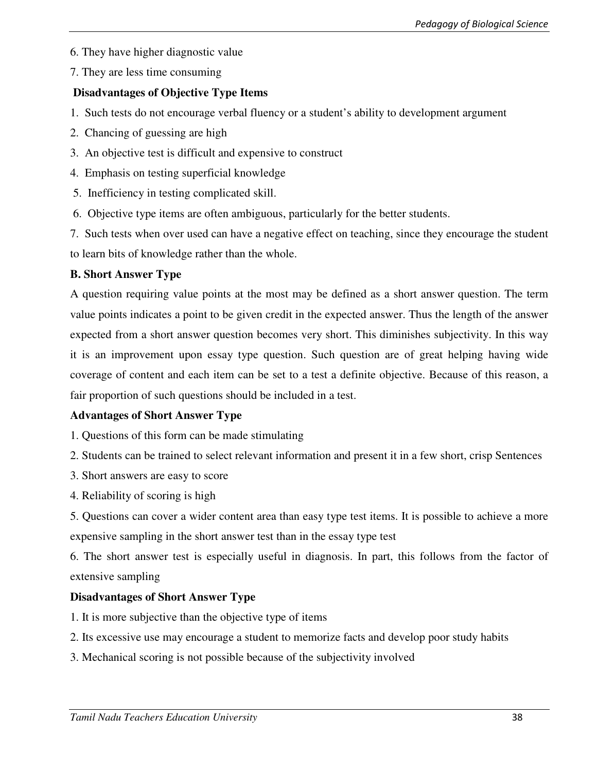6. They have higher diagnostic value

7. They are less time consuming

# **Disadvantages of Objective Type Items**

- 1. Such tests do not encourage verbal fluency or a student's ability to development argument
- 2. Chancing of guessing are high
- 3. An objective test is difficult and expensive to construct
- 4. Emphasis on testing superficial knowledge
- 5. Inefficiency in testing complicated skill.
- 6. Objective type items are often ambiguous, particularly for the better students.

7. Such tests when over used can have a negative effect on teaching, since they encourage the student to learn bits of knowledge rather than the whole.

# **B. Short Answer Type**

A question requiring value points at the most may be defined as a short answer question. The term value points indicates a point to be given credit in the expected answer. Thus the length of the answer expected from a short answer question becomes very short. This diminishes subjectivity. In this way it is an improvement upon essay type question. Such question are of great helping having wide coverage of content and each item can be set to a test a definite objective. Because of this reason, a fair proportion of such questions should be included in a test.

# **Advantages of Short Answer Type**

- 1. Questions of this form can be made stimulating
- 2. Students can be trained to select relevant information and present it in a few short, crisp Sentences
- 3. Short answers are easy to score
- 4. Reliability of scoring is high

5. Questions can cover a wider content area than easy type test items. It is possible to achieve a more expensive sampling in the short answer test than in the essay type test

6. The short answer test is especially useful in diagnosis. In part, this follows from the factor of extensive sampling

# **Disadvantages of Short Answer Type**

- 1. It is more subjective than the objective type of items
- 2. Its excessive use may encourage a student to memorize facts and develop poor study habits
- 3. Mechanical scoring is not possible because of the subjectivity involved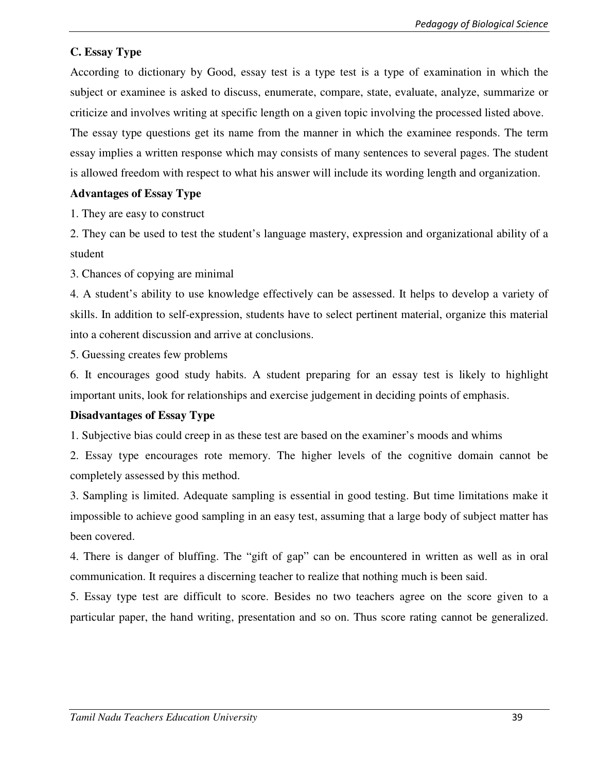# **C. Essay Type**

According to dictionary by Good, essay test is a type test is a type of examination in which the subject or examinee is asked to discuss, enumerate, compare, state, evaluate, analyze, summarize or criticize and involves writing at specific length on a given topic involving the processed listed above.

The essay type questions get its name from the manner in which the examinee responds. The term essay implies a written response which may consists of many sentences to several pages. The student is allowed freedom with respect to what his answer will include its wording length and organization.

### **Advantages of Essay Type**

1. They are easy to construct

2. They can be used to test the student's language mastery, expression and organizational ability of a student

3. Chances of copying are minimal

4. A student's ability to use knowledge effectively can be assessed. It helps to develop a variety of skills. In addition to self-expression, students have to select pertinent material, organize this material into a coherent discussion and arrive at conclusions.

5. Guessing creates few problems

6. It encourages good study habits. A student preparing for an essay test is likely to highlight important units, look for relationships and exercise judgement in deciding points of emphasis.

# **Disadvantages of Essay Type**

1. Subjective bias could creep in as these test are based on the examiner's moods and whims

2. Essay type encourages rote memory. The higher levels of the cognitive domain cannot be completely assessed by this method.

3. Sampling is limited. Adequate sampling is essential in good testing. But time limitations make it impossible to achieve good sampling in an easy test, assuming that a large body of subject matter has been covered.

4. There is danger of bluffing. The "gift of gap" can be encountered in written as well as in oral communication. It requires a discerning teacher to realize that nothing much is been said.

5. Essay type test are difficult to score. Besides no two teachers agree on the score given to a particular paper, the hand writing, presentation and so on. Thus score rating cannot be generalized.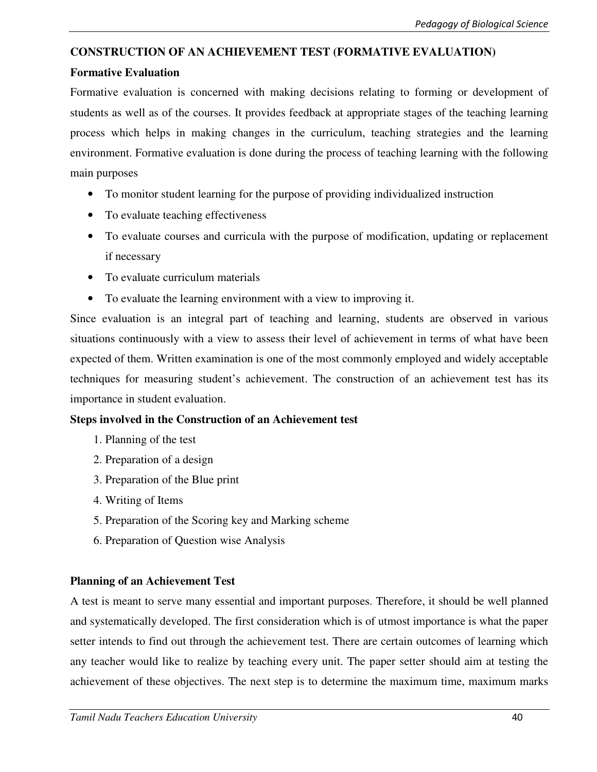# **CONSTRUCTION OF AN ACHIEVEMENT TEST (FORMATIVE EVALUATION)**

## **Formative Evaluation**

Formative evaluation is concerned with making decisions relating to forming or development of students as well as of the courses. It provides feedback at appropriate stages of the teaching learning process which helps in making changes in the curriculum, teaching strategies and the learning environment. Formative evaluation is done during the process of teaching learning with the following main purposes

- To monitor student learning for the purpose of providing individualized instruction
- To evaluate teaching effectiveness
- To evaluate courses and curricula with the purpose of modification, updating or replacement if necessary
- To evaluate curriculum materials
- To evaluate the learning environment with a view to improving it.

Since evaluation is an integral part of teaching and learning, students are observed in various situations continuously with a view to assess their level of achievement in terms of what have been expected of them. Written examination is one of the most commonly employed and widely acceptable techniques for measuring student's achievement. The construction of an achievement test has its importance in student evaluation.

# **Steps involved in the Construction of an Achievement test**

- 1. Planning of the test
- 2. Preparation of a design
- 3. Preparation of the Blue print
- 4. Writing of Items
- 5. Preparation of the Scoring key and Marking scheme
- 6. Preparation of Question wise Analysis

# **Planning of an Achievement Test**

A test is meant to serve many essential and important purposes. Therefore, it should be well planned and systematically developed. The first consideration which is of utmost importance is what the paper setter intends to find out through the achievement test. There are certain outcomes of learning which any teacher would like to realize by teaching every unit. The paper setter should aim at testing the achievement of these objectives. The next step is to determine the maximum time, maximum marks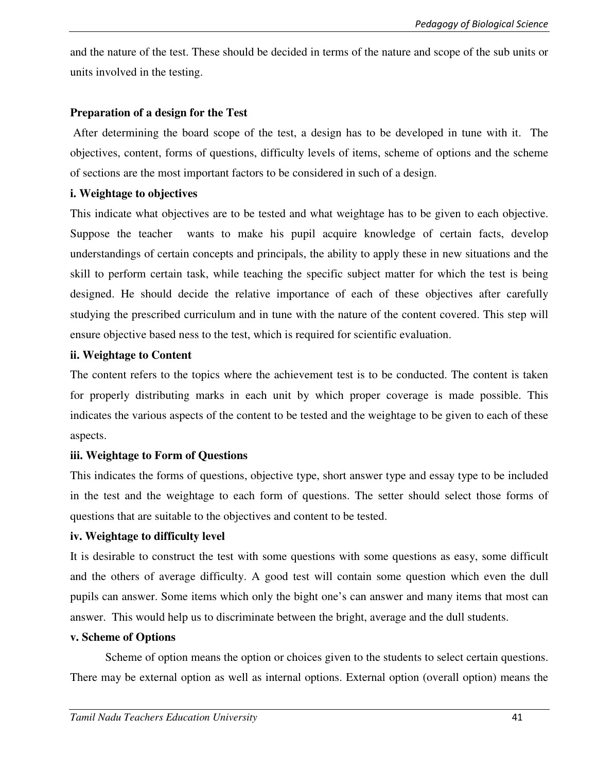and the nature of the test. These should be decided in terms of the nature and scope of the sub units or units involved in the testing.

### **Preparation of a design for the Test**

 After determining the board scope of the test, a design has to be developed in tune with it. The objectives, content, forms of questions, difficulty levels of items, scheme of options and the scheme of sections are the most important factors to be considered in such of a design.

### **i. Weightage to objectives**

This indicate what objectives are to be tested and what weightage has to be given to each objective. Suppose the teacher wants to make his pupil acquire knowledge of certain facts, develop understandings of certain concepts and principals, the ability to apply these in new situations and the skill to perform certain task, while teaching the specific subject matter for which the test is being designed. He should decide the relative importance of each of these objectives after carefully studying the prescribed curriculum and in tune with the nature of the content covered. This step will ensure objective based ness to the test, which is required for scientific evaluation.

### **ii. Weightage to Content**

The content refers to the topics where the achievement test is to be conducted. The content is taken for properly distributing marks in each unit by which proper coverage is made possible. This indicates the various aspects of the content to be tested and the weightage to be given to each of these aspects.

# **iii. Weightage to Form of Questions**

This indicates the forms of questions, objective type, short answer type and essay type to be included in the test and the weightage to each form of questions. The setter should select those forms of questions that are suitable to the objectives and content to be tested.

# **iv. Weightage to difficulty level**

It is desirable to construct the test with some questions with some questions as easy, some difficult and the others of average difficulty. A good test will contain some question which even the dull pupils can answer. Some items which only the bight one's can answer and many items that most can answer. This would help us to discriminate between the bright, average and the dull students.

#### **v. Scheme of Options**

 Scheme of option means the option or choices given to the students to select certain questions. There may be external option as well as internal options. External option (overall option) means the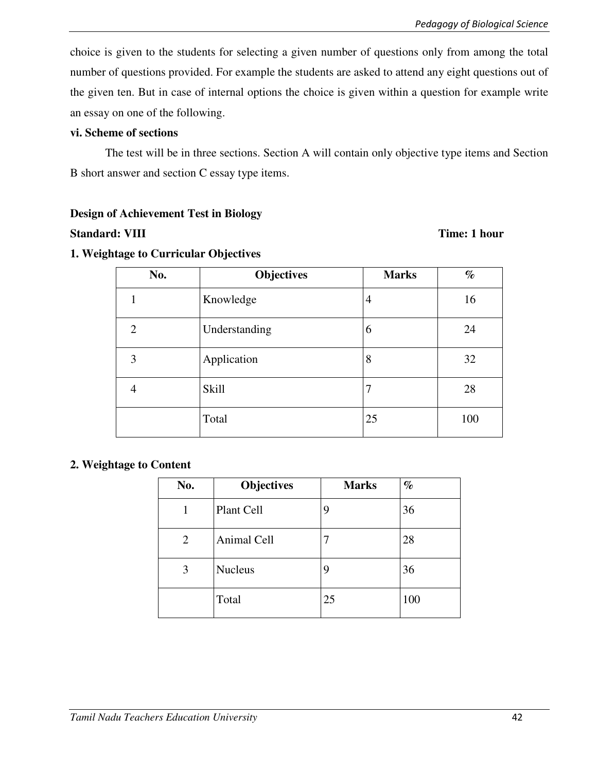choice is given to the students for selecting a given number of questions only from among the total number of questions provided. For example the students are asked to attend any eight questions out of the given ten. But in case of internal options the choice is given within a question for example write an essay on one of the following.

#### **vi. Scheme of sections**

 The test will be in three sections. Section A will contain only objective type items and Section B short answer and section C essay type items.

#### **Design of Achievement Test in Biology**

#### **Standard: VIII** Time: 1 hour

### **1. Weightage to Curricular Objectives**

| No. | <b>Objectives</b> | <b>Marks</b> |     |
|-----|-------------------|--------------|-----|
|     | Knowledge         | 4            | 16  |
| 2   | Understanding     | 6            | 24  |
| 3   | Application       | 8            | 32  |
| 4   | <b>Skill</b>      | 7            | 28  |
|     | Total             | 25           | 100 |

#### **2. Weightage to Content**

| No. | <b>Objectives</b> | <b>Marks</b> | $\%$ |
|-----|-------------------|--------------|------|
| 1   | Plant Cell        | 9            | 36   |
| 2   | Animal Cell       | 7            | 28   |
| 3   | <b>Nucleus</b>    | 9            | 36   |
|     | Total             | 25           | 100  |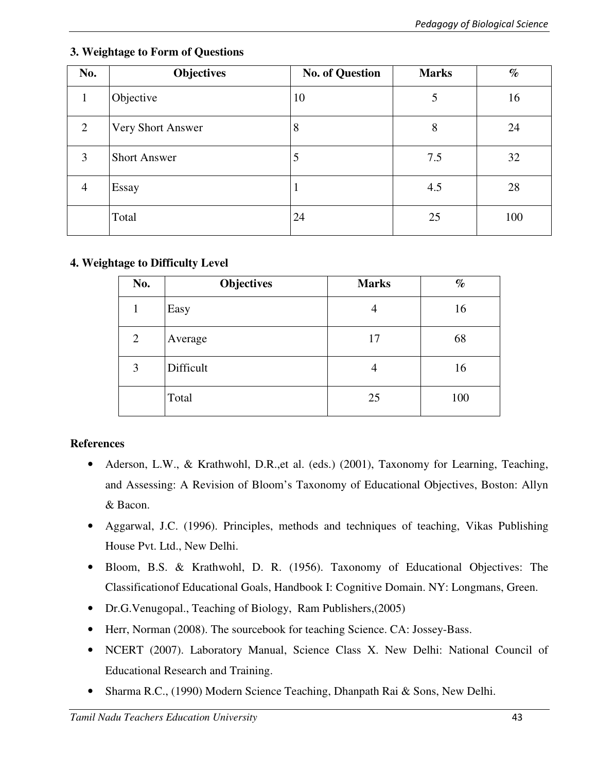| No.            | <b>Objectives</b>   | <b>No. of Question</b> | <b>Marks</b> | $\%$ |
|----------------|---------------------|------------------------|--------------|------|
| 1              | Objective           | 10                     | 5            | 16   |
| 2              | Very Short Answer   | 8                      | 8            | 24   |
| 3              | <b>Short Answer</b> | 5                      | 7.5          | 32   |
| $\overline{4}$ | Essay               |                        | 4.5          | 28   |
|                | Total               | 24                     | 25           | 100  |

# **3. Weightage to Form of Questions**

# **4. Weightage to Difficulty Level**

| No. | Objectives | <b>Marks</b> | $\%$ |
|-----|------------|--------------|------|
|     | Easy       | 4            | 16   |
| 2   | Average    | 17           | 68   |
| 3   | Difficult  | 4            | 16   |
|     | Total      | 25           | 100  |

# **References**

- Aderson, L.W., & Krathwohl, D.R.,et al. (eds.) (2001), Taxonomy for Learning, Teaching, and Assessing: A Revision of Bloom's Taxonomy of Educational Objectives, Boston: Allyn & Bacon.
- Aggarwal, J.C. (1996). Principles, methods and techniques of teaching, Vikas Publishing House Pvt. Ltd., New Delhi.
- Bloom, B.S. & Krathwohl, D. R. (1956). Taxonomy of Educational Objectives: The Classificationof Educational Goals, Handbook I: Cognitive Domain. NY: Longmans, Green.
- Dr.G.Venugopal., Teaching of Biology, Ram Publishers,(2005)
- Herr, Norman (2008). The sourcebook for teaching Science. CA: Jossey-Bass.
- NCERT (2007). Laboratory Manual, Science Class X. New Delhi: National Council of Educational Research and Training.
- Sharma R.C., (1990) Modern Science Teaching, Dhanpath Rai & Sons, New Delhi.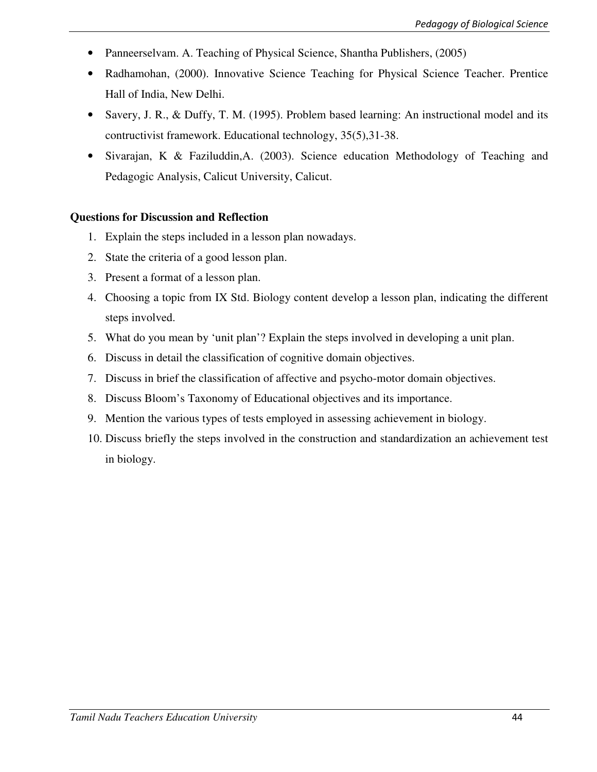- Panneerselvam. A. Teaching of Physical Science, Shantha Publishers, (2005)
- Radhamohan, (2000). Innovative Science Teaching for Physical Science Teacher. Prentice Hall of India, New Delhi.
- Savery, J. R., & Duffy, T. M. (1995). Problem based learning: An instructional model and its contructivist framework. Educational technology, 35(5),31-38.
- Sivarajan, K & Faziluddin,A. (2003). Science education Methodology of Teaching and Pedagogic Analysis, Calicut University, Calicut.

### **Questions for Discussion and Reflection**

- 1. Explain the steps included in a lesson plan nowadays.
- 2. State the criteria of a good lesson plan.
- 3. Present a format of a lesson plan.
- 4. Choosing a topic from IX Std. Biology content develop a lesson plan, indicating the different steps involved.
- 5. What do you mean by 'unit plan'? Explain the steps involved in developing a unit plan.
- 6. Discuss in detail the classification of cognitive domain objectives.
- 7. Discuss in brief the classification of affective and psycho-motor domain objectives.
- 8. Discuss Bloom's Taxonomy of Educational objectives and its importance.
- 9. Mention the various types of tests employed in assessing achievement in biology.
- 10. Discuss briefly the steps involved in the construction and standardization an achievement test in biology.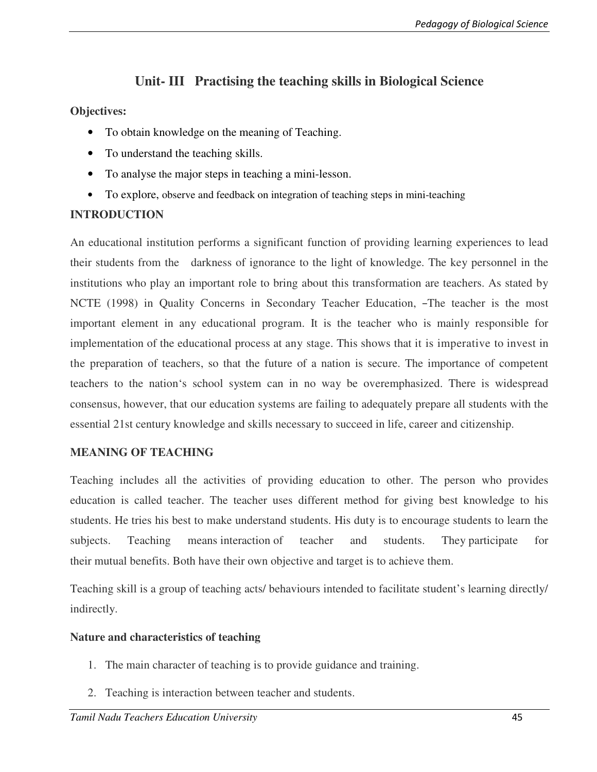# **Unit- III Practising the teaching skills in Biological Science**

## **Objectives:**

- To obtain knowledge on the meaning of Teaching.
- To understand the teaching skills.
- To analyse the major steps in teaching a mini-lesson.
- To explore, observe and feedback on integration of teaching steps in mini-teaching

### **INTRODUCTION**

An educational institution performs a significant function of providing learning experiences to lead their students from the darkness of ignorance to the light of knowledge. The key personnel in the institutions who play an important role to bring about this transformation are teachers. As stated by NCTE (1998) in Quality Concerns in Secondary Teacher Education, ―The teacher is the most important element in any educational program. It is the teacher who is mainly responsible for implementation of the educational process at any stage. This shows that it is imperative to invest in the preparation of teachers, so that the future of a nation is secure. The importance of competent teachers to the nation's school system can in no way be overemphasized. There is widespread consensus, however, that our education systems are failing to adequately prepare all students with the essential 21st century knowledge and skills necessary to succeed in life, career and citizenship.

# **MEANING OF TEACHING**

Teaching includes all the activities of providing education to other. The person who provides education is called teacher. The teacher uses different method for giving best knowledge to his students. He tries his best to make understand students. His duty is to encourage students to learn the subjects. Teaching means interaction of teacher and students. They participate for their mutual benefits. Both have their own objective and target is to achieve them.

Teaching skill is a group of teaching acts/ behaviours intended to facilitate student's learning directly/ indirectly.

#### **Nature and characteristics of teaching**

- 1. The main character of teaching is to provide guidance and training.
- 2. Teaching is interaction between teacher and students.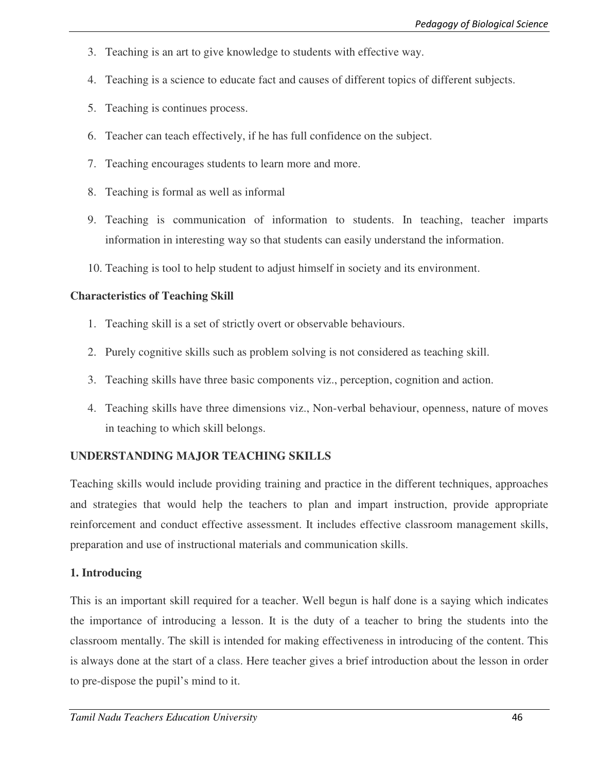- 3. Teaching is an art to give knowledge to students with effective way.
- 4. Teaching is a science to educate fact and causes of different topics of different subjects.
- 5. Teaching is continues process.
- 6. Teacher can teach effectively, if he has full confidence on the subject.
- 7. Teaching encourages students to learn more and more.
- 8. Teaching is formal as well as informal
- 9. Teaching is communication of information to students. In teaching, teacher imparts information in interesting way so that students can easily understand the information.
- 10. Teaching is tool to help student to adjust himself in society and its environment.

# **Characteristics of Teaching Skill**

- 1. Teaching skill is a set of strictly overt or observable behaviours.
- 2. Purely cognitive skills such as problem solving is not considered as teaching skill.
- 3. Teaching skills have three basic components viz., perception, cognition and action.
- 4. Teaching skills have three dimensions viz., Non-verbal behaviour, openness, nature of moves in teaching to which skill belongs.

# **UNDERSTANDING MAJOR TEACHING SKILLS**

Teaching skills would include providing training and practice in the different techniques, approaches and strategies that would help the teachers to plan and impart instruction, provide appropriate reinforcement and conduct effective assessment. It includes effective classroom management skills, preparation and use of instructional materials and communication skills.

# **1. Introducing**

This is an important skill required for a teacher. Well begun is half done is a saying which indicates the importance of introducing a lesson. It is the duty of a teacher to bring the students into the classroom mentally. The skill is intended for making effectiveness in introducing of the content. This is always done at the start of a class. Here teacher gives a brief introduction about the lesson in order to pre-dispose the pupil's mind to it.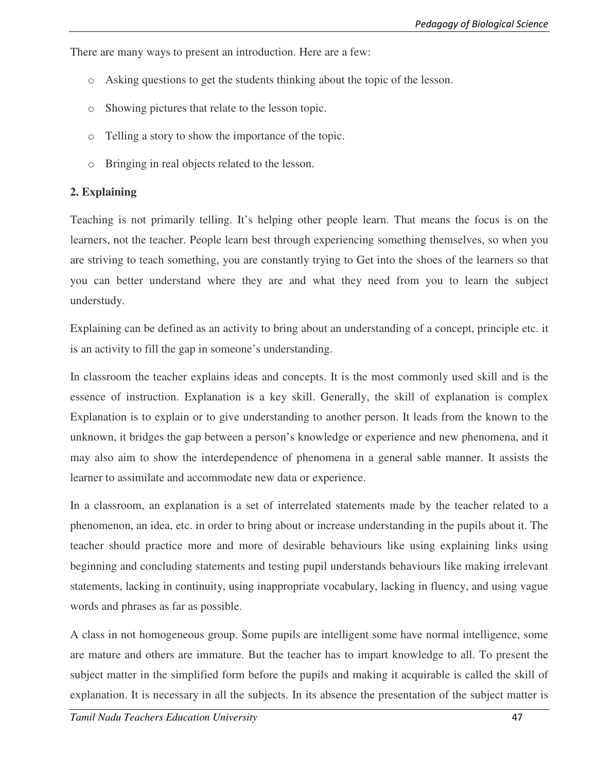There are many ways to present an introduction. Here are a few:

- o Asking questions to get the students thinking about the topic of the lesson.
- o Showing pictures that relate to the lesson topic.
- o Telling a story to show the importance of the topic.
- o Bringing in real objects related to the lesson.

#### **2. Explaining**

Teaching is not primarily telling. It's helping other people learn. That means the focus is on the learners, not the teacher. People learn best through experiencing something themselves, so when you are striving to teach something, you are constantly trying to Get into the shoes of the learners so that you can better understand where they are and what they need from you to learn the subject understudy.

Explaining can be defined as an activity to bring about an understanding of a concept, principle etc. it is an activity to fill the gap in someone's understanding.

In classroom the teacher explains ideas and concepts. It is the most commonly used skill and is the essence of instruction. Explanation is a key skill. Generally, the skill of explanation is complex Explanation is to explain or to give understanding to another person. It leads from the known to the unknown, it bridges the gap between a person's knowledge or experience and new phenomena, and it may also aim to show the interdependence of phenomena in a general sable manner. It assists the learner to assimilate and accommodate new data or experience.

In a classroom, an explanation is a set of interrelated statements made by the teacher related to a phenomenon, an idea, etc. in order to bring about or increase understanding in the pupils about it. The teacher should practice more and more of desirable behaviours like using explaining links using beginning and concluding statements and testing pupil understands behaviours like making irrelevant statements, lacking in continuity, using inappropriate vocabulary, lacking in fluency, and using vague words and phrases as far as possible.

A class in not homogeneous group. Some pupils are intelligent some have normal intelligence, some are mature and others are immature. But the teacher has to impart knowledge to all. To present the subject matter in the simplified form before the pupils and making it acquirable is called the skill of explanation. It is necessary in all the subjects. In its absence the presentation of the subject matter is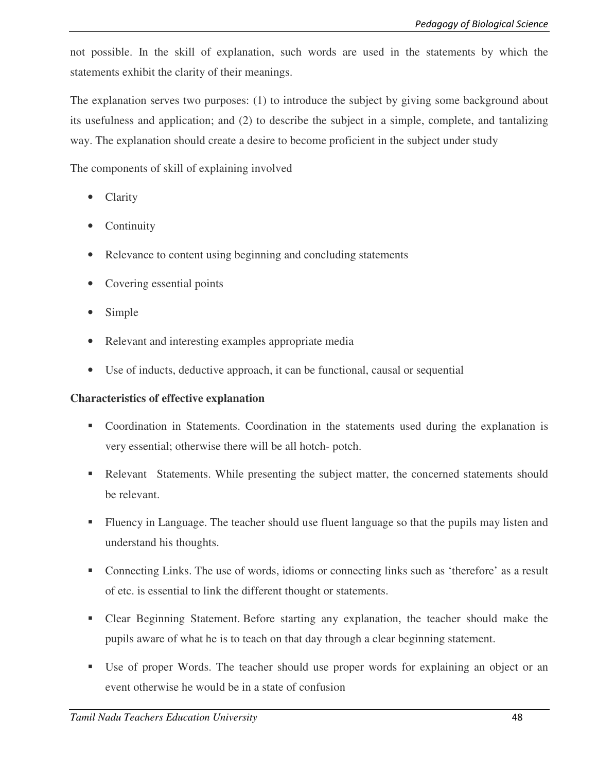not possible. In the skill of explanation, such words are used in the statements by which the statements exhibit the clarity of their meanings.

The explanation serves two purposes: (1) to introduce the subject by giving some background about its usefulness and application; and (2) to describe the subject in a simple, complete, and tantalizing way. The explanation should create a desire to become proficient in the subject under study

The components of skill of explaining involved

- Clarity
- **Continuity**
- Relevance to content using beginning and concluding statements
- Covering essential points
- Simple
- Relevant and interesting examples appropriate media
- Use of inducts, deductive approach, it can be functional, causal or sequential

# **Characteristics of effective explanation**

- Coordination in Statements. Coordination in the statements used during the explanation is very essential; otherwise there will be all hotch- potch.
- Relevant Statements. While presenting the subject matter, the concerned statements should be relevant.
- Fluency in Language. The teacher should use fluent language so that the pupils may listen and understand his thoughts.
- Connecting Links. The use of words, idioms or connecting links such as 'therefore' as a result of etc. is essential to link the different thought or statements.
- Clear Beginning Statement. Before starting any explanation, the teacher should make the pupils aware of what he is to teach on that day through a clear beginning statement.
- Use of proper Words. The teacher should use proper words for explaining an object or an event otherwise he would be in a state of confusion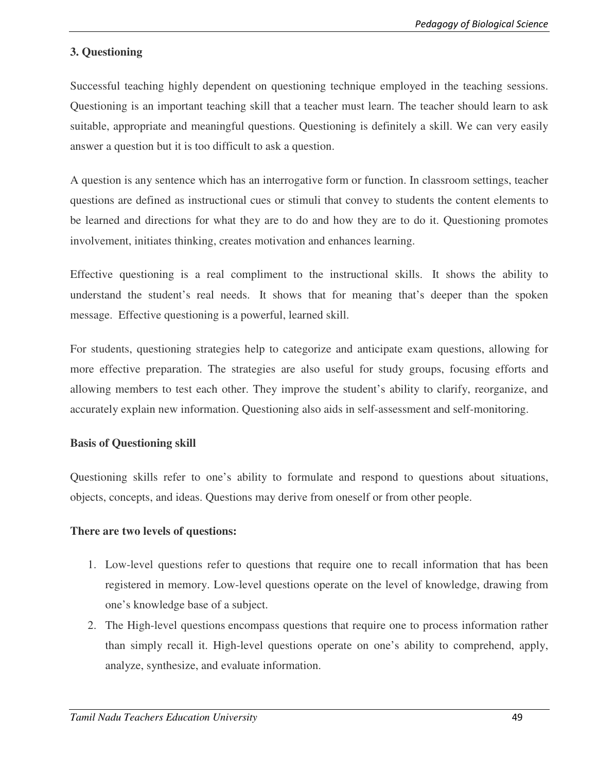# **3. Questioning**

Successful teaching highly dependent on questioning technique employed in the teaching sessions. Questioning is an important teaching skill that a teacher must learn. The teacher should learn to ask suitable, appropriate and meaningful questions. Questioning is definitely a skill. We can very easily answer a question but it is too difficult to ask a question.

A question is any sentence which has an interrogative form or function. In classroom settings, teacher questions are defined as instructional cues or stimuli that convey to students the content elements to be learned and directions for what they are to do and how they are to do it. Questioning promotes involvement, initiates thinking, creates motivation and enhances learning.

Effective questioning is a real compliment to the instructional skills. It shows the ability to understand the student's real needs. It shows that for meaning that's deeper than the spoken message. Effective questioning is a powerful, learned skill.

For students, questioning strategies help to categorize and anticipate exam questions, allowing for more effective preparation. The strategies are also useful for study groups, focusing efforts and allowing members to test each other. They improve the student's ability to clarify, reorganize, and accurately explain new information. Questioning also aids in self-assessment and self-monitoring.

#### **Basis of Questioning skill**

Questioning skills refer to one's ability to formulate and respond to questions about situations, objects, concepts, and ideas. Questions may derive from oneself or from other people.

#### **There are two levels of questions:**

- 1. Low-level questions refer to questions that require one to recall information that has been registered in memory. Low-level questions operate on the level of knowledge, drawing from one's knowledge base of a subject.
- 2. The High-level questions encompass questions that require one to process information rather than simply recall it. High-level questions operate on one's ability to comprehend, apply, analyze, synthesize, and evaluate information.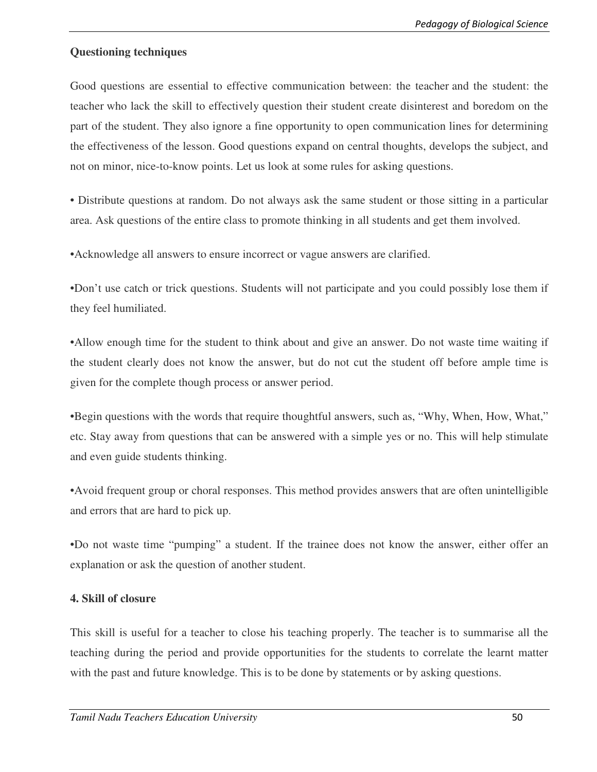### **Questioning techniques**

Good questions are essential to effective communication between: the teacher and the student: the teacher who lack the skill to effectively question their student create disinterest and boredom on the part of the student. They also ignore a fine opportunity to open communication lines for determining the effectiveness of the lesson. Good questions expand on central thoughts, develops the subject, and not on minor, nice-to-know points. Let us look at some rules for asking questions.

• Distribute questions at random. Do not always ask the same student or those sitting in a particular area. Ask questions of the entire class to promote thinking in all students and get them involved.

•Acknowledge all answers to ensure incorrect or vague answers are clarified.

•Don't use catch or trick questions. Students will not participate and you could possibly lose them if they feel humiliated.

•Allow enough time for the student to think about and give an answer. Do not waste time waiting if the student clearly does not know the answer, but do not cut the student off before ample time is given for the complete though process or answer period.

•Begin questions with the words that require thoughtful answers, such as, "Why, When, How, What," etc. Stay away from questions that can be answered with a simple yes or no. This will help stimulate and even guide students thinking.

•Avoid frequent group or choral responses. This method provides answers that are often unintelligible and errors that are hard to pick up.

•Do not waste time "pumping" a student. If the trainee does not know the answer, either offer an explanation or ask the question of another student.

#### **4. Skill of closure**

This skill is useful for a teacher to close his teaching properly. The teacher is to summarise all the teaching during the period and provide opportunities for the students to correlate the learnt matter with the past and future knowledge. This is to be done by statements or by asking questions.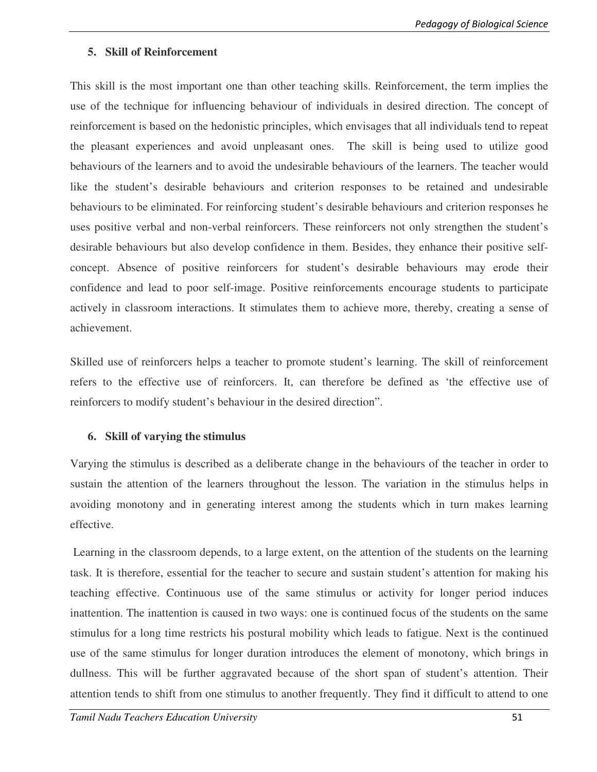### **5. Skill of Reinforcement**

This skill is the most important one than other teaching skills. Reinforcement, the term implies the use of the technique for influencing behaviour of individuals in desired direction. The concept of reinforcement is based on the hedonistic principles, which envisages that all individuals tend to repeat the pleasant experiences and avoid unpleasant ones. The skill is being used to utilize good behaviours of the learners and to avoid the undesirable behaviours of the learners. The teacher would like the student's desirable behaviours and criterion responses to be retained and undesirable behaviours to be eliminated. For reinforcing student's desirable behaviours and criterion responses he uses positive verbal and non-verbal reinforcers. These reinforcers not only strengthen the student's desirable behaviours but also develop confidence in them. Besides, they enhance their positive selfconcept. Absence of positive reinforcers for student's desirable behaviours may erode their confidence and lead to poor self-image. Positive reinforcements encourage students to participate actively in classroom interactions. It stimulates them to achieve more, thereby, creating a sense of achievement.

Skilled use of reinforcers helps a teacher to promote student's learning. The skill of reinforcement refers to the effective use of reinforcers. It, can therefore be defined as 'the effective use of reinforcers to modify student's behaviour in the desired direction".

# **6. Skill of varying the stimulus**

Varying the stimulus is described as a deliberate change in the behaviours of the teacher in order to sustain the attention of the learners throughout the lesson. The variation in the stimulus helps in avoiding monotony and in generating interest among the students which in turn makes learning effective.

 Learning in the classroom depends, to a large extent, on the attention of the students on the learning task. It is therefore, essential for the teacher to secure and sustain student's attention for making his teaching effective. Continuous use of the same stimulus or activity for longer period induces inattention. The inattention is caused in two ways: one is continued focus of the students on the same stimulus for a long time restricts his postural mobility which leads to fatigue. Next is the continued use of the same stimulus for longer duration introduces the element of monotony, which brings in dullness. This will be further aggravated because of the short span of student's attention. Their attention tends to shift from one stimulus to another frequently. They find it difficult to attend to one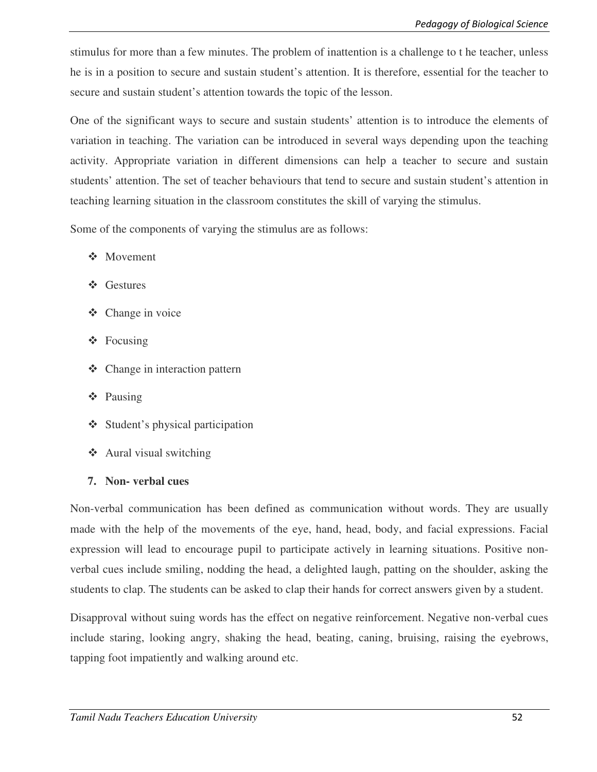stimulus for more than a few minutes. The problem of inattention is a challenge to t he teacher, unless he is in a position to secure and sustain student's attention. It is therefore, essential for the teacher to secure and sustain student's attention towards the topic of the lesson.

One of the significant ways to secure and sustain students' attention is to introduce the elements of variation in teaching. The variation can be introduced in several ways depending upon the teaching activity. Appropriate variation in different dimensions can help a teacher to secure and sustain students' attention. The set of teacher behaviours that tend to secure and sustain student's attention in teaching learning situation in the classroom constitutes the skill of varying the stimulus.

Some of the components of varying the stimulus are as follows:

- Movement
- Gestures
- Change in voice
- Focusing
- Change in interaction pattern
- Pausing
- Student's physical participation
- Aural visual switching
- **7. Non- verbal cues**

Non-verbal communication has been defined as communication without words. They are usually made with the help of the movements of the eye, hand, head, body, and facial expressions. Facial expression will lead to encourage pupil to participate actively in learning situations. Positive nonverbal cues include smiling, nodding the head, a delighted laugh, patting on the shoulder, asking the students to clap. The students can be asked to clap their hands for correct answers given by a student.

Disapproval without suing words has the effect on negative reinforcement. Negative non-verbal cues include staring, looking angry, shaking the head, beating, caning, bruising, raising the eyebrows, tapping foot impatiently and walking around etc.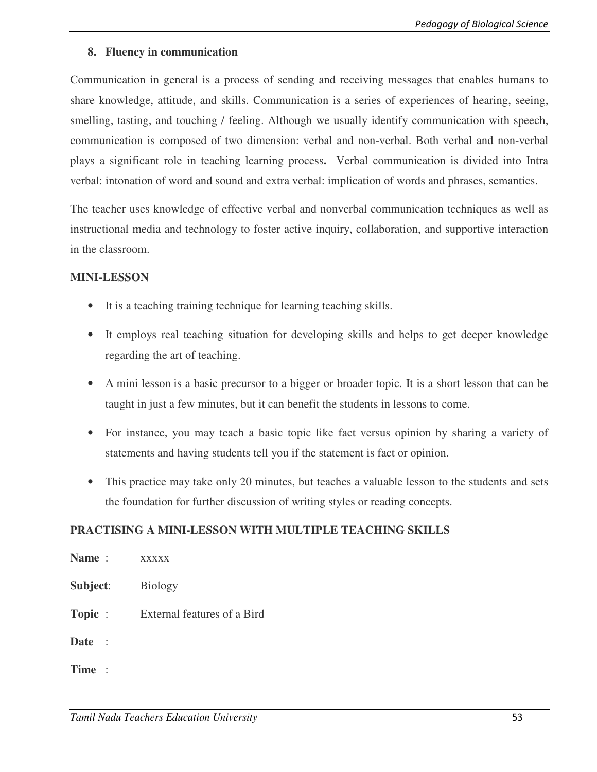#### **8. Fluency in communication**

Communication in general is a process of sending and receiving messages that enables humans to share knowledge, attitude, and skills. Communication is a series of experiences of hearing, seeing, smelling, tasting, and touching / feeling. Although we usually identify communication with speech, communication is composed of two dimension: verbal and non-verbal. Both verbal and non-verbal plays a significant role in teaching learning process**.** Verbal communication is divided into Intra verbal: intonation of word and sound and extra verbal: implication of words and phrases, semantics.

The teacher uses knowledge of effective verbal and nonverbal communication techniques as well as instructional media and technology to foster active inquiry, collaboration, and supportive interaction in the classroom.

#### **MINI-LESSON**

- It is a teaching training technique for learning teaching skills.
- It employs real teaching situation for developing skills and helps to get deeper knowledge regarding the art of teaching.
- A mini lesson is a basic precursor to a bigger or broader topic. It is a short lesson that can be taught in just a few minutes, but it can benefit the students in lessons to come.
- For instance, you may teach a basic topic like fact versus opinion by sharing a variety of statements and having students tell you if the statement is fact or opinion.
- This practice may take only 20 minutes, but teaches a valuable lesson to the students and sets the foundation for further discussion of writing styles or reading concepts.

#### **PRACTISING A MINI-LESSON WITH MULTIPLE TEACHING SKILLS**

| Name:       | <b>XXXXX</b>                |
|-------------|-----------------------------|
| Subject:    | <b>Biology</b>              |
| Topic :     | External features of a Bird |
| <b>Date</b> |                             |
| Time:       |                             |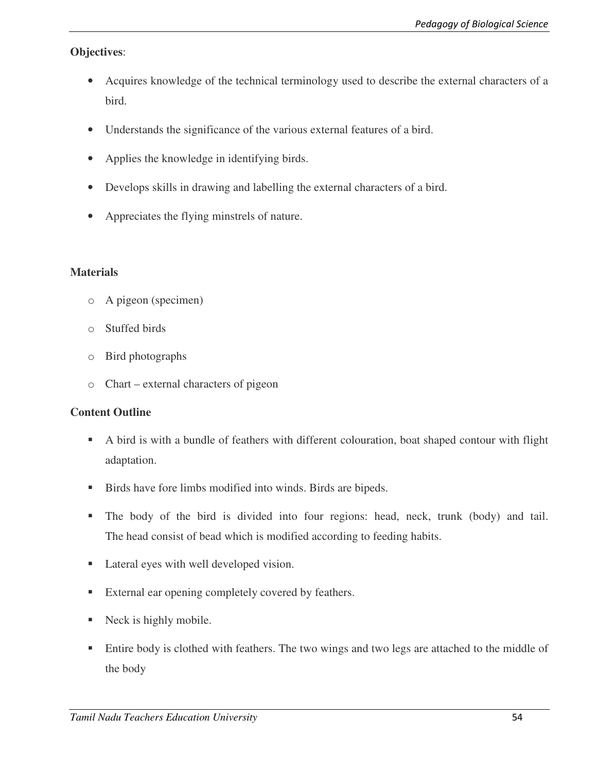# **Objectives**:

- Acquires knowledge of the technical terminology used to describe the external characters of a bird.
- Understands the significance of the various external features of a bird.
- Applies the knowledge in identifying birds.
- Develops skills in drawing and labelling the external characters of a bird.
- Appreciates the flying minstrels of nature.

### **Materials**

- o A pigeon (specimen)
- o Stuffed birds
- o Bird photographs
- o Chart external characters of pigeon

# **Content Outline**

- A bird is with a bundle of feathers with different colouration, boat shaped contour with flight adaptation.
- Birds have fore limbs modified into winds. Birds are bipeds.
- The body of the bird is divided into four regions: head, neck, trunk (body) and tail. The head consist of bead which is modified according to feeding habits.
- Lateral eyes with well developed vision.
- External ear opening completely covered by feathers.
- Neck is highly mobile.
- **Entire body is clothed with feathers. The two wings and two legs are attached to the middle of** the body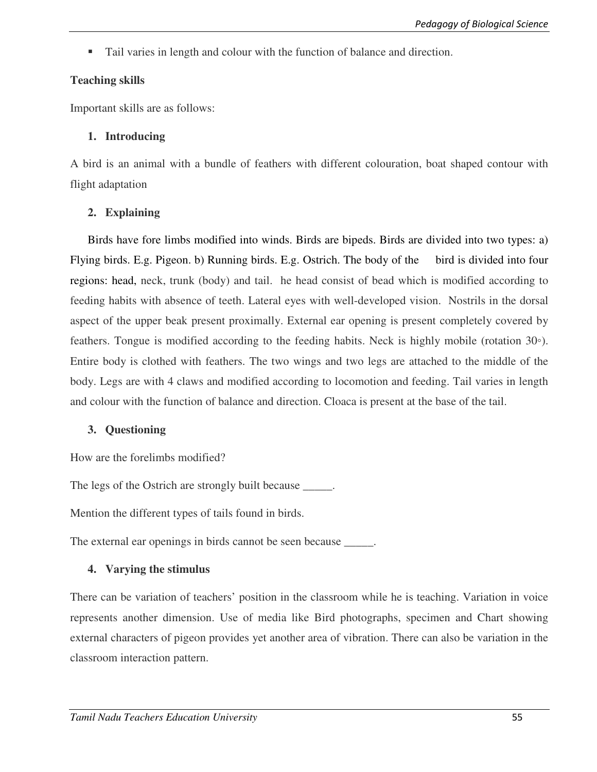Tail varies in length and colour with the function of balance and direction.

# **Teaching skills**

Important skills are as follows:

# **1. Introducing**

A bird is an animal with a bundle of feathers with different colouration, boat shaped contour with flight adaptation

# **2. Explaining**

Birds have fore limbs modified into winds. Birds are bipeds. Birds are divided into two types: a) Flying birds. E.g. Pigeon. b) Running birds. E.g. Ostrich. The body of the bird is divided into four regions: head, neck, trunk (body) and tail. he head consist of bead which is modified according to feeding habits with absence of teeth. Lateral eyes with well-developed vision. Nostrils in the dorsal aspect of the upper beak present proximally. External ear opening is present completely covered by feathers. Tongue is modified according to the feeding habits. Neck is highly mobile (rotation 30◦). Entire body is clothed with feathers. The two wings and two legs are attached to the middle of the body. Legs are with 4 claws and modified according to locomotion and feeding. Tail varies in length and colour with the function of balance and direction. Cloaca is present at the base of the tail.

# **3. Questioning**

How are the forelimbs modified?

The legs of the Ostrich are strongly built because \_\_\_\_\_.

Mention the different types of tails found in birds.

The external ear openings in birds cannot be seen because \_\_\_\_\_.

# **4. Varying the stimulus**

There can be variation of teachers' position in the classroom while he is teaching. Variation in voice represents another dimension. Use of media like Bird photographs, specimen and Chart showing external characters of pigeon provides yet another area of vibration. There can also be variation in the classroom interaction pattern.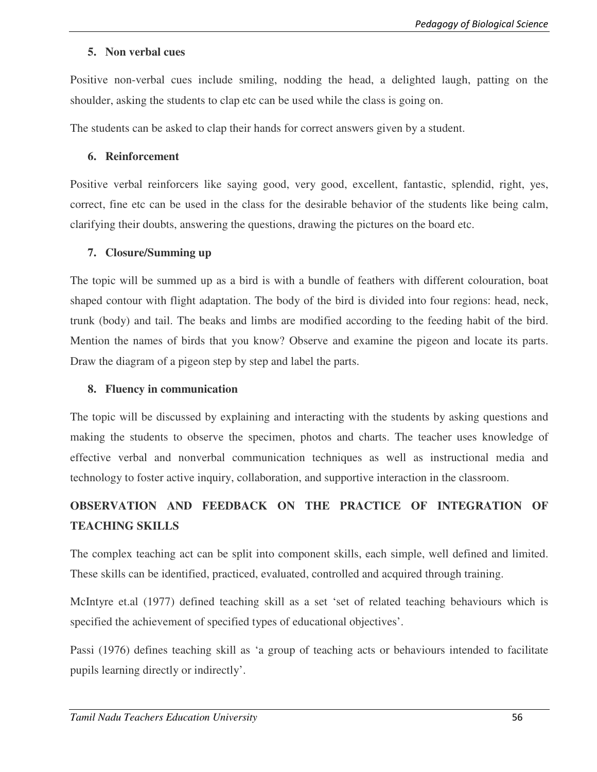#### **5. Non verbal cues**

Positive non-verbal cues include smiling, nodding the head, a delighted laugh, patting on the shoulder, asking the students to clap etc can be used while the class is going on.

The students can be asked to clap their hands for correct answers given by a student.

### **6. Reinforcement**

Positive verbal reinforcers like saying good, very good, excellent, fantastic, splendid, right, yes, correct, fine etc can be used in the class for the desirable behavior of the students like being calm, clarifying their doubts, answering the questions, drawing the pictures on the board etc.

### **7. Closure/Summing up**

The topic will be summed up as a bird is with a bundle of feathers with different colouration, boat shaped contour with flight adaptation. The body of the bird is divided into four regions: head, neck, trunk (body) and tail. The beaks and limbs are modified according to the feeding habit of the bird. Mention the names of birds that you know? Observe and examine the pigeon and locate its parts. Draw the diagram of a pigeon step by step and label the parts.

## **8. Fluency in communication**

The topic will be discussed by explaining and interacting with the students by asking questions and making the students to observe the specimen, photos and charts. The teacher uses knowledge of effective verbal and nonverbal communication techniques as well as instructional media and technology to foster active inquiry, collaboration, and supportive interaction in the classroom.

# **OBSERVATION AND FEEDBACK ON THE PRACTICE OF INTEGRATION OF TEACHING SKILLS**

The complex teaching act can be split into component skills, each simple, well defined and limited. These skills can be identified, practiced, evaluated, controlled and acquired through training.

McIntyre et.al (1977) defined teaching skill as a set 'set of related teaching behaviours which is specified the achievement of specified types of educational objectives'.

Passi (1976) defines teaching skill as 'a group of teaching acts or behaviours intended to facilitate pupils learning directly or indirectly'.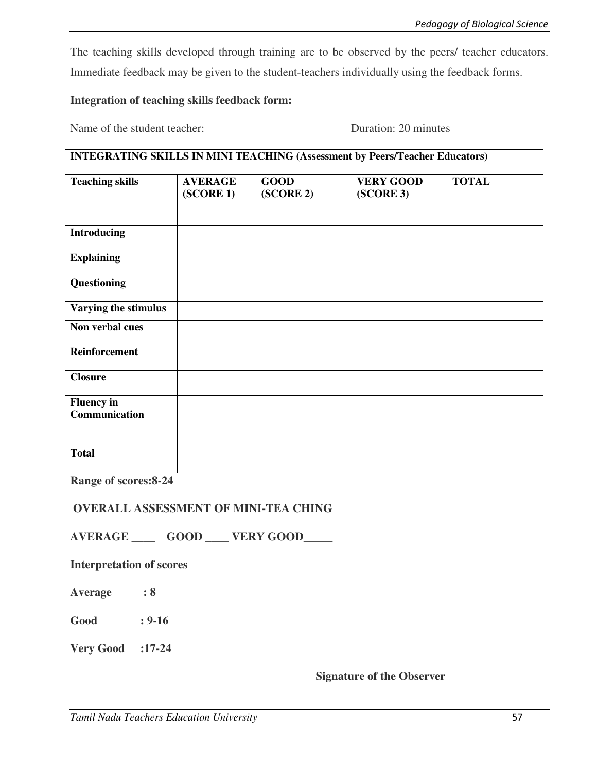The teaching skills developed through training are to be observed by the peers/ teacher educators. Immediate feedback may be given to the student-teachers individually using the feedback forms.

### **Integration of teaching skills feedback form:**

Name of the student teacher:<br>
Duration: 20 minutes

| <b>INTEGRATING SKILLS IN MINI TEACHING (Assessment by Peers/Teacher Educators)</b> |                             |                          |                               |              |  |
|------------------------------------------------------------------------------------|-----------------------------|--------------------------|-------------------------------|--------------|--|
| <b>Teaching skills</b>                                                             | <b>AVERAGE</b><br>(SCORE 1) | <b>GOOD</b><br>(SCORE 2) | <b>VERY GOOD</b><br>(SCORE 3) | <b>TOTAL</b> |  |
| <b>Introducing</b>                                                                 |                             |                          |                               |              |  |
| <b>Explaining</b>                                                                  |                             |                          |                               |              |  |
| Questioning                                                                        |                             |                          |                               |              |  |
| Varying the stimulus                                                               |                             |                          |                               |              |  |
| Non verbal cues                                                                    |                             |                          |                               |              |  |
| Reinforcement                                                                      |                             |                          |                               |              |  |
| <b>Closure</b>                                                                     |                             |                          |                               |              |  |
| <b>Fluency</b> in<br>Communication                                                 |                             |                          |                               |              |  |
| <b>Total</b>                                                                       |                             |                          |                               |              |  |

**Range of scores:8-24** 

#### **OVERALL ASSESSMENT OF MINI-TEA CHING**

**AVERAGE \_\_\_\_ GOOD \_\_\_\_ VERY GOOD\_\_\_\_\_** 

**Interpretation of scores**

**Average : 8** 

**Good : 9-16** 

**Very Good :17-24** 

## **Signature of the Observer**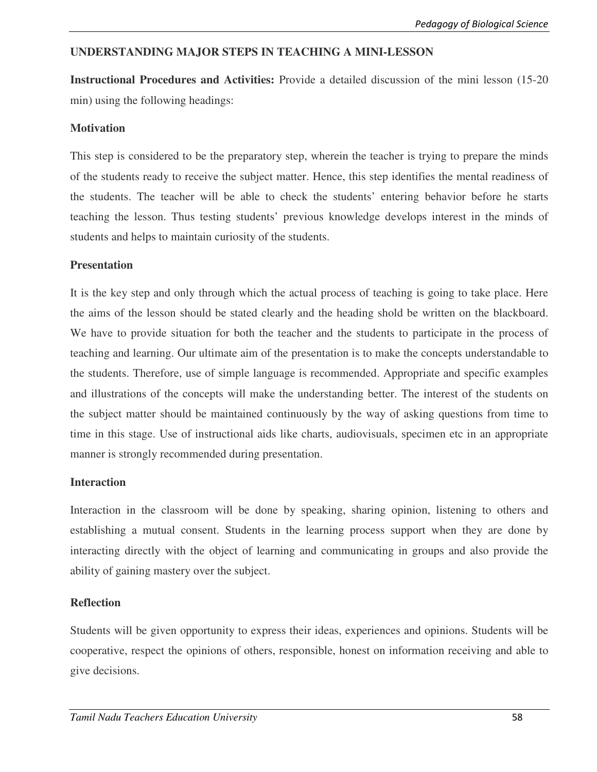# **UNDERSTANDING MAJOR STEPS IN TEACHING A MINI-LESSON**

**Instructional Procedures and Activities:** Provide a detailed discussion of the mini lesson (15-20 min) using the following headings:

#### **Motivation**

This step is considered to be the preparatory step, wherein the teacher is trying to prepare the minds of the students ready to receive the subject matter. Hence, this step identifies the mental readiness of the students. The teacher will be able to check the students' entering behavior before he starts teaching the lesson. Thus testing students' previous knowledge develops interest in the minds of students and helps to maintain curiosity of the students.

### **Presentation**

It is the key step and only through which the actual process of teaching is going to take place. Here the aims of the lesson should be stated clearly and the heading shold be written on the blackboard. We have to provide situation for both the teacher and the students to participate in the process of teaching and learning. Our ultimate aim of the presentation is to make the concepts understandable to the students. Therefore, use of simple language is recommended. Appropriate and specific examples and illustrations of the concepts will make the understanding better. The interest of the students on the subject matter should be maintained continuously by the way of asking questions from time to time in this stage. Use of instructional aids like charts, audiovisuals, specimen etc in an appropriate manner is strongly recommended during presentation.

#### **Interaction**

Interaction in the classroom will be done by speaking, sharing opinion, listening to others and establishing a mutual consent. Students in the learning process support when they are done by interacting directly with the object of learning and communicating in groups and also provide the ability of gaining mastery over the subject.

#### **Reflection**

Students will be given opportunity to express their ideas, experiences and opinions. Students will be cooperative, respect the opinions of others, responsible, honest on information receiving and able to give decisions.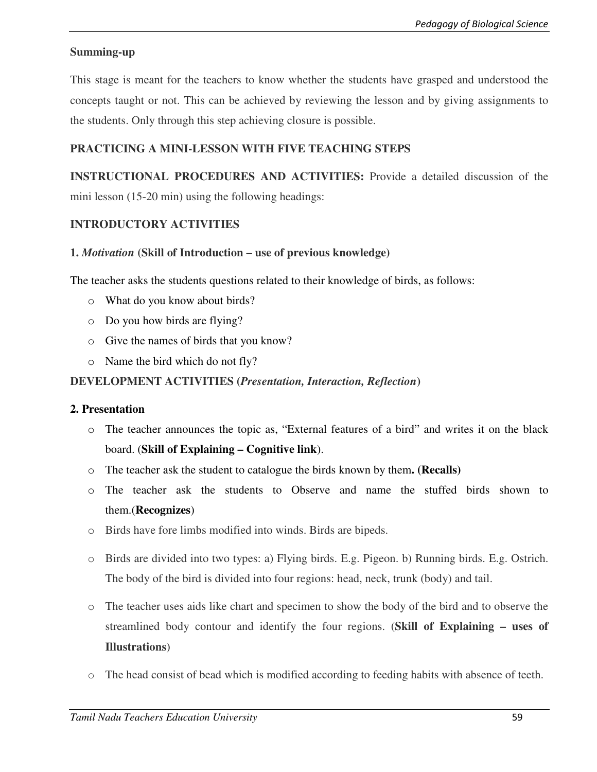# **Summing-up**

This stage is meant for the teachers to know whether the students have grasped and understood the concepts taught or not. This can be achieved by reviewing the lesson and by giving assignments to the students. Only through this step achieving closure is possible.

# **PRACTICING A MINI-LESSON WITH FIVE TEACHING STEPS**

**INSTRUCTIONAL PROCEDURES AND ACTIVITIES:** Provide a detailed discussion of the mini lesson (15-20 min) using the following headings:

# **INTRODUCTORY ACTIVITIES**

### **1.** *Motivation* **(Skill of Introduction – use of previous knowledge)**

The teacher asks the students questions related to their knowledge of birds, as follows:

- o What do you know about birds?
- o Do you how birds are flying?
- o Give the names of birds that you know?
- o Name the bird which do not fly?

### **DEVELOPMENT ACTIVITIES (***Presentation, Interaction, Reflection***)**

#### **2. Presentation**

- o The teacher announces the topic as, "External features of a bird" and writes it on the black board. (**Skill of Explaining – Cognitive link**).
- o The teacher ask the student to catalogue the birds known by them**. (Recalls)**
- o The teacher ask the students to Observe and name the stuffed birds shown to them.(**Recognizes**)
- o Birds have fore limbs modified into winds. Birds are bipeds.
- o Birds are divided into two types: a) Flying birds. E.g. Pigeon. b) Running birds. E.g. Ostrich. The body of the bird is divided into four regions: head, neck, trunk (body) and tail.
- o The teacher uses aids like chart and specimen to show the body of the bird and to observe the streamlined body contour and identify the four regions. (**Skill of Explaining – uses of Illustrations**)
- o The head consist of bead which is modified according to feeding habits with absence of teeth.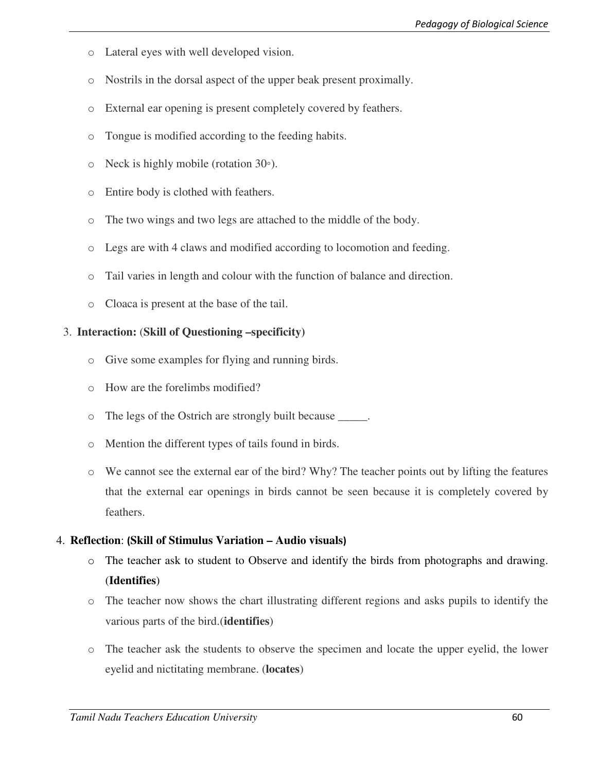- o Lateral eyes with well developed vision.
- o Nostrils in the dorsal aspect of the upper beak present proximally.
- o External ear opening is present completely covered by feathers.
- o Tongue is modified according to the feeding habits.
- o Neck is highly mobile (rotation 30◦).
- o Entire body is clothed with feathers.
- o The two wings and two legs are attached to the middle of the body.
- o Legs are with 4 claws and modified according to locomotion and feeding.
- o Tail varies in length and colour with the function of balance and direction.
- o Cloaca is present at the base of the tail.

#### 3. **Interaction:** (**Skill of Questioning –specificity)**

- o Give some examples for flying and running birds.
- o How are the forelimbs modified?
- o The legs of the Ostrich are strongly built because \_\_\_\_\_.
- o Mention the different types of tails found in birds.
- o We cannot see the external ear of the bird? Why? The teacher points out by lifting the features that the external ear openings in birds cannot be seen because it is completely covered by feathers.

#### 4. **Reflection**: **(Skill of Stimulus Variation – Audio visuals)**

- o The teacher ask to student to Observe and identify the birds from photographs and drawing. (**Identifies**)
- o The teacher now shows the chart illustrating different regions and asks pupils to identify the various parts of the bird.(**identifies**)
- o The teacher ask the students to observe the specimen and locate the upper eyelid, the lower eyelid and nictitating membrane. (**locates**)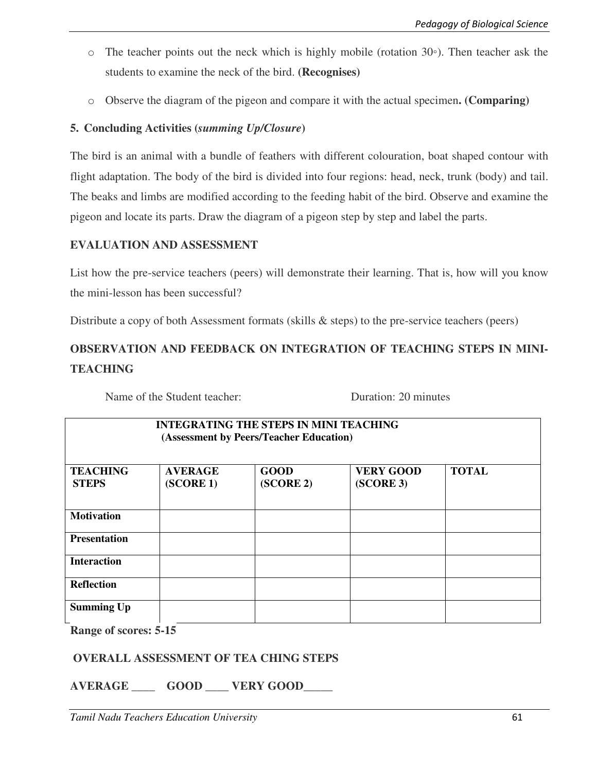- o The teacher points out the neck which is highly mobile (rotation 30◦). Then teacher ask the students to examine the neck of the bird. **(Recognises)**
- o Observe the diagram of the pigeon and compare it with the actual specimen**. (Comparing)**

# **5. Concluding Activities (***summing Up/Closure***)**

The bird is an animal with a bundle of feathers with different colouration, boat shaped contour with flight adaptation. The body of the bird is divided into four regions: head, neck, trunk (body) and tail. The beaks and limbs are modified according to the feeding habit of the bird. Observe and examine the pigeon and locate its parts. Draw the diagram of a pigeon step by step and label the parts.

# **EVALUATION AND ASSESSMENT**

List how the pre-service teachers (peers) will demonstrate their learning. That is, how will you know the mini-lesson has been successful?

Distribute a copy of both Assessment formats (skills & steps) to the pre-service teachers (peers)

# **OBSERVATION AND FEEDBACK ON INTEGRATION OF TEACHING STEPS IN MINI-TEACHING**

Name of the Student teacher: Duration: 20 minutes

| <b>INTEGRATING THE STEPS IN MINI TEACHING</b><br>(Assessment by Peers/Teacher Education) |                             |                          |                               |              |  |
|------------------------------------------------------------------------------------------|-----------------------------|--------------------------|-------------------------------|--------------|--|
| <b>TEACHING</b><br><b>STEPS</b>                                                          | <b>AVERAGE</b><br>(SCORE 1) | <b>GOOD</b><br>(SCORE 2) | <b>VERY GOOD</b><br>(SCORE 3) | <b>TOTAL</b> |  |
| <b>Motivation</b>                                                                        |                             |                          |                               |              |  |
| <b>Presentation</b>                                                                      |                             |                          |                               |              |  |
| <b>Interaction</b>                                                                       |                             |                          |                               |              |  |
| <b>Reflection</b>                                                                        |                             |                          |                               |              |  |
| <b>Summing Up</b><br>$\mathbf{r}$<br>$\mathbf{r}$                                        | -41                         |                          |                               |              |  |

**Range of scores: 5-15** 

# **OVERALL ASSESSMENT OF TEA CHING STEPS**

**AVERAGE \_\_\_\_ GOOD \_\_\_\_ VERY GOOD\_\_\_\_\_**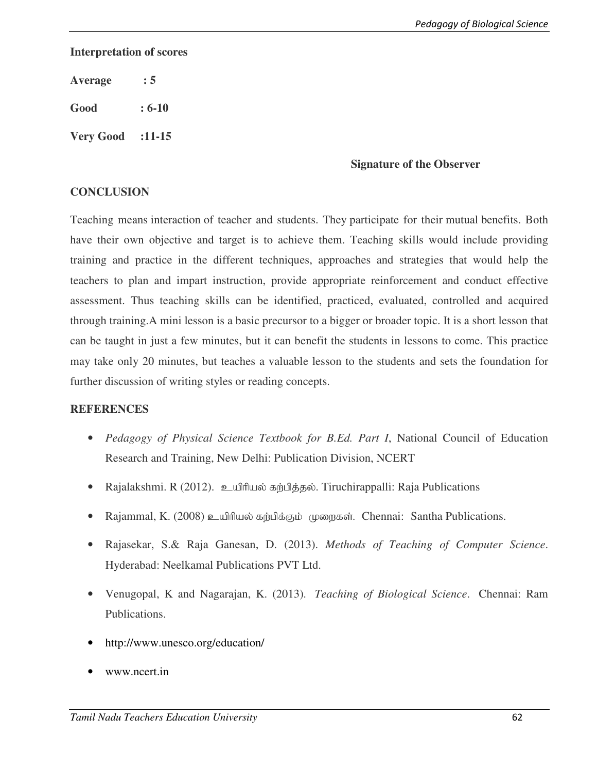### **Interpretation of scores**

**Average : 5** 

**Good : 6-10** 

**Very Good :11-15** 

#### **Signature of the Observer**

## **CONCLUSION**

Teaching means interaction of teacher and students. They participate for their mutual benefits. Both have their own objective and target is to achieve them. Teaching skills would include providing training and practice in the different techniques, approaches and strategies that would help the teachers to plan and impart instruction, provide appropriate reinforcement and conduct effective assessment. Thus teaching skills can be identified, practiced, evaluated, controlled and acquired through training.A mini lesson is a basic precursor to a bigger or broader topic. It is a short lesson that can be taught in just a few minutes, but it can benefit the students in lessons to come. This practice may take only 20 minutes, but teaches a valuable lesson to the students and sets the foundation for further discussion of writing styles or reading concepts.

# **REFERENCES**

- *Pedagogy of Physical Science Textbook for B.Ed. Part I*, National Council of Education Research and Training, New Delhi: Publication Division, NCERT
- Rajalakshmi. R (2012). உயிரியல் கற்பித்தல். Tiruchirappalli: Raja Publications
- Rajammal, K. (2008) உயிரியல் கற்பிக்கும் முறைகள். Chennai: Santha Publications.
- Rajasekar, S.& Raja Ganesan, D. (2013). *Methods of Teaching of Computer Science*. Hyderabad: Neelkamal Publications PVT Ltd.
- Venugopal, K and Nagarajan, K. (2013). *Teaching of Biological Science*. Chennai: Ram Publications.
- http://www.unesco.org/education/
- www.ncert.in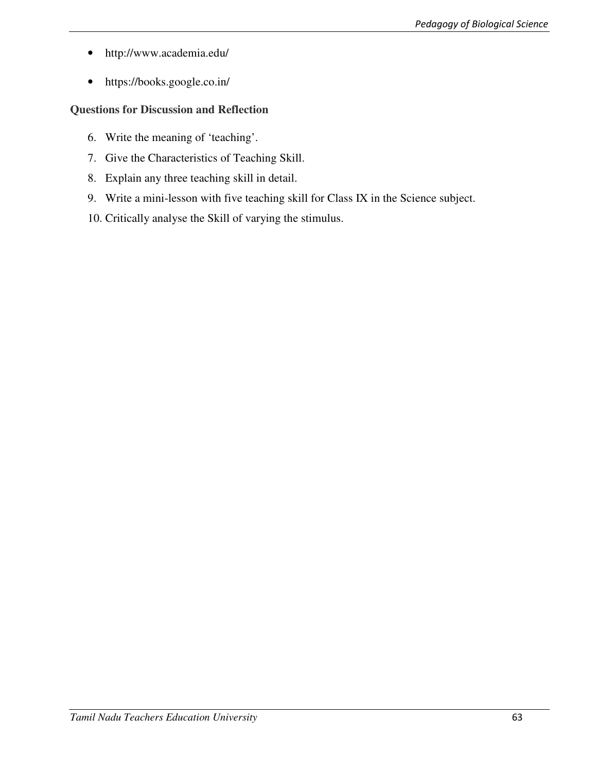- http://www.academia.edu/
- https://books.google.co.in/

# **Questions for Discussion and Reflection**

- 6. Write the meaning of 'teaching'.
- 7. Give the Characteristics of Teaching Skill.
- 8. Explain any three teaching skill in detail.
- 9. Write a mini-lesson with five teaching skill for Class IX in the Science subject.
- 10. Critically analyse the Skill of varying the stimulus.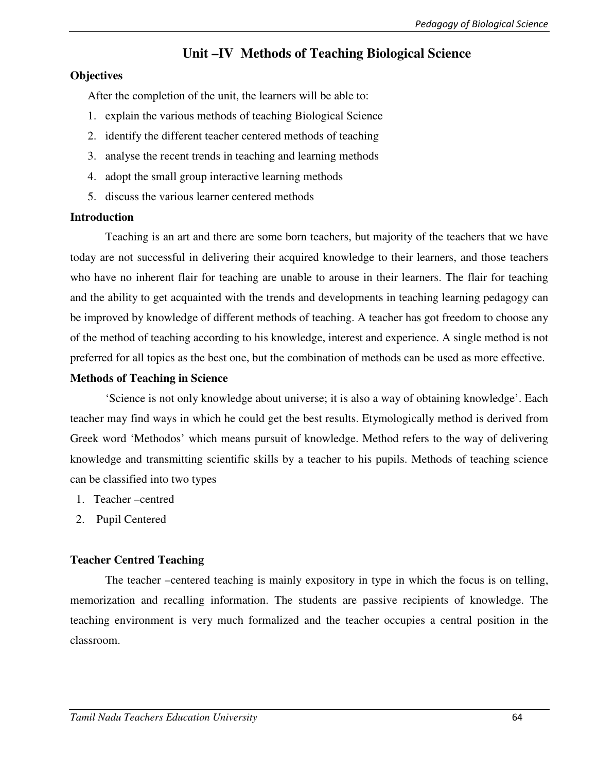# **Unit –IV Methods of Teaching Biological Science**

### **Objectives**

After the completion of the unit, the learners will be able to:

- 1. explain the various methods of teaching Biological Science
- 2. identify the different teacher centered methods of teaching
- 3. analyse the recent trends in teaching and learning methods
- 4. adopt the small group interactive learning methods
- 5. discuss the various learner centered methods

### **Introduction**

Teaching is an art and there are some born teachers, but majority of the teachers that we have today are not successful in delivering their acquired knowledge to their learners, and those teachers who have no inherent flair for teaching are unable to arouse in their learners. The flair for teaching and the ability to get acquainted with the trends and developments in teaching learning pedagogy can be improved by knowledge of different methods of teaching. A teacher has got freedom to choose any of the method of teaching according to his knowledge, interest and experience. A single method is not preferred for all topics as the best one, but the combination of methods can be used as more effective.

### **Methods of Teaching in Science**

'Science is not only knowledge about universe; it is also a way of obtaining knowledge'. Each teacher may find ways in which he could get the best results. Etymologically method is derived from Greek word 'Methodos' which means pursuit of knowledge. Method refers to the way of delivering knowledge and transmitting scientific skills by a teacher to his pupils. Methods of teaching science can be classified into two types

- 1. Teacher –centred
- 2. Pupil Centered

# **Teacher Centred Teaching**

The teacher –centered teaching is mainly expository in type in which the focus is on telling, memorization and recalling information. The students are passive recipients of knowledge. The teaching environment is very much formalized and the teacher occupies a central position in the classroom.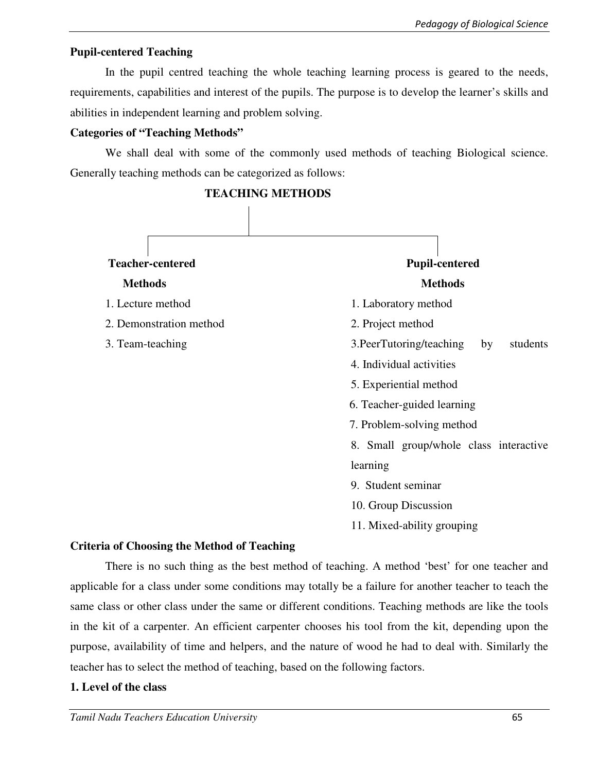# **Pupil-centered Teaching**

In the pupil centred teaching the whole teaching learning process is geared to the needs, requirements, capabilities and interest of the pupils. The purpose is to develop the learner's skills and abilities in independent learning and problem solving.

# **Categories of "Teaching Methods"**

We shall deal with some of the commonly used methods of teaching Biological science. Generally teaching methods can be categorized as follows:



# **Criteria of Choosing the Method of Teaching**

There is no such thing as the best method of teaching. A method 'best' for one teacher and applicable for a class under some conditions may totally be a failure for another teacher to teach the same class or other class under the same or different conditions. Teaching methods are like the tools in the kit of a carpenter. An efficient carpenter chooses his tool from the kit, depending upon the purpose, availability of time and helpers, and the nature of wood he had to deal with. Similarly the teacher has to select the method of teaching, based on the following factors.

11. Mixed-ability grouping

# **1. Level of the class**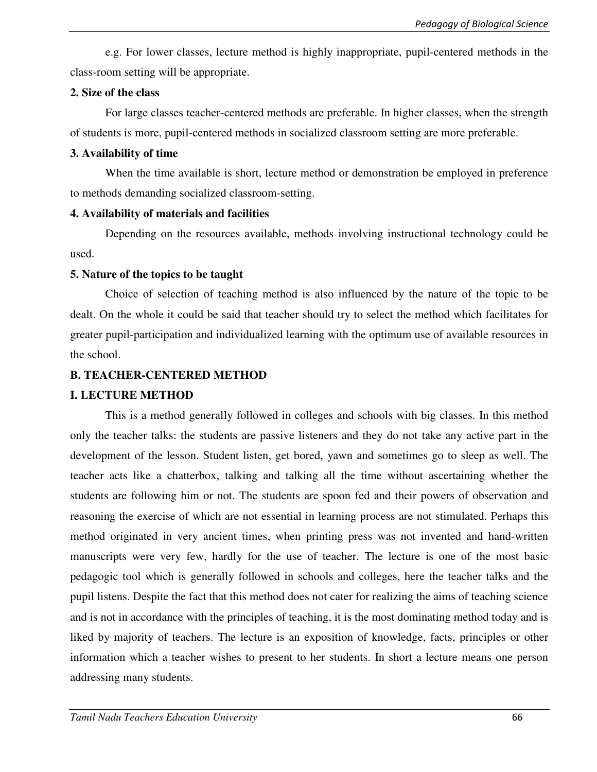e.g. For lower classes, lecture method is highly inappropriate, pupil-centered methods in the class-room setting will be appropriate.

#### **2. Size of the class**

For large classes teacher-centered methods are preferable. In higher classes, when the strength of students is more, pupil-centered methods in socialized classroom setting are more preferable.

## **3. Availability of time**

When the time available is short, lecture method or demonstration be employed in preference to methods demanding socialized classroom-setting.

### **4. Availability of materials and facilities**

Depending on the resources available, methods involving instructional technology could be used.

# **5. Nature of the topics to be taught**

Choice of selection of teaching method is also influenced by the nature of the topic to be dealt. On the whole it could be said that teacher should try to select the method which facilitates for greater pupil-participation and individualized learning with the optimum use of available resources in the school.

# **B. TEACHER-CENTERED METHOD**

# **I. LECTURE METHOD**

This is a method generally followed in colleges and schools with big classes. In this method only the teacher talks: the students are passive listeners and they do not take any active part in the development of the lesson. Student listen, get bored, yawn and sometimes go to sleep as well. The teacher acts like a chatterbox, talking and talking all the time without ascertaining whether the students are following him or not. The students are spoon fed and their powers of observation and reasoning the exercise of which are not essential in learning process are not stimulated. Perhaps this method originated in very ancient times, when printing press was not invented and hand-written manuscripts were very few, hardly for the use of teacher. The lecture is one of the most basic pedagogic tool which is generally followed in schools and colleges, here the teacher talks and the pupil listens. Despite the fact that this method does not cater for realizing the aims of teaching science and is not in accordance with the principles of teaching, it is the most dominating method today and is liked by majority of teachers. The lecture is an exposition of knowledge, facts, principles or other information which a teacher wishes to present to her students. In short a lecture means one person addressing many students.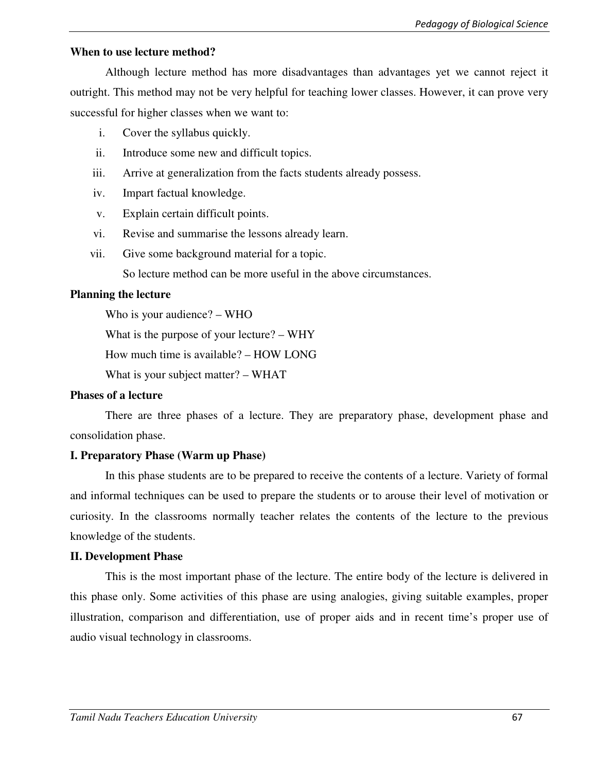#### **When to use lecture method?**

Although lecture method has more disadvantages than advantages yet we cannot reject it outright. This method may not be very helpful for teaching lower classes. However, it can prove very successful for higher classes when we want to:

- i. Cover the syllabus quickly.
- ii. Introduce some new and difficult topics.
- iii. Arrive at generalization from the facts students already possess.
- iv. Impart factual knowledge.
- v. Explain certain difficult points.
- vi. Revise and summarise the lessons already learn.
- vii. Give some background material for a topic.

So lecture method can be more useful in the above circumstances.

### **Planning the lecture**

Who is your audience? – WHO

What is the purpose of your lecture? – WHY

How much time is available? – HOW LONG

What is your subject matter? – WHAT

#### **Phases of a lecture**

There are three phases of a lecture. They are preparatory phase, development phase and consolidation phase.

# **I. Preparatory Phase (Warm up Phase)**

In this phase students are to be prepared to receive the contents of a lecture. Variety of formal and informal techniques can be used to prepare the students or to arouse their level of motivation or curiosity. In the classrooms normally teacher relates the contents of the lecture to the previous knowledge of the students.

#### **II. Development Phase**

This is the most important phase of the lecture. The entire body of the lecture is delivered in this phase only. Some activities of this phase are using analogies, giving suitable examples, proper illustration, comparison and differentiation, use of proper aids and in recent time's proper use of audio visual technology in classrooms.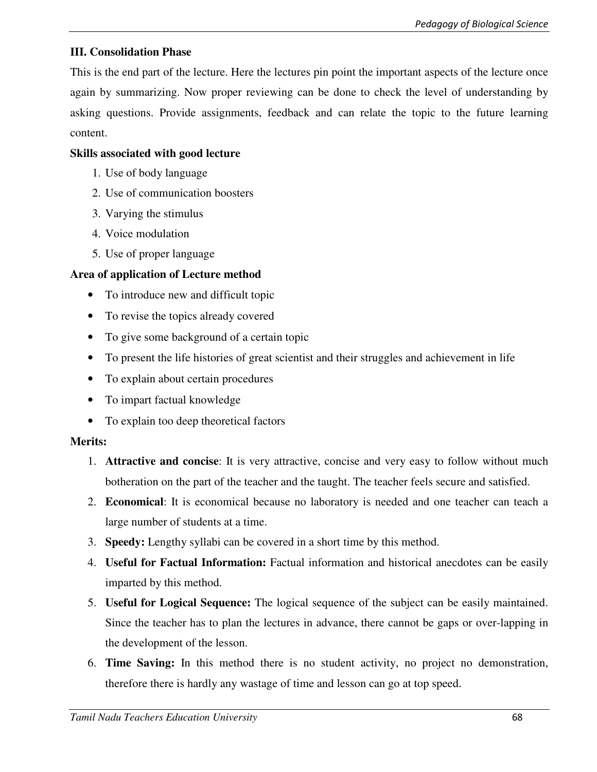# **III. Consolidation Phase**

This is the end part of the lecture. Here the lectures pin point the important aspects of the lecture once again by summarizing. Now proper reviewing can be done to check the level of understanding by asking questions. Provide assignments, feedback and can relate the topic to the future learning content.

# **Skills associated with good lecture**

- 1. Use of body language
- 2. Use of communication boosters
- 3. Varying the stimulus
- 4. Voice modulation
- 5. Use of proper language

# **Area of application of Lecture method**

- To introduce new and difficult topic
- To revise the topics already covered
- To give some background of a certain topic
- To present the life histories of great scientist and their struggles and achievement in life
- To explain about certain procedures
- To impart factual knowledge
- To explain too deep theoretical factors

# **Merits:**

- 1. **Attractive and concise**: It is very attractive, concise and very easy to follow without much botheration on the part of the teacher and the taught. The teacher feels secure and satisfied.
- 2. **Economical**: It is economical because no laboratory is needed and one teacher can teach a large number of students at a time.
- 3. **Speedy:** Lengthy syllabi can be covered in a short time by this method.
- 4. **Useful for Factual Information:** Factual information and historical anecdotes can be easily imparted by this method.
- 5. **Useful for Logical Sequence:** The logical sequence of the subject can be easily maintained. Since the teacher has to plan the lectures in advance, there cannot be gaps or over-lapping in the development of the lesson.
- 6. **Time Saving:** In this method there is no student activity, no project no demonstration, therefore there is hardly any wastage of time and lesson can go at top speed.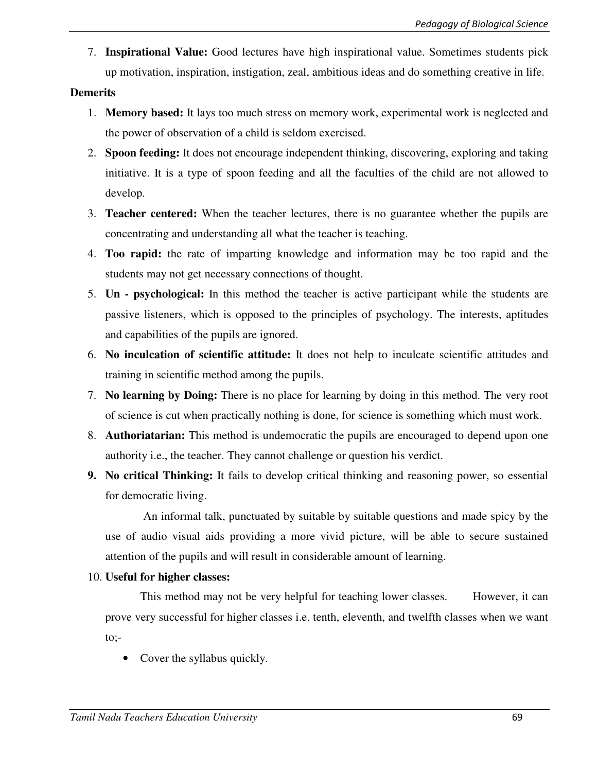7. **Inspirational Value:** Good lectures have high inspirational value. Sometimes students pick up motivation, inspiration, instigation, zeal, ambitious ideas and do something creative in life.

## **Demerits**

- 1. **Memory based:** It lays too much stress on memory work, experimental work is neglected and the power of observation of a child is seldom exercised.
- 2. **Spoon feeding:** It does not encourage independent thinking, discovering, exploring and taking initiative. It is a type of spoon feeding and all the faculties of the child are not allowed to develop.
- 3. **Teacher centered:** When the teacher lectures, there is no guarantee whether the pupils are concentrating and understanding all what the teacher is teaching.
- 4. **Too rapid:** the rate of imparting knowledge and information may be too rapid and the students may not get necessary connections of thought.
- 5. **Un psychological:** In this method the teacher is active participant while the students are passive listeners, which is opposed to the principles of psychology. The interests, aptitudes and capabilities of the pupils are ignored.
- 6. **No inculcation of scientific attitude:** It does not help to inculcate scientific attitudes and training in scientific method among the pupils.
- 7. **No learning by Doing:** There is no place for learning by doing in this method. The very root of science is cut when practically nothing is done, for science is something which must work.
- 8. **Authoriatarian:** This method is undemocratic the pupils are encouraged to depend upon one authority i.e., the teacher. They cannot challenge or question his verdict.
- **9. No critical Thinking:** It fails to develop critical thinking and reasoning power, so essential for democratic living.

 An informal talk, punctuated by suitable by suitable questions and made spicy by the use of audio visual aids providing a more vivid picture, will be able to secure sustained attention of the pupils and will result in considerable amount of learning.

# 10. **Useful for higher classes:**

This method may not be very helpful for teaching lower classes. However, it can prove very successful for higher classes i.e. tenth, eleventh, and twelfth classes when we want to;-

Cover the syllabus quickly.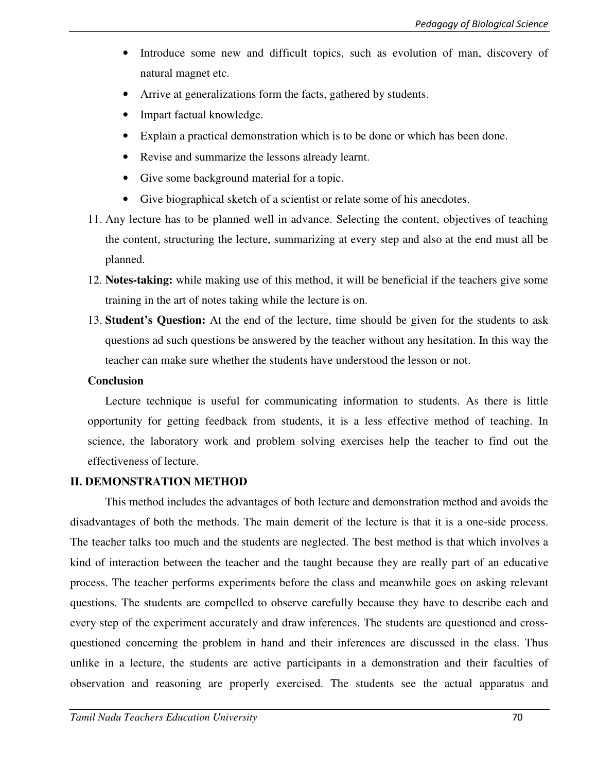- Introduce some new and difficult topics, such as evolution of man, discovery of natural magnet etc.
- Arrive at generalizations form the facts, gathered by students.
- Impart factual knowledge.
- Explain a practical demonstration which is to be done or which has been done.
- Revise and summarize the lessons already learnt.
- Give some background material for a topic.
- Give biographical sketch of a scientist or relate some of his anecdotes.
- 11. Any lecture has to be planned well in advance. Selecting the content, objectives of teaching the content, structuring the lecture, summarizing at every step and also at the end must all be planned.
- 12. **Notes-taking:** while making use of this method, it will be beneficial if the teachers give some training in the art of notes taking while the lecture is on.
- 13. **Student's Question:** At the end of the lecture, time should be given for the students to ask questions ad such questions be answered by the teacher without any hesitation. In this way the teacher can make sure whether the students have understood the lesson or not.

#### **Conclusion**

Lecture technique is useful for communicating information to students. As there is little opportunity for getting feedback from students, it is a less effective method of teaching. In science, the laboratory work and problem solving exercises help the teacher to find out the effectiveness of lecture.

#### **II. DEMONSTRATION METHOD**

This method includes the advantages of both lecture and demonstration method and avoids the disadvantages of both the methods. The main demerit of the lecture is that it is a one-side process. The teacher talks too much and the students are neglected. The best method is that which involves a kind of interaction between the teacher and the taught because they are really part of an educative process. The teacher performs experiments before the class and meanwhile goes on asking relevant questions. The students are compelled to observe carefully because they have to describe each and every step of the experiment accurately and draw inferences. The students are questioned and crossquestioned concerning the problem in hand and their inferences are discussed in the class. Thus unlike in a lecture, the students are active participants in a demonstration and their faculties of observation and reasoning are properly exercised. The students see the actual apparatus and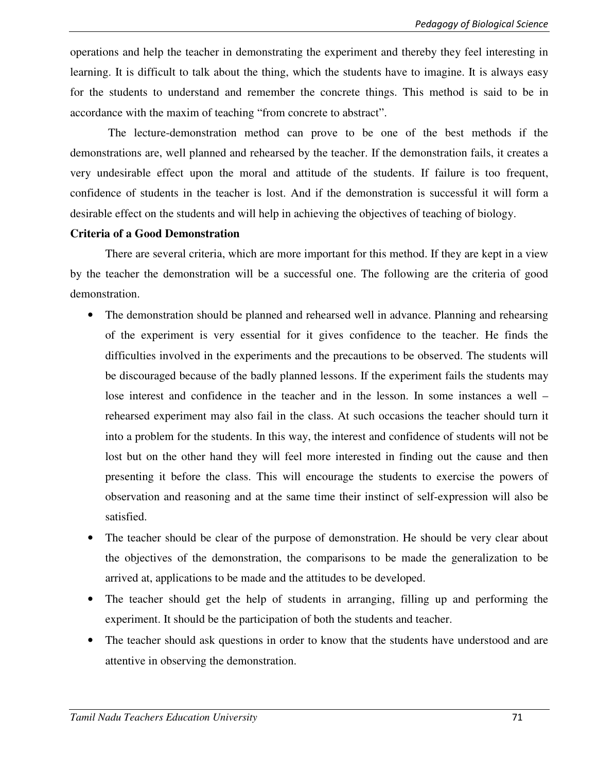operations and help the teacher in demonstrating the experiment and thereby they feel interesting in learning. It is difficult to talk about the thing, which the students have to imagine. It is always easy for the students to understand and remember the concrete things. This method is said to be in accordance with the maxim of teaching "from concrete to abstract".

 The lecture-demonstration method can prove to be one of the best methods if the demonstrations are, well planned and rehearsed by the teacher. If the demonstration fails, it creates a very undesirable effect upon the moral and attitude of the students. If failure is too frequent, confidence of students in the teacher is lost. And if the demonstration is successful it will form a desirable effect on the students and will help in achieving the objectives of teaching of biology.

#### **Criteria of a Good Demonstration**

 There are several criteria, which are more important for this method. If they are kept in a view by the teacher the demonstration will be a successful one. The following are the criteria of good demonstration.

- The demonstration should be planned and rehearsed well in advance. Planning and rehearsing of the experiment is very essential for it gives confidence to the teacher. He finds the difficulties involved in the experiments and the precautions to be observed. The students will be discouraged because of the badly planned lessons. If the experiment fails the students may lose interest and confidence in the teacher and in the lesson. In some instances a well – rehearsed experiment may also fail in the class. At such occasions the teacher should turn it into a problem for the students. In this way, the interest and confidence of students will not be lost but on the other hand they will feel more interested in finding out the cause and then presenting it before the class. This will encourage the students to exercise the powers of observation and reasoning and at the same time their instinct of self-expression will also be satisfied.
- The teacher should be clear of the purpose of demonstration. He should be very clear about the objectives of the demonstration, the comparisons to be made the generalization to be arrived at, applications to be made and the attitudes to be developed.
- The teacher should get the help of students in arranging, filling up and performing the experiment. It should be the participation of both the students and teacher.
- The teacher should ask questions in order to know that the students have understood and are attentive in observing the demonstration.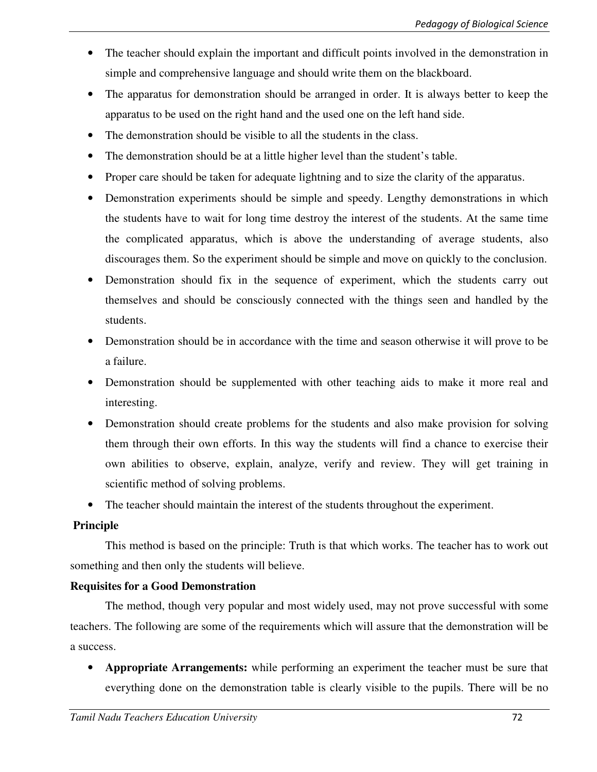- The teacher should explain the important and difficult points involved in the demonstration in simple and comprehensive language and should write them on the blackboard.
- The apparatus for demonstration should be arranged in order. It is always better to keep the apparatus to be used on the right hand and the used one on the left hand side.
- The demonstration should be visible to all the students in the class.
- The demonstration should be at a little higher level than the student's table.
- Proper care should be taken for adequate lightning and to size the clarity of the apparatus.
- Demonstration experiments should be simple and speedy. Lengthy demonstrations in which the students have to wait for long time destroy the interest of the students. At the same time the complicated apparatus, which is above the understanding of average students, also discourages them. So the experiment should be simple and move on quickly to the conclusion.
- Demonstration should fix in the sequence of experiment, which the students carry out themselves and should be consciously connected with the things seen and handled by the students.
- Demonstration should be in accordance with the time and season otherwise it will prove to be a failure.
- Demonstration should be supplemented with other teaching aids to make it more real and interesting.
- Demonstration should create problems for the students and also make provision for solving them through their own efforts. In this way the students will find a chance to exercise their own abilities to observe, explain, analyze, verify and review. They will get training in scientific method of solving problems.
- The teacher should maintain the interest of the students throughout the experiment.

# **Principle**

This method is based on the principle: Truth is that which works. The teacher has to work out something and then only the students will believe.

# **Requisites for a Good Demonstration**

The method, though very popular and most widely used, may not prove successful with some teachers. The following are some of the requirements which will assure that the demonstration will be a success.

• **Appropriate Arrangements:** while performing an experiment the teacher must be sure that everything done on the demonstration table is clearly visible to the pupils. There will be no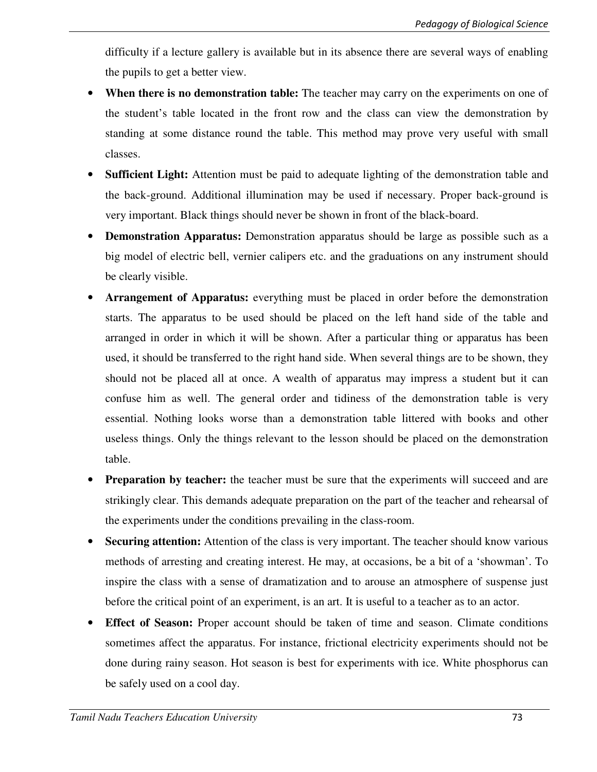difficulty if a lecture gallery is available but in its absence there are several ways of enabling the pupils to get a better view.

- **When there is no demonstration table:** The teacher may carry on the experiments on one of the student's table located in the front row and the class can view the demonstration by standing at some distance round the table. This method may prove very useful with small classes.
- **Sufficient Light:** Attention must be paid to adequate lighting of the demonstration table and the back-ground. Additional illumination may be used if necessary. Proper back-ground is very important. Black things should never be shown in front of the black-board.
- **Demonstration Apparatus:** Demonstration apparatus should be large as possible such as a big model of electric bell, vernier calipers etc. and the graduations on any instrument should be clearly visible.
- Arrangement of Apparatus: everything must be placed in order before the demonstration starts. The apparatus to be used should be placed on the left hand side of the table and arranged in order in which it will be shown. After a particular thing or apparatus has been used, it should be transferred to the right hand side. When several things are to be shown, they should not be placed all at once. A wealth of apparatus may impress a student but it can confuse him as well. The general order and tidiness of the demonstration table is very essential. Nothing looks worse than a demonstration table littered with books and other useless things. Only the things relevant to the lesson should be placed on the demonstration table.
- **Preparation by teacher:** the teacher must be sure that the experiments will succeed and are strikingly clear. This demands adequate preparation on the part of the teacher and rehearsal of the experiments under the conditions prevailing in the class-room.
- **Securing attention:** Attention of the class is very important. The teacher should know various methods of arresting and creating interest. He may, at occasions, be a bit of a 'showman'. To inspire the class with a sense of dramatization and to arouse an atmosphere of suspense just before the critical point of an experiment, is an art. It is useful to a teacher as to an actor.
- **Effect of Season:** Proper account should be taken of time and season. Climate conditions sometimes affect the apparatus. For instance, frictional electricity experiments should not be done during rainy season. Hot season is best for experiments with ice. White phosphorus can be safely used on a cool day.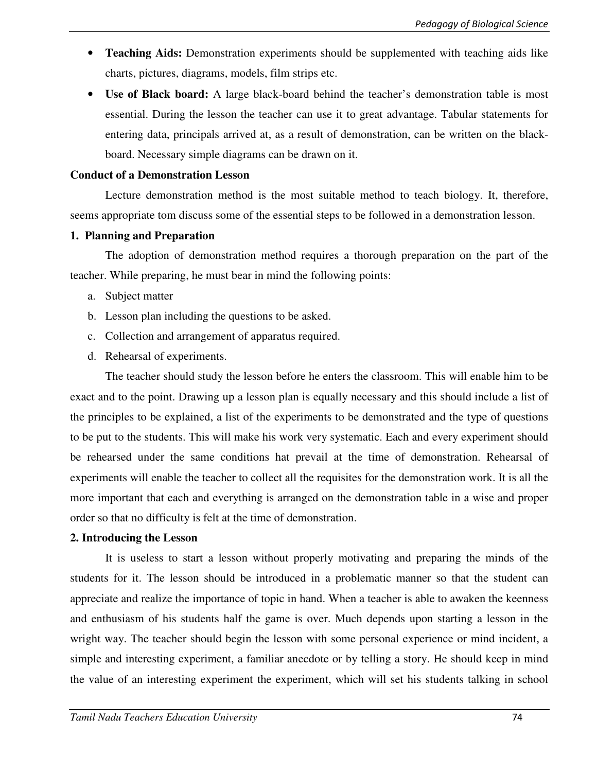- **Teaching Aids:** Demonstration experiments should be supplemented with teaching aids like charts, pictures, diagrams, models, film strips etc.
- **Use of Black board:** A large black-board behind the teacher's demonstration table is most essential. During the lesson the teacher can use it to great advantage. Tabular statements for entering data, principals arrived at, as a result of demonstration, can be written on the blackboard. Necessary simple diagrams can be drawn on it.

#### **Conduct of a Demonstration Lesson**

Lecture demonstration method is the most suitable method to teach biology. It, therefore, seems appropriate tom discuss some of the essential steps to be followed in a demonstration lesson.

#### **1. Planning and Preparation**

The adoption of demonstration method requires a thorough preparation on the part of the teacher. While preparing, he must bear in mind the following points:

- a. Subject matter
- b. Lesson plan including the questions to be asked.
- c. Collection and arrangement of apparatus required.
- d. Rehearsal of experiments.

The teacher should study the lesson before he enters the classroom. This will enable him to be exact and to the point. Drawing up a lesson plan is equally necessary and this should include a list of the principles to be explained, a list of the experiments to be demonstrated and the type of questions to be put to the students. This will make his work very systematic. Each and every experiment should be rehearsed under the same conditions hat prevail at the time of demonstration. Rehearsal of experiments will enable the teacher to collect all the requisites for the demonstration work. It is all the more important that each and everything is arranged on the demonstration table in a wise and proper order so that no difficulty is felt at the time of demonstration.

#### **2. Introducing the Lesson**

It is useless to start a lesson without properly motivating and preparing the minds of the students for it. The lesson should be introduced in a problematic manner so that the student can appreciate and realize the importance of topic in hand. When a teacher is able to awaken the keenness and enthusiasm of his students half the game is over. Much depends upon starting a lesson in the wright way. The teacher should begin the lesson with some personal experience or mind incident, a simple and interesting experiment, a familiar anecdote or by telling a story. He should keep in mind the value of an interesting experiment the experiment, which will set his students talking in school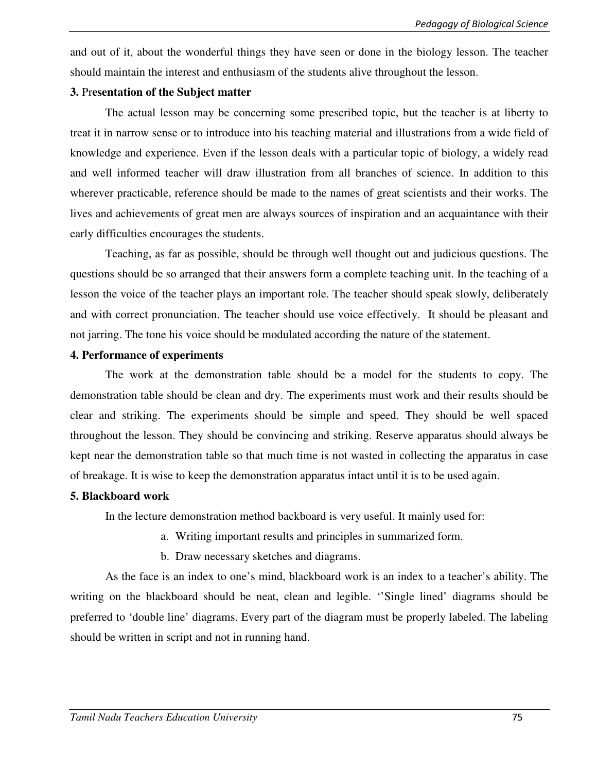and out of it, about the wonderful things they have seen or done in the biology lesson. The teacher should maintain the interest and enthusiasm of the students alive throughout the lesson.

#### **3.** Pr**esentation of the Subject matter**

The actual lesson may be concerning some prescribed topic, but the teacher is at liberty to treat it in narrow sense or to introduce into his teaching material and illustrations from a wide field of knowledge and experience. Even if the lesson deals with a particular topic of biology, a widely read and well informed teacher will draw illustration from all branches of science. In addition to this wherever practicable, reference should be made to the names of great scientists and their works. The lives and achievements of great men are always sources of inspiration and an acquaintance with their early difficulties encourages the students.

Teaching, as far as possible, should be through well thought out and judicious questions. The questions should be so arranged that their answers form a complete teaching unit. In the teaching of a lesson the voice of the teacher plays an important role. The teacher should speak slowly, deliberately and with correct pronunciation. The teacher should use voice effectively. It should be pleasant and not jarring. The tone his voice should be modulated according the nature of the statement.

#### **4. Performance of experiments**

The work at the demonstration table should be a model for the students to copy. The demonstration table should be clean and dry. The experiments must work and their results should be clear and striking. The experiments should be simple and speed. They should be well spaced throughout the lesson. They should be convincing and striking. Reserve apparatus should always be kept near the demonstration table so that much time is not wasted in collecting the apparatus in case of breakage. It is wise to keep the demonstration apparatus intact until it is to be used again.

#### **5. Blackboard work**

In the lecture demonstration method backboard is very useful. It mainly used for:

- a. Writing important results and principles in summarized form.
- b. Draw necessary sketches and diagrams.

As the face is an index to one's mind, blackboard work is an index to a teacher's ability. The writing on the blackboard should be neat, clean and legible. ''Single lined' diagrams should be preferred to 'double line' diagrams. Every part of the diagram must be properly labeled. The labeling should be written in script and not in running hand.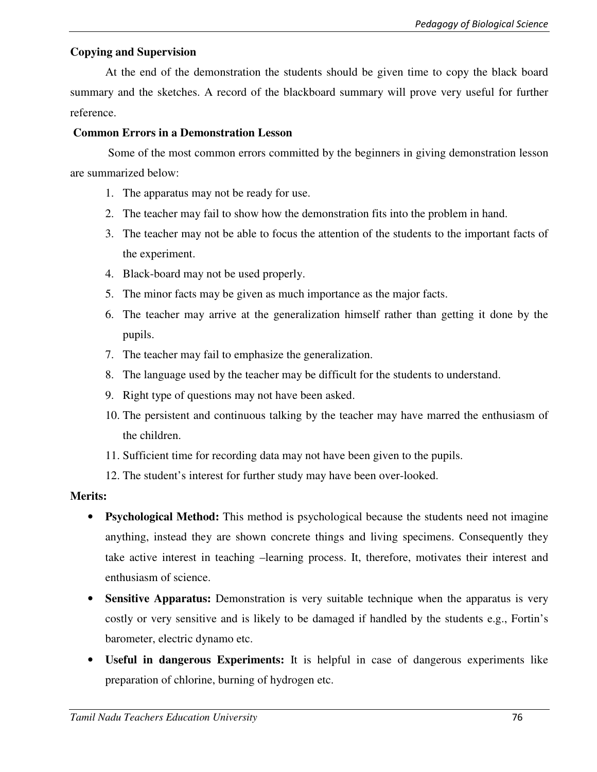# **Copying and Supervision**

At the end of the demonstration the students should be given time to copy the black board summary and the sketches. A record of the blackboard summary will prove very useful for further reference.

### **Common Errors in a Demonstration Lesson**

 Some of the most common errors committed by the beginners in giving demonstration lesson are summarized below:

- 1. The apparatus may not be ready for use.
- 2. The teacher may fail to show how the demonstration fits into the problem in hand.
- 3. The teacher may not be able to focus the attention of the students to the important facts of the experiment.
- 4. Black-board may not be used properly.
- 5. The minor facts may be given as much importance as the major facts.
- 6. The teacher may arrive at the generalization himself rather than getting it done by the pupils.
- 7. The teacher may fail to emphasize the generalization.
- 8. The language used by the teacher may be difficult for the students to understand.
- 9. Right type of questions may not have been asked.
- 10. The persistent and continuous talking by the teacher may have marred the enthusiasm of the children.
- 11. Sufficient time for recording data may not have been given to the pupils.
- 12. The student's interest for further study may have been over-looked.

#### **Merits:**

- **Psychological Method:** This method is psychological because the students need not imagine anything, instead they are shown concrete things and living specimens. Consequently they take active interest in teaching –learning process. It, therefore, motivates their interest and enthusiasm of science.
- **Sensitive Apparatus:** Demonstration is very suitable technique when the apparatus is very costly or very sensitive and is likely to be damaged if handled by the students e.g., Fortin's barometer, electric dynamo etc.
- **Useful in dangerous Experiments:** It is helpful in case of dangerous experiments like preparation of chlorine, burning of hydrogen etc.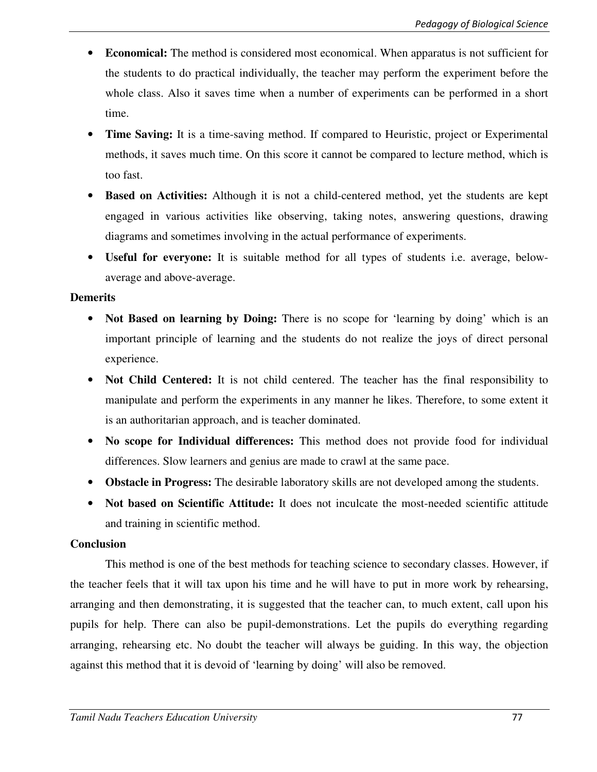- **Economical:** The method is considered most economical. When apparatus is not sufficient for the students to do practical individually, the teacher may perform the experiment before the whole class. Also it saves time when a number of experiments can be performed in a short time.
- **Time Saving:** It is a time-saving method. If compared to Heuristic, project or Experimental methods, it saves much time. On this score it cannot be compared to lecture method, which is too fast.
- **Based on Activities:** Although it is not a child-centered method, yet the students are kept engaged in various activities like observing, taking notes, answering questions, drawing diagrams and sometimes involving in the actual performance of experiments.
- **Useful for everyone:** It is suitable method for all types of students i.e. average, belowaverage and above-average.

### **Demerits**

- **Not Based on learning by Doing:** There is no scope for 'learning by doing' which is an important principle of learning and the students do not realize the joys of direct personal experience.
- **Not Child Centered:** It is not child centered. The teacher has the final responsibility to manipulate and perform the experiments in any manner he likes. Therefore, to some extent it is an authoritarian approach, and is teacher dominated.
- **No scope for Individual differences:** This method does not provide food for individual differences. Slow learners and genius are made to crawl at the same pace.
- **Obstacle in Progress:** The desirable laboratory skills are not developed among the students.
- **Not based on Scientific Attitude:** It does not inculcate the most-needed scientific attitude and training in scientific method.

## **Conclusion**

This method is one of the best methods for teaching science to secondary classes. However, if the teacher feels that it will tax upon his time and he will have to put in more work by rehearsing, arranging and then demonstrating, it is suggested that the teacher can, to much extent, call upon his pupils for help. There can also be pupil-demonstrations. Let the pupils do everything regarding arranging, rehearsing etc. No doubt the teacher will always be guiding. In this way, the objection against this method that it is devoid of 'learning by doing' will also be removed.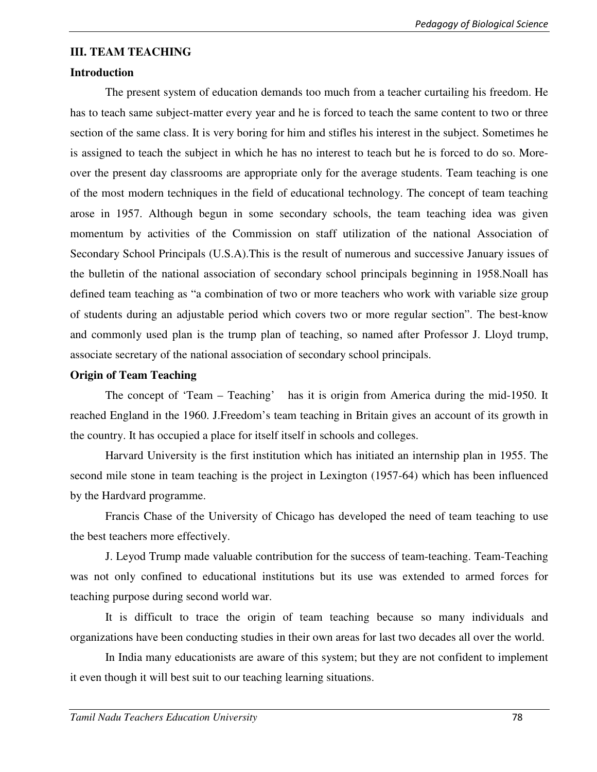### **III. TEAM TEACHING**

### **Introduction**

The present system of education demands too much from a teacher curtailing his freedom. He has to teach same subject-matter every year and he is forced to teach the same content to two or three section of the same class. It is very boring for him and stifles his interest in the subject. Sometimes he is assigned to teach the subject in which he has no interest to teach but he is forced to do so. Moreover the present day classrooms are appropriate only for the average students. Team teaching is one of the most modern techniques in the field of educational technology. The concept of team teaching arose in 1957. Although begun in some secondary schools, the team teaching idea was given momentum by activities of the Commission on staff utilization of the national Association of Secondary School Principals (U.S.A).This is the result of numerous and successive January issues of the bulletin of the national association of secondary school principals beginning in 1958.Noall has defined team teaching as "a combination of two or more teachers who work with variable size group of students during an adjustable period which covers two or more regular section". The best-know and commonly used plan is the trump plan of teaching, so named after Professor J. Lloyd trump, associate secretary of the national association of secondary school principals.

### **Origin of Team Teaching**

The concept of 'Team – Teaching' has it is origin from America during the mid-1950. It reached England in the 1960. J.Freedom's team teaching in Britain gives an account of its growth in the country. It has occupied a place for itself itself in schools and colleges.

Harvard University is the first institution which has initiated an internship plan in 1955. The second mile stone in team teaching is the project in Lexington (1957-64) which has been influenced by the Hardvard programme.

Francis Chase of the University of Chicago has developed the need of team teaching to use the best teachers more effectively.

J. Leyod Trump made valuable contribution for the success of team-teaching. Team-Teaching was not only confined to educational institutions but its use was extended to armed forces for teaching purpose during second world war.

It is difficult to trace the origin of team teaching because so many individuals and organizations have been conducting studies in their own areas for last two decades all over the world.

In India many educationists are aware of this system; but they are not confident to implement it even though it will best suit to our teaching learning situations.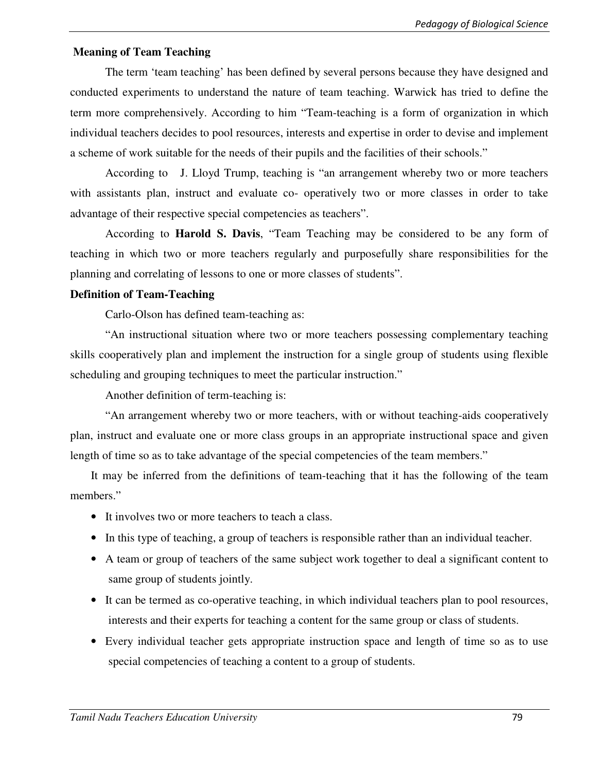### **Meaning of Team Teaching**

The term 'team teaching' has been defined by several persons because they have designed and conducted experiments to understand the nature of team teaching. Warwick has tried to define the term more comprehensively. According to him "Team-teaching is a form of organization in which individual teachers decides to pool resources, interests and expertise in order to devise and implement a scheme of work suitable for the needs of their pupils and the facilities of their schools."

According to J. Lloyd Trump, teaching is "an arrangement whereby two or more teachers with assistants plan, instruct and evaluate co- operatively two or more classes in order to take advantage of their respective special competencies as teachers".

 According to **Harold S. Davis**, "Team Teaching may be considered to be any form of teaching in which two or more teachers regularly and purposefully share responsibilities for the planning and correlating of lessons to one or more classes of students".

#### **Definition of Team-Teaching**

Carlo-Olson has defined team-teaching as:

"An instructional situation where two or more teachers possessing complementary teaching skills cooperatively plan and implement the instruction for a single group of students using flexible scheduling and grouping techniques to meet the particular instruction."

Another definition of term-teaching is:

"An arrangement whereby two or more teachers, with or without teaching-aids cooperatively plan, instruct and evaluate one or more class groups in an appropriate instructional space and given length of time so as to take advantage of the special competencies of the team members."

It may be inferred from the definitions of team-teaching that it has the following of the team members."

- It involves two or more teachers to teach a class.
- In this type of teaching, a group of teachers is responsible rather than an individual teacher.
- A team or group of teachers of the same subject work together to deal a significant content to same group of students jointly.
- It can be termed as co-operative teaching, in which individual teachers plan to pool resources, interests and their experts for teaching a content for the same group or class of students.
- Every individual teacher gets appropriate instruction space and length of time so as to use special competencies of teaching a content to a group of students.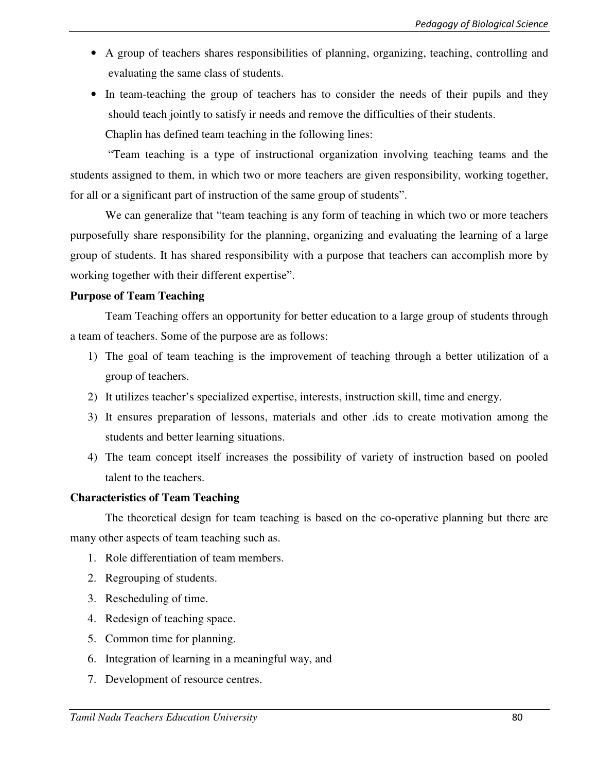- A group of teachers shares responsibilities of planning, organizing, teaching, controlling and evaluating the same class of students.
- In team-teaching the group of teachers has to consider the needs of their pupils and they should teach jointly to satisfy ir needs and remove the difficulties of their students.

Chaplin has defined team teaching in the following lines:

 "Team teaching is a type of instructional organization involving teaching teams and the students assigned to them, in which two or more teachers are given responsibility, working together, for all or a significant part of instruction of the same group of students".

We can generalize that "team teaching is any form of teaching in which two or more teachers purposefully share responsibility for the planning, organizing and evaluating the learning of a large group of students. It has shared responsibility with a purpose that teachers can accomplish more by working together with their different expertise".

### **Purpose of Team Teaching**

 Team Teaching offers an opportunity for better education to a large group of students through a team of teachers. Some of the purpose are as follows:

- 1) The goal of team teaching is the improvement of teaching through a better utilization of a group of teachers.
- 2) It utilizes teacher's specialized expertise, interests, instruction skill, time and energy.
- 3) It ensures preparation of lessons, materials and other .ids to create motivation among the students and better learning situations.
- 4) The team concept itself increases the possibility of variety of instruction based on pooled talent to the teachers.

## **Characteristics of Team Teaching**

The theoretical design for team teaching is based on the co-operative planning but there are many other aspects of team teaching such as.

- 1. Role differentiation of team members.
- 2. Regrouping of students.
- 3. Rescheduling of time.
- 4. Redesign of teaching space.
- 5. Common time for planning.
- 6. Integration of learning in a meaningful way, and
- 7. Development of resource centres.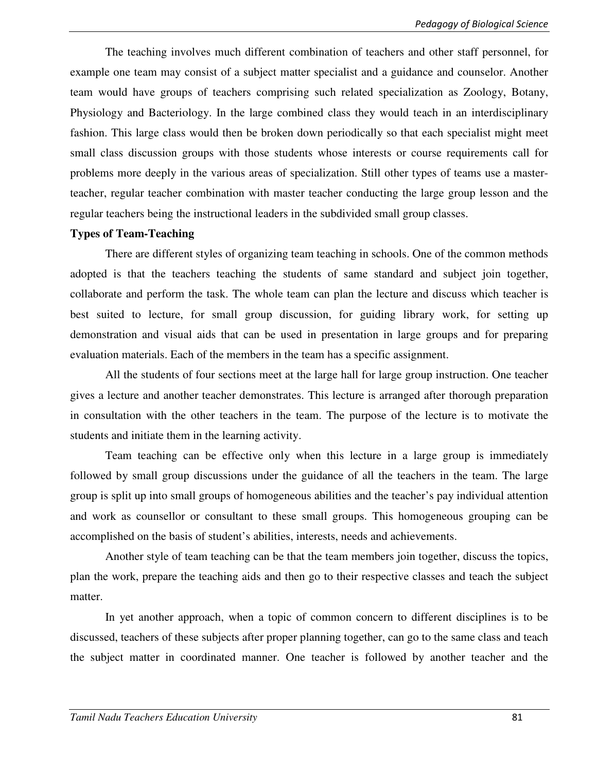The teaching involves much different combination of teachers and other staff personnel, for example one team may consist of a subject matter specialist and a guidance and counselor. Another team would have groups of teachers comprising such related specialization as Zoology, Botany, Physiology and Bacteriology. In the large combined class they would teach in an interdisciplinary fashion. This large class would then be broken down periodically so that each specialist might meet small class discussion groups with those students whose interests or course requirements call for problems more deeply in the various areas of specialization. Still other types of teams use a masterteacher, regular teacher combination with master teacher conducting the large group lesson and the regular teachers being the instructional leaders in the subdivided small group classes.

#### **Types of Team-Teaching**

There are different styles of organizing team teaching in schools. One of the common methods adopted is that the teachers teaching the students of same standard and subject join together, collaborate and perform the task. The whole team can plan the lecture and discuss which teacher is best suited to lecture, for small group discussion, for guiding library work, for setting up demonstration and visual aids that can be used in presentation in large groups and for preparing evaluation materials. Each of the members in the team has a specific assignment.

All the students of four sections meet at the large hall for large group instruction. One teacher gives a lecture and another teacher demonstrates. This lecture is arranged after thorough preparation in consultation with the other teachers in the team. The purpose of the lecture is to motivate the students and initiate them in the learning activity.

Team teaching can be effective only when this lecture in a large group is immediately followed by small group discussions under the guidance of all the teachers in the team. The large group is split up into small groups of homogeneous abilities and the teacher's pay individual attention and work as counsellor or consultant to these small groups. This homogeneous grouping can be accomplished on the basis of student's abilities, interests, needs and achievements.

Another style of team teaching can be that the team members join together, discuss the topics, plan the work, prepare the teaching aids and then go to their respective classes and teach the subject matter.

In yet another approach, when a topic of common concern to different disciplines is to be discussed, teachers of these subjects after proper planning together, can go to the same class and teach the subject matter in coordinated manner. One teacher is followed by another teacher and the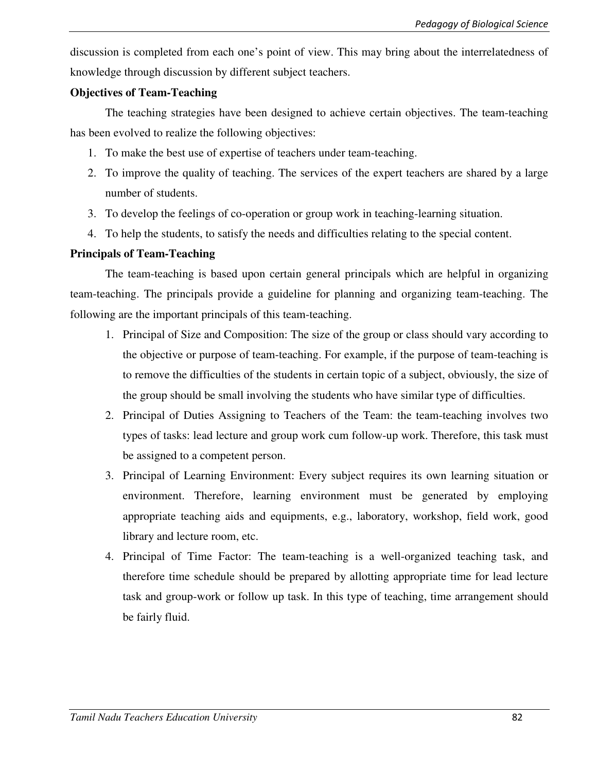discussion is completed from each one's point of view. This may bring about the interrelatedness of knowledge through discussion by different subject teachers.

### **Objectives of Team-Teaching**

The teaching strategies have been designed to achieve certain objectives. The team-teaching has been evolved to realize the following objectives:

- 1. To make the best use of expertise of teachers under team-teaching.
- 2. To improve the quality of teaching. The services of the expert teachers are shared by a large number of students.
- 3. To develop the feelings of co-operation or group work in teaching-learning situation.
- 4. To help the students, to satisfy the needs and difficulties relating to the special content.

## **Principals of Team-Teaching**

The team-teaching is based upon certain general principals which are helpful in organizing team-teaching. The principals provide a guideline for planning and organizing team-teaching. The following are the important principals of this team-teaching.

- 1. Principal of Size and Composition: The size of the group or class should vary according to the objective or purpose of team-teaching. For example, if the purpose of team-teaching is to remove the difficulties of the students in certain topic of a subject, obviously, the size of the group should be small involving the students who have similar type of difficulties.
- 2. Principal of Duties Assigning to Teachers of the Team: the team-teaching involves two types of tasks: lead lecture and group work cum follow-up work. Therefore, this task must be assigned to a competent person.
- 3. Principal of Learning Environment: Every subject requires its own learning situation or environment. Therefore, learning environment must be generated by employing appropriate teaching aids and equipments, e.g., laboratory, workshop, field work, good library and lecture room, etc.
- 4. Principal of Time Factor: The team-teaching is a well-organized teaching task, and therefore time schedule should be prepared by allotting appropriate time for lead lecture task and group-work or follow up task. In this type of teaching, time arrangement should be fairly fluid.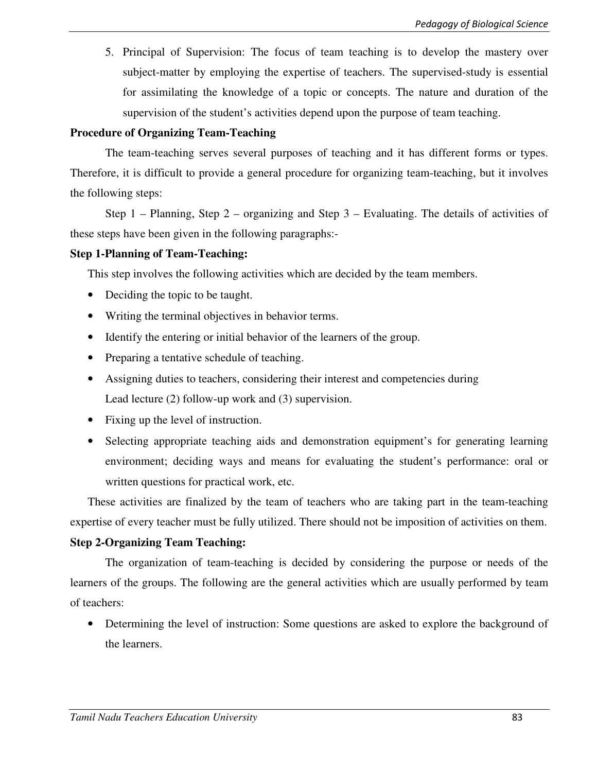5. Principal of Supervision: The focus of team teaching is to develop the mastery over subject-matter by employing the expertise of teachers. The supervised-study is essential for assimilating the knowledge of a topic or concepts. The nature and duration of the supervision of the student's activities depend upon the purpose of team teaching.

# **Procedure of Organizing Team-Teaching**

The team-teaching serves several purposes of teaching and it has different forms or types. Therefore, it is difficult to provide a general procedure for organizing team-teaching, but it involves the following steps:

Step 1 – Planning, Step 2 – organizing and Step 3 – Evaluating. The details of activities of these steps have been given in the following paragraphs:-

## **Step 1-Planning of Team-Teaching:**

This step involves the following activities which are decided by the team members.

- Deciding the topic to be taught.
- Writing the terminal objectives in behavior terms.
- Identify the entering or initial behavior of the learners of the group.
- Preparing a tentative schedule of teaching.
- Assigning duties to teachers, considering their interest and competencies during Lead lecture (2) follow-up work and (3) supervision.
- Fixing up the level of instruction.
- Selecting appropriate teaching aids and demonstration equipment's for generating learning environment; deciding ways and means for evaluating the student's performance: oral or written questions for practical work, etc.

These activities are finalized by the team of teachers who are taking part in the team-teaching expertise of every teacher must be fully utilized. There should not be imposition of activities on them.

# **Step 2-Organizing Team Teaching:**

The organization of team-teaching is decided by considering the purpose or needs of the learners of the groups. The following are the general activities which are usually performed by team of teachers:

• Determining the level of instruction: Some questions are asked to explore the background of the learners.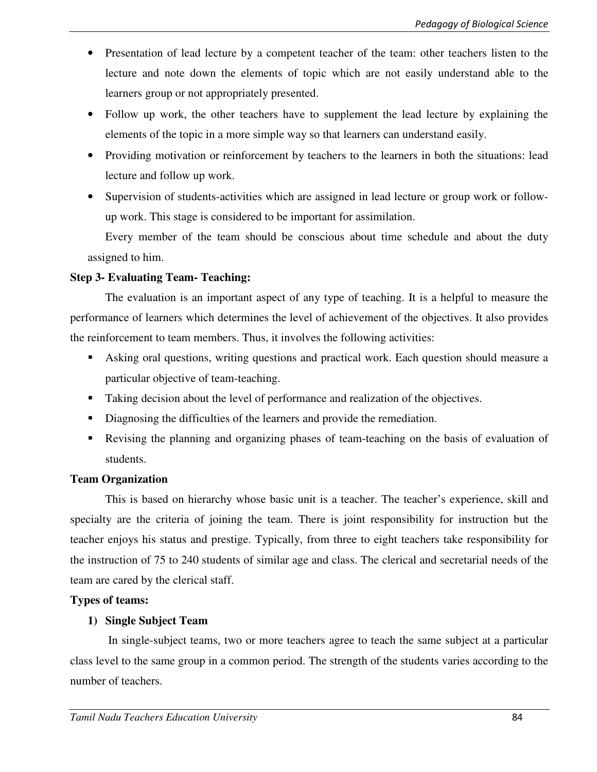- Presentation of lead lecture by a competent teacher of the team: other teachers listen to the lecture and note down the elements of topic which are not easily understand able to the learners group or not appropriately presented.
- Follow up work, the other teachers have to supplement the lead lecture by explaining the elements of the topic in a more simple way so that learners can understand easily.
- Providing motivation or reinforcement by teachers to the learners in both the situations: lead lecture and follow up work.
- Supervision of students-activities which are assigned in lead lecture or group work or followup work. This stage is considered to be important for assimilation.

 Every member of the team should be conscious about time schedule and about the duty assigned to him.

### **Step 3- Evaluating Team- Teaching:**

The evaluation is an important aspect of any type of teaching. It is a helpful to measure the performance of learners which determines the level of achievement of the objectives. It also provides the reinforcement to team members. Thus, it involves the following activities:

- Asking oral questions, writing questions and practical work. Each question should measure a particular objective of team-teaching.
- Taking decision about the level of performance and realization of the objectives.
- Diagnosing the difficulties of the learners and provide the remediation.
- Revising the planning and organizing phases of team-teaching on the basis of evaluation of students.

## **Team Organization**

This is based on hierarchy whose basic unit is a teacher. The teacher's experience, skill and specialty are the criteria of joining the team. There is joint responsibility for instruction but the teacher enjoys his status and prestige. Typically, from three to eight teachers take responsibility for the instruction of 75 to 240 students of similar age and class. The clerical and secretarial needs of the team are cared by the clerical staff.

## **Types of teams:**

## **1) Single Subject Team**

 In single-subject teams, two or more teachers agree to teach the same subject at a particular class level to the same group in a common period. The strength of the students varies according to the number of teachers.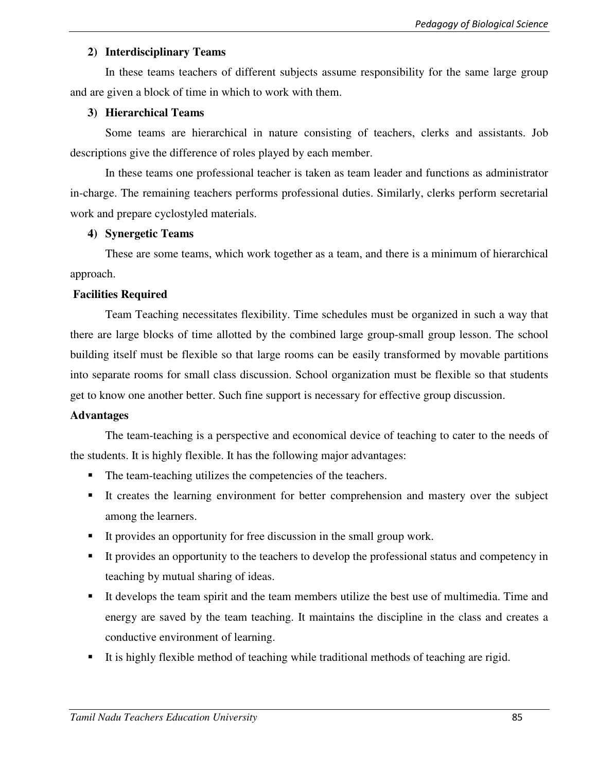### **2) Interdisciplinary Teams**

In these teams teachers of different subjects assume responsibility for the same large group and are given a block of time in which to work with them.

### **3) Hierarchical Teams**

Some teams are hierarchical in nature consisting of teachers, clerks and assistants. Job descriptions give the difference of roles played by each member.

In these teams one professional teacher is taken as team leader and functions as administrator in-charge. The remaining teachers performs professional duties. Similarly, clerks perform secretarial work and prepare cyclostyled materials.

### **4) Synergetic Teams**

These are some teams, which work together as a team, and there is a minimum of hierarchical approach.

### **Facilities Required**

Team Teaching necessitates flexibility. Time schedules must be organized in such a way that there are large blocks of time allotted by the combined large group-small group lesson. The school building itself must be flexible so that large rooms can be easily transformed by movable partitions into separate rooms for small class discussion. School organization must be flexible so that students get to know one another better. Such fine support is necessary for effective group discussion.

#### **Advantages**

The team-teaching is a perspective and economical device of teaching to cater to the needs of the students. It is highly flexible. It has the following major advantages:

- The team-teaching utilizes the competencies of the teachers.
- It creates the learning environment for better comprehension and mastery over the subject among the learners.
- It provides an opportunity for free discussion in the small group work.
- It provides an opportunity to the teachers to develop the professional status and competency in teaching by mutual sharing of ideas.
- It develops the team spirit and the team members utilize the best use of multimedia. Time and energy are saved by the team teaching. It maintains the discipline in the class and creates a conductive environment of learning.
- It is highly flexible method of teaching while traditional methods of teaching are rigid.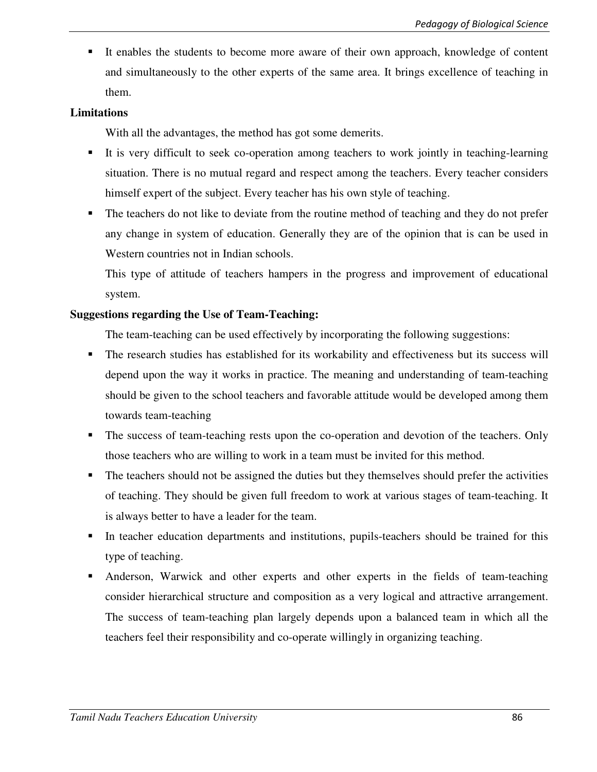It enables the students to become more aware of their own approach, knowledge of content and simultaneously to the other experts of the same area. It brings excellence of teaching in them.

### **Limitations**

With all the advantages, the method has got some demerits.

- It is very difficult to seek co-operation among teachers to work jointly in teaching-learning situation. There is no mutual regard and respect among the teachers. Every teacher considers himself expert of the subject. Every teacher has his own style of teaching.
- The teachers do not like to deviate from the routine method of teaching and they do not prefer any change in system of education. Generally they are of the opinion that is can be used in Western countries not in Indian schools.

This type of attitude of teachers hampers in the progress and improvement of educational system.

### **Suggestions regarding the Use of Team-Teaching:**

The team-teaching can be used effectively by incorporating the following suggestions:

- The research studies has established for its workability and effectiveness but its success will depend upon the way it works in practice. The meaning and understanding of team-teaching should be given to the school teachers and favorable attitude would be developed among them towards team-teaching
- The success of team-teaching rests upon the co-operation and devotion of the teachers. Only those teachers who are willing to work in a team must be invited for this method.
- The teachers should not be assigned the duties but they themselves should prefer the activities of teaching. They should be given full freedom to work at various stages of team-teaching. It is always better to have a leader for the team.
- In teacher education departments and institutions, pupils-teachers should be trained for this type of teaching.
- Anderson, Warwick and other experts and other experts in the fields of team-teaching consider hierarchical structure and composition as a very logical and attractive arrangement. The success of team-teaching plan largely depends upon a balanced team in which all the teachers feel their responsibility and co-operate willingly in organizing teaching.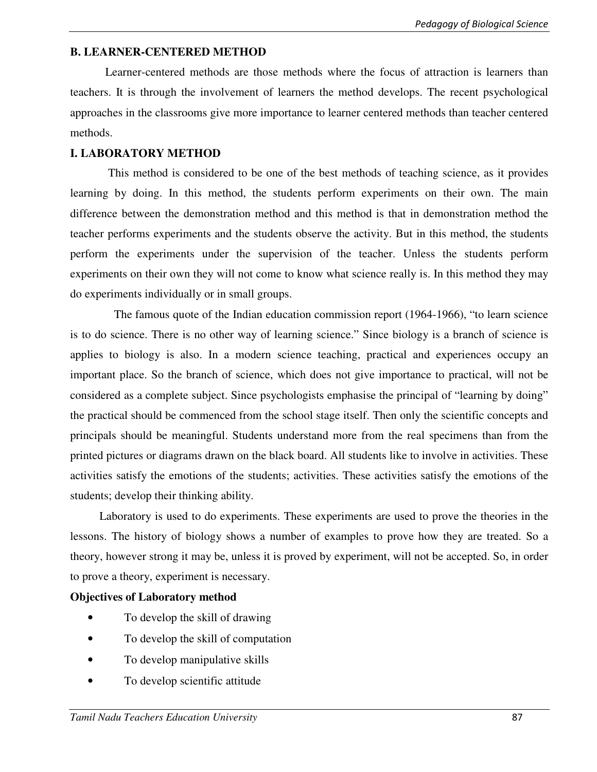### **B. LEARNER-CENTERED METHOD**

Learner-centered methods are those methods where the focus of attraction is learners than teachers. It is through the involvement of learners the method develops. The recent psychological approaches in the classrooms give more importance to learner centered methods than teacher centered methods.

### **I. LABORATORY METHOD**

This method is considered to be one of the best methods of teaching science, as it provides learning by doing. In this method, the students perform experiments on their own. The main difference between the demonstration method and this method is that in demonstration method the teacher performs experiments and the students observe the activity. But in this method, the students perform the experiments under the supervision of the teacher. Unless the students perform experiments on their own they will not come to know what science really is. In this method they may do experiments individually or in small groups.

 The famous quote of the Indian education commission report (1964-1966), "to learn science is to do science. There is no other way of learning science." Since biology is a branch of science is applies to biology is also. In a modern science teaching, practical and experiences occupy an important place. So the branch of science, which does not give importance to practical, will not be considered as a complete subject. Since psychologists emphasise the principal of "learning by doing" the practical should be commenced from the school stage itself. Then only the scientific concepts and principals should be meaningful. Students understand more from the real specimens than from the printed pictures or diagrams drawn on the black board. All students like to involve in activities. These activities satisfy the emotions of the students; activities. These activities satisfy the emotions of the students; develop their thinking ability.

 Laboratory is used to do experiments. These experiments are used to prove the theories in the lessons. The history of biology shows a number of examples to prove how they are treated. So a theory, however strong it may be, unless it is proved by experiment, will not be accepted. So, in order to prove a theory, experiment is necessary.

#### **Objectives of Laboratory method**

- To develop the skill of drawing
- To develop the skill of computation
- To develop manipulative skills
- To develop scientific attitude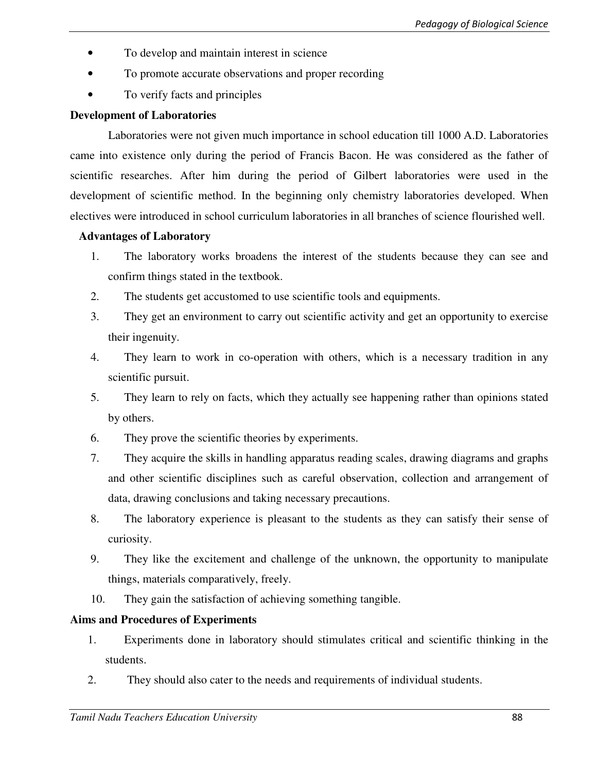- To develop and maintain interest in science
- To promote accurate observations and proper recording
- To verify facts and principles

### **Development of Laboratories**

 Laboratories were not given much importance in school education till 1000 A.D. Laboratories came into existence only during the period of Francis Bacon. He was considered as the father of scientific researches. After him during the period of Gilbert laboratories were used in the development of scientific method. In the beginning only chemistry laboratories developed. When electives were introduced in school curriculum laboratories in all branches of science flourished well.

### **Advantages of Laboratory**

- 1. The laboratory works broadens the interest of the students because they can see and confirm things stated in the textbook.
- 2. The students get accustomed to use scientific tools and equipments.
- 3. They get an environment to carry out scientific activity and get an opportunity to exercise their ingenuity.
- 4. They learn to work in co-operation with others, which is a necessary tradition in any scientific pursuit.
- 5. They learn to rely on facts, which they actually see happening rather than opinions stated by others.
- 6. They prove the scientific theories by experiments.
- 7. They acquire the skills in handling apparatus reading scales, drawing diagrams and graphs and other scientific disciplines such as careful observation, collection and arrangement of data, drawing conclusions and taking necessary precautions.
- 8. The laboratory experience is pleasant to the students as they can satisfy their sense of curiosity.
- 9. They like the excitement and challenge of the unknown, the opportunity to manipulate things, materials comparatively, freely.
- 10. They gain the satisfaction of achieving something tangible.

## **Aims and Procedures of Experiments**

- 1. Experiments done in laboratory should stimulates critical and scientific thinking in the students.
- 2. They should also cater to the needs and requirements of individual students.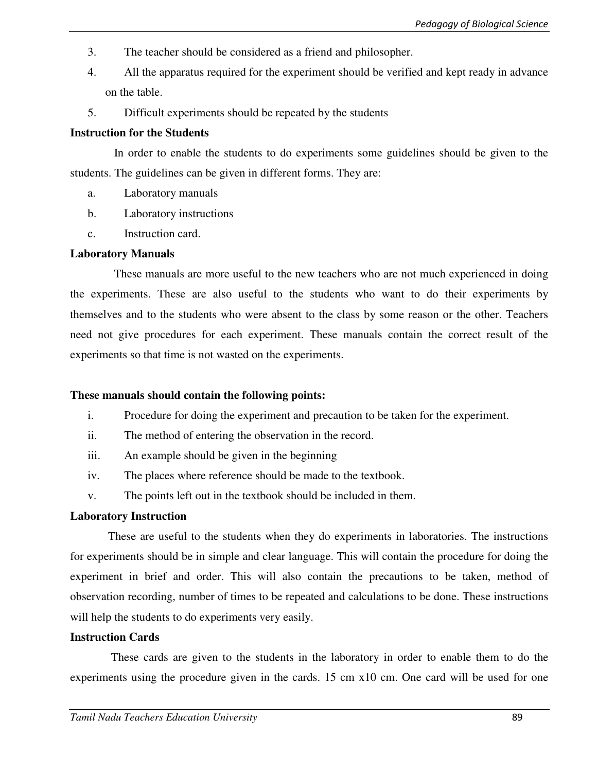- 3. The teacher should be considered as a friend and philosopher.
- 4. All the apparatus required for the experiment should be verified and kept ready in advance on the table.
- 5. Difficult experiments should be repeated by the students

### **Instruction for the Students**

 In order to enable the students to do experiments some guidelines should be given to the students. The guidelines can be given in different forms. They are:

- a. Laboratory manuals
- b. Laboratory instructions
- c. Instruction card.

### **Laboratory Manuals**

 These manuals are more useful to the new teachers who are not much experienced in doing the experiments. These are also useful to the students who want to do their experiments by themselves and to the students who were absent to the class by some reason or the other. Teachers need not give procedures for each experiment. These manuals contain the correct result of the experiments so that time is not wasted on the experiments.

## **These manuals should contain the following points:**

- i. Procedure for doing the experiment and precaution to be taken for the experiment.
- ii. The method of entering the observation in the record.
- iii. An example should be given in the beginning
- iv. The places where reference should be made to the textbook.
- v. The points left out in the textbook should be included in them.

#### **Laboratory Instruction**

 These are useful to the students when they do experiments in laboratories. The instructions for experiments should be in simple and clear language. This will contain the procedure for doing the experiment in brief and order. This will also contain the precautions to be taken, method of observation recording, number of times to be repeated and calculations to be done. These instructions will help the students to do experiments very easily.

#### **Instruction Cards**

 These cards are given to the students in the laboratory in order to enable them to do the experiments using the procedure given in the cards. 15 cm x10 cm. One card will be used for one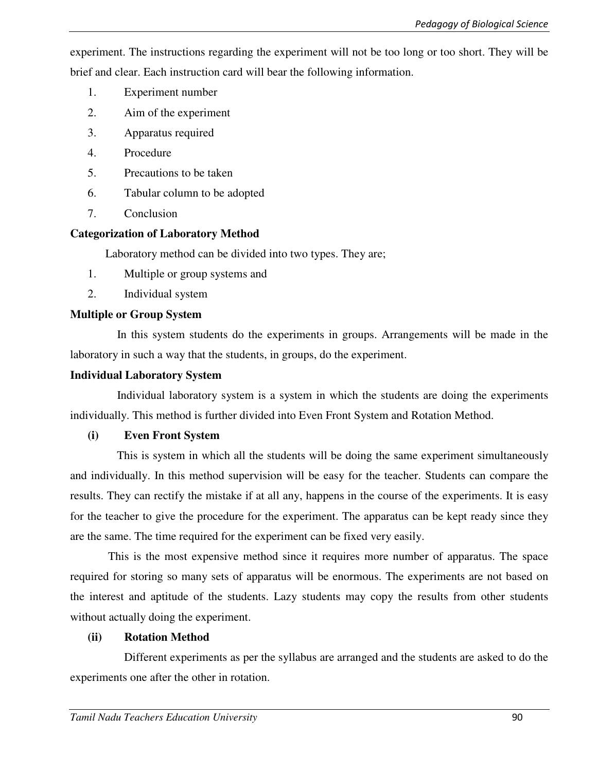experiment. The instructions regarding the experiment will not be too long or too short. They will be brief and clear. Each instruction card will bear the following information.

- 1. Experiment number
- 2. Aim of the experiment
- 3. Apparatus required
- 4. Procedure
- 5. Precautions to be taken
- 6. Tabular column to be adopted
- 7. Conclusion

### **Categorization of Laboratory Method**

Laboratory method can be divided into two types. They are;

- 1. Multiple or group systems and
- 2. Individual system

## **Multiple or Group System**

 In this system students do the experiments in groups. Arrangements will be made in the laboratory in such a way that the students, in groups, do the experiment.

#### **Individual Laboratory System**

 Individual laboratory system is a system in which the students are doing the experiments individually. This method is further divided into Even Front System and Rotation Method.

#### **(i) Even Front System**

 This is system in which all the students will be doing the same experiment simultaneously and individually. In this method supervision will be easy for the teacher. Students can compare the results. They can rectify the mistake if at all any, happens in the course of the experiments. It is easy for the teacher to give the procedure for the experiment. The apparatus can be kept ready since they are the same. The time required for the experiment can be fixed very easily.

 This is the most expensive method since it requires more number of apparatus. The space required for storing so many sets of apparatus will be enormous. The experiments are not based on the interest and aptitude of the students. Lazy students may copy the results from other students without actually doing the experiment.

## **(ii) Rotation Method**

 Different experiments as per the syllabus are arranged and the students are asked to do the experiments one after the other in rotation.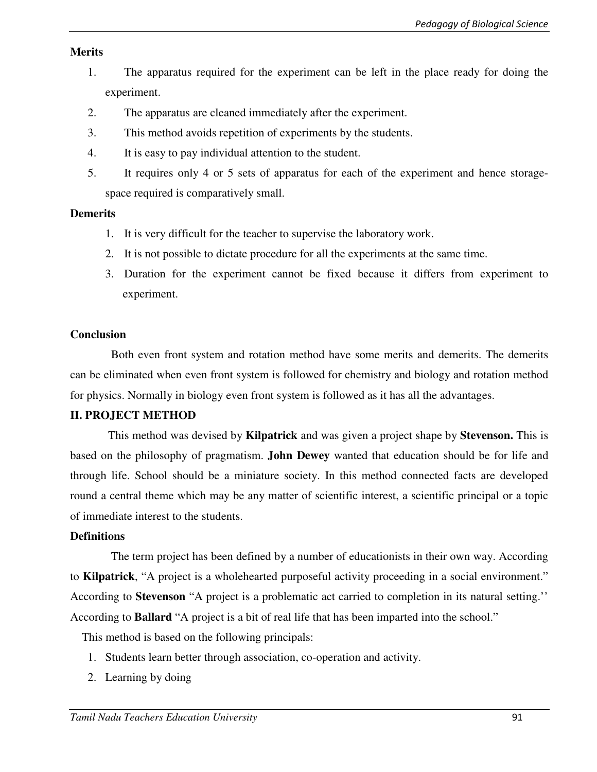#### **Merits**

- 1. The apparatus required for the experiment can be left in the place ready for doing the experiment.
- 2. The apparatus are cleaned immediately after the experiment.
- 3. This method avoids repetition of experiments by the students.
- 4. It is easy to pay individual attention to the student.
- 5. It requires only 4 or 5 sets of apparatus for each of the experiment and hence storagespace required is comparatively small.

#### **Demerits**

- 1. It is very difficult for the teacher to supervise the laboratory work.
- 2. It is not possible to dictate procedure for all the experiments at the same time.
- 3. Duration for the experiment cannot be fixed because it differs from experiment to experiment.

### **Conclusion**

 Both even front system and rotation method have some merits and demerits. The demerits can be eliminated when even front system is followed for chemistry and biology and rotation method for physics. Normally in biology even front system is followed as it has all the advantages.

#### **II. PROJECT METHOD**

This method was devised by **Kilpatrick** and was given a project shape by **Stevenson.** This is based on the philosophy of pragmatism. **John Dewey** wanted that education should be for life and through life. School should be a miniature society. In this method connected facts are developed round a central theme which may be any matter of scientific interest, a scientific principal or a topic of immediate interest to the students.

#### **Definitions**

 The term project has been defined by a number of educationists in their own way. According to **Kilpatrick**, "A project is a wholehearted purposeful activity proceeding in a social environment." According to **Stevenson** "A project is a problematic act carried to completion in its natural setting.'' According to **Ballard** "A project is a bit of real life that has been imparted into the school."

This method is based on the following principals:

- 1. Students learn better through association, co-operation and activity.
- 2. Learning by doing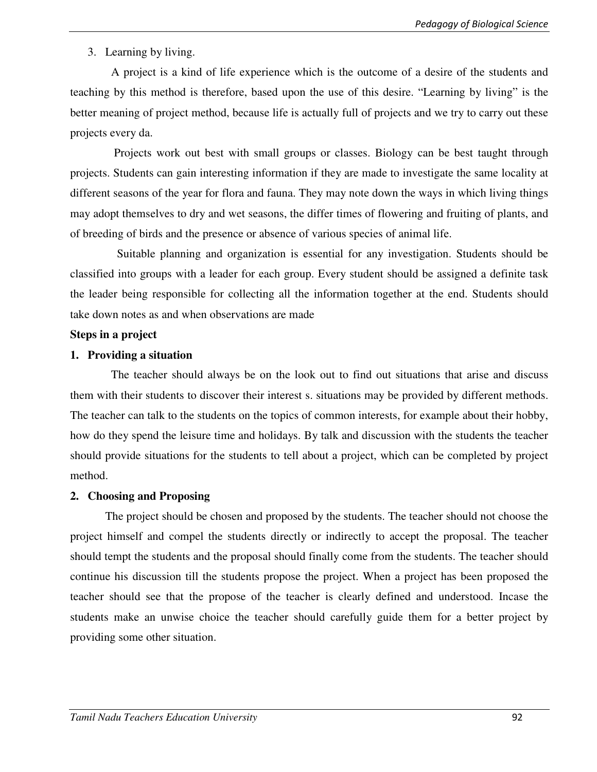### 3. Learning by living.

 A project is a kind of life experience which is the outcome of a desire of the students and teaching by this method is therefore, based upon the use of this desire. "Learning by living" is the better meaning of project method, because life is actually full of projects and we try to carry out these projects every da.

 Projects work out best with small groups or classes. Biology can be best taught through projects. Students can gain interesting information if they are made to investigate the same locality at different seasons of the year for flora and fauna. They may note down the ways in which living things may adopt themselves to dry and wet seasons, the differ times of flowering and fruiting of plants, and of breeding of birds and the presence or absence of various species of animal life.

 Suitable planning and organization is essential for any investigation. Students should be classified into groups with a leader for each group. Every student should be assigned a definite task the leader being responsible for collecting all the information together at the end. Students should take down notes as and when observations are made

#### **Steps in a project**

#### **1. Providing a situation**

 The teacher should always be on the look out to find out situations that arise and discuss them with their students to discover their interest s. situations may be provided by different methods. The teacher can talk to the students on the topics of common interests, for example about their hobby, how do they spend the leisure time and holidays. By talk and discussion with the students the teacher should provide situations for the students to tell about a project, which can be completed by project method.

#### **2. Choosing and Proposing**

 The project should be chosen and proposed by the students. The teacher should not choose the project himself and compel the students directly or indirectly to accept the proposal. The teacher should tempt the students and the proposal should finally come from the students. The teacher should continue his discussion till the students propose the project. When a project has been proposed the teacher should see that the propose of the teacher is clearly defined and understood. Incase the students make an unwise choice the teacher should carefully guide them for a better project by providing some other situation.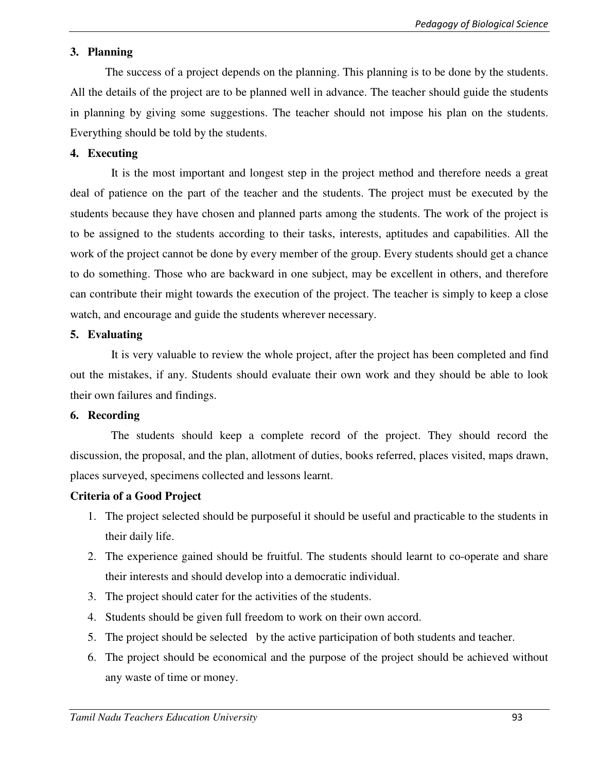### **3. Planning**

 The success of a project depends on the planning. This planning is to be done by the students. All the details of the project are to be planned well in advance. The teacher should guide the students in planning by giving some suggestions. The teacher should not impose his plan on the students. Everything should be told by the students.

#### **4. Executing**

 It is the most important and longest step in the project method and therefore needs a great deal of patience on the part of the teacher and the students. The project must be executed by the students because they have chosen and planned parts among the students. The work of the project is to be assigned to the students according to their tasks, interests, aptitudes and capabilities. All the work of the project cannot be done by every member of the group. Every students should get a chance to do something. Those who are backward in one subject, may be excellent in others, and therefore can contribute their might towards the execution of the project. The teacher is simply to keep a close watch, and encourage and guide the students wherever necessary.

### **5. Evaluating**

 It is very valuable to review the whole project, after the project has been completed and find out the mistakes, if any. Students should evaluate their own work and they should be able to look their own failures and findings.

#### **6. Recording**

 The students should keep a complete record of the project. They should record the discussion, the proposal, and the plan, allotment of duties, books referred, places visited, maps drawn, places surveyed, specimens collected and lessons learnt.

## **Criteria of a Good Project**

- 1. The project selected should be purposeful it should be useful and practicable to the students in their daily life.
- 2. The experience gained should be fruitful. The students should learnt to co-operate and share their interests and should develop into a democratic individual.
- 3. The project should cater for the activities of the students.
- 4. Students should be given full freedom to work on their own accord.
- 5. The project should be selected by the active participation of both students and teacher.
- 6. The project should be economical and the purpose of the project should be achieved without any waste of time or money.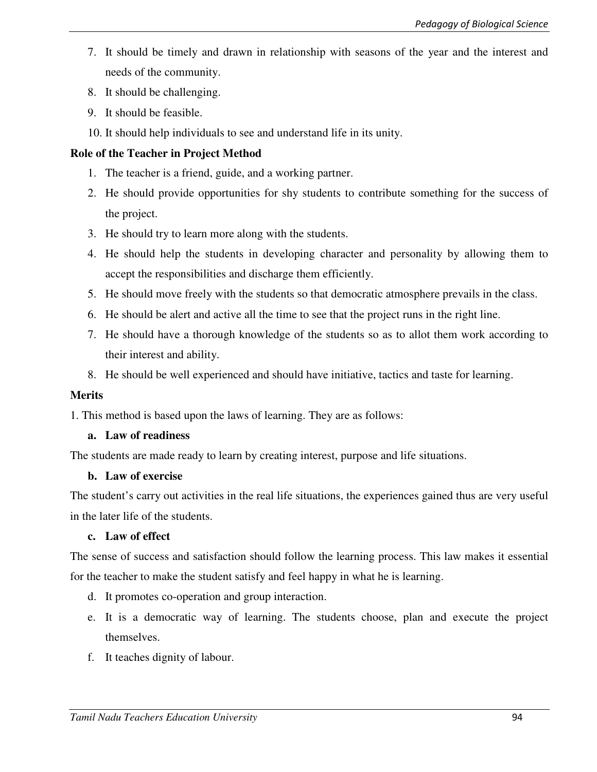- 7. It should be timely and drawn in relationship with seasons of the year and the interest and needs of the community.
- 8. It should be challenging.
- 9. It should be feasible.
- 10. It should help individuals to see and understand life in its unity.

# **Role of the Teacher in Project Method**

- 1. The teacher is a friend, guide, and a working partner.
- 2. He should provide opportunities for shy students to contribute something for the success of the project.
- 3. He should try to learn more along with the students.
- 4. He should help the students in developing character and personality by allowing them to accept the responsibilities and discharge them efficiently.
- 5. He should move freely with the students so that democratic atmosphere prevails in the class.
- 6. He should be alert and active all the time to see that the project runs in the right line.
- 7. He should have a thorough knowledge of the students so as to allot them work according to their interest and ability.
- 8. He should be well experienced and should have initiative, tactics and taste for learning.

## **Merits**

1. This method is based upon the laws of learning. They are as follows:

## **a. Law of readiness**

The students are made ready to learn by creating interest, purpose and life situations.

#### **b. Law of exercise**

The student's carry out activities in the real life situations, the experiences gained thus are very useful in the later life of the students.

## **c. Law of effect**

The sense of success and satisfaction should follow the learning process. This law makes it essential for the teacher to make the student satisfy and feel happy in what he is learning.

- d. It promotes co-operation and group interaction.
- e. It is a democratic way of learning. The students choose, plan and execute the project themselves.
- f. It teaches dignity of labour.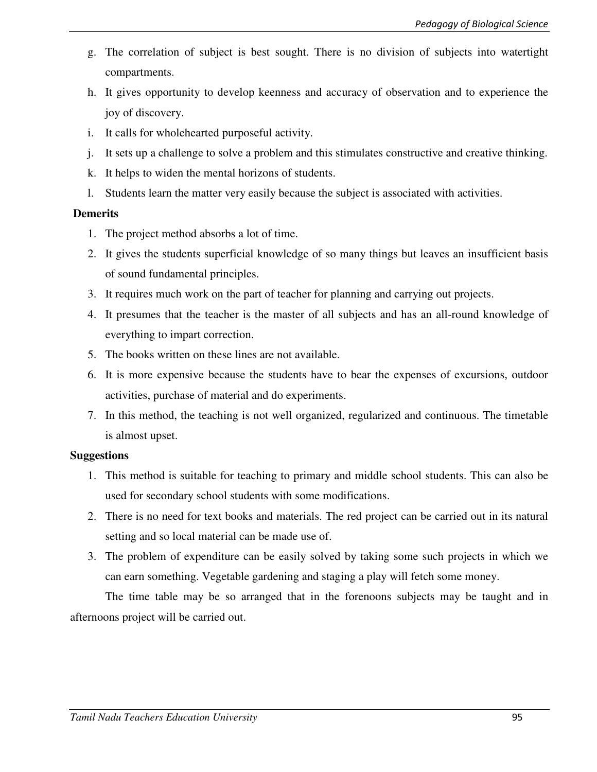- g. The correlation of subject is best sought. There is no division of subjects into watertight compartments.
- h. It gives opportunity to develop keenness and accuracy of observation and to experience the joy of discovery.
- i. It calls for wholehearted purposeful activity.
- j. It sets up a challenge to solve a problem and this stimulates constructive and creative thinking.
- k. It helps to widen the mental horizons of students.
- l. Students learn the matter very easily because the subject is associated with activities.

### **Demerits**

- 1. The project method absorbs a lot of time.
- 2. It gives the students superficial knowledge of so many things but leaves an insufficient basis of sound fundamental principles.
- 3. It requires much work on the part of teacher for planning and carrying out projects.
- 4. It presumes that the teacher is the master of all subjects and has an all-round knowledge of everything to impart correction.
- 5. The books written on these lines are not available.
- 6. It is more expensive because the students have to bear the expenses of excursions, outdoor activities, purchase of material and do experiments.
- 7. In this method, the teaching is not well organized, regularized and continuous. The timetable is almost upset.

## **Suggestions**

- 1. This method is suitable for teaching to primary and middle school students. This can also be used for secondary school students with some modifications.
- 2. There is no need for text books and materials. The red project can be carried out in its natural setting and so local material can be made use of.
- 3. The problem of expenditure can be easily solved by taking some such projects in which we can earn something. Vegetable gardening and staging a play will fetch some money.

The time table may be so arranged that in the forenoons subjects may be taught and in afternoons project will be carried out.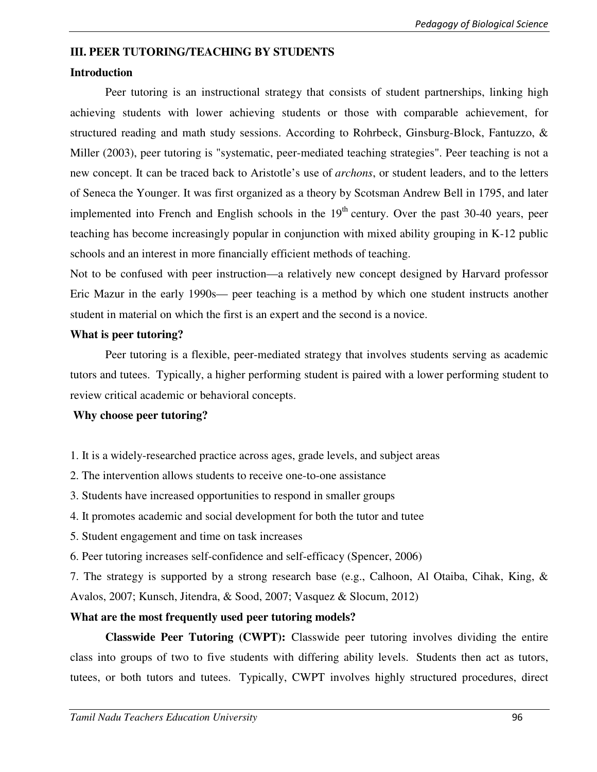#### **III. PEER TUTORING/TEACHING BY STUDENTS**

#### **Introduction**

Peer tutoring is an instructional strategy that consists of student partnerships, linking high achieving students with lower achieving students or those with comparable achievement, for structured reading and math study sessions. According to Rohrbeck, Ginsburg-Block, Fantuzzo, & Miller (2003), peer tutoring is "systematic, peer-mediated teaching strategies". Peer teaching is not a new concept. It can be traced back to Aristotle's use of *archons*, or student leaders, and to the letters of Seneca the Younger. It was first organized as a theory by Scotsman Andrew Bell in 1795, and later implemented into French and English schools in the  $19<sup>th</sup>$  century. Over the past 30-40 years, peer teaching has become increasingly popular in conjunction with mixed ability grouping in K-12 public schools and an interest in more financially efficient methods of teaching.

Not to be confused with peer instruction—a relatively new concept designed by Harvard professor Eric Mazur in the early 1990s— peer teaching is a method by which one student instructs another student in material on which the first is an expert and the second is a novice.

### **What is peer tutoring?**

 Peer tutoring is a flexible, peer-mediated strategy that involves students serving as academic tutors and tutees. Typically, a higher performing student is paired with a lower performing student to review critical academic or behavioral concepts.

#### **Why choose peer tutoring?**

- 1. It is a widely-researched practice across ages, grade levels, and subject areas
- 2. The intervention allows students to receive one-to-one assistance
- 3. Students have increased opportunities to respond in smaller groups
- 4. It promotes academic and social development for both the tutor and tutee
- 5. Student engagement and time on task increases
- 6. Peer tutoring increases self-confidence and self-efficacy (Spencer, 2006)

7. The strategy is supported by a strong research base (e.g., Calhoon, Al Otaiba, Cihak, King, & Avalos, 2007; Kunsch, Jitendra, & Sood, 2007; Vasquez & Slocum, 2012)

## **What are the most frequently used peer tutoring models?**

**Classwide Peer Tutoring (CWPT):** Classwide peer tutoring involves dividing the entire class into groups of two to five students with differing ability levels. Students then act as tutors, tutees, or both tutors and tutees. Typically, CWPT involves highly structured procedures, direct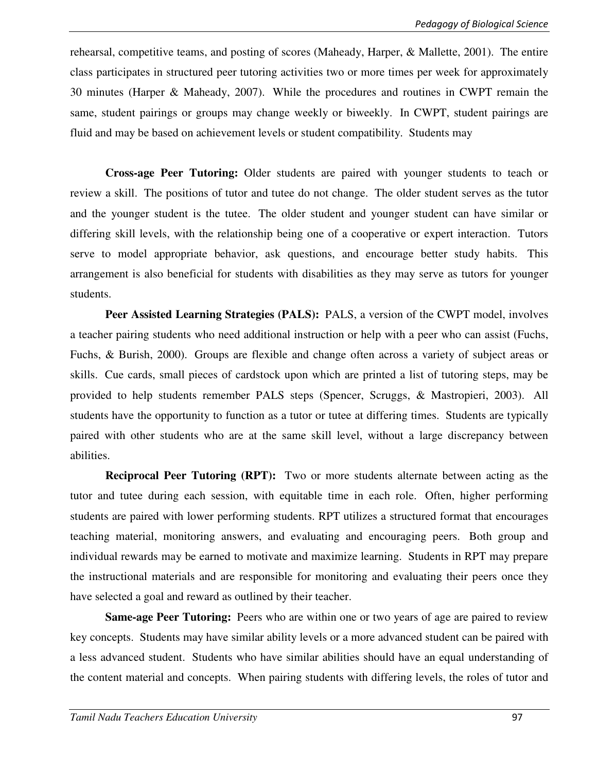rehearsal, competitive teams, and posting of scores (Maheady, Harper, & Mallette, 2001). The entire class participates in structured peer tutoring activities two or more times per week for approximately 30 minutes (Harper & Maheady, 2007). While the procedures and routines in CWPT remain the same, student pairings or groups may change weekly or biweekly. In CWPT, student pairings are fluid and may be based on achievement levels or student compatibility. Students may

**Cross-age Peer Tutoring:** Older students are paired with younger students to teach or review a skill. The positions of tutor and tutee do not change. The older student serves as the tutor and the younger student is the tutee. The older student and younger student can have similar or differing skill levels, with the relationship being one of a cooperative or expert interaction. Tutors serve to model appropriate behavior, ask questions, and encourage better study habits. This arrangement is also beneficial for students with disabilities as they may serve as tutors for younger students.

 **Peer Assisted Learning Strategies (PALS):** PALS, a version of the CWPT model, involves a teacher pairing students who need additional instruction or help with a peer who can assist (Fuchs, Fuchs, & Burish, 2000). Groups are flexible and change often across a variety of subject areas or skills. Cue cards, small pieces of cardstock upon which are printed a list of tutoring steps, may be provided to help students remember PALS steps (Spencer, Scruggs, & Mastropieri, 2003). All students have the opportunity to function as a tutor or tutee at differing times. Students are typically paired with other students who are at the same skill level, without a large discrepancy between abilities.

 **Reciprocal Peer Tutoring (RPT):** Two or more students alternate between acting as the tutor and tutee during each session, with equitable time in each role. Often, higher performing students are paired with lower performing students. RPT utilizes a structured format that encourages teaching material, monitoring answers, and evaluating and encouraging peers. Both group and individual rewards may be earned to motivate and maximize learning. Students in RPT may prepare the instructional materials and are responsible for monitoring and evaluating their peers once they have selected a goal and reward as outlined by their teacher.

**Same-age Peer Tutoring:** Peers who are within one or two years of age are paired to review key concepts. Students may have similar ability levels or a more advanced student can be paired with a less advanced student. Students who have similar abilities should have an equal understanding of the content material and concepts. When pairing students with differing levels, the roles of tutor and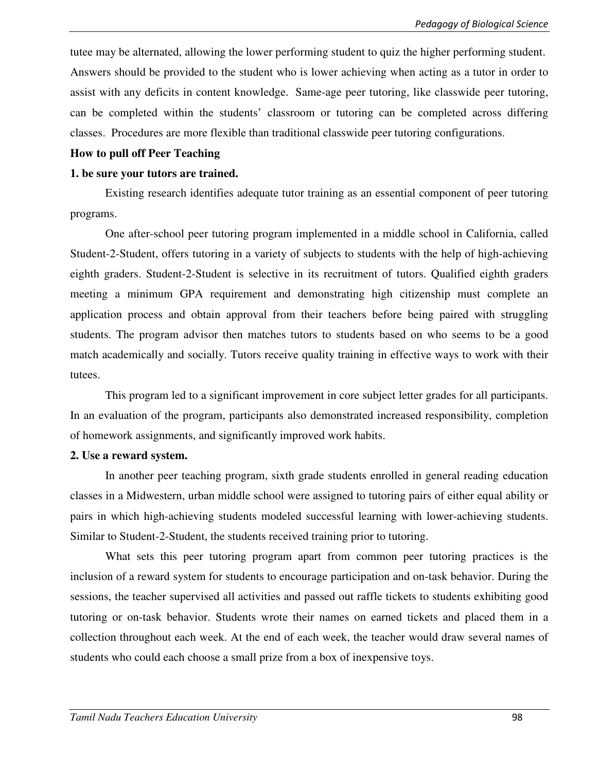tutee may be alternated, allowing the lower performing student to quiz the higher performing student. Answers should be provided to the student who is lower achieving when acting as a tutor in order to assist with any deficits in content knowledge. Same-age peer tutoring, like classwide peer tutoring, can be completed within the students' classroom or tutoring can be completed across differing classes. Procedures are more flexible than traditional classwide peer tutoring configurations.

#### **How to pull off Peer Teaching**

#### **1. be sure your tutors are trained.**

Existing research identifies adequate tutor training as an essential component of peer tutoring programs.

One after-school peer tutoring program implemented in a middle school in California, called Student-2-Student, offers tutoring in a variety of subjects to students with the help of high-achieving eighth graders. Student-2-Student is selective in its recruitment of tutors. Qualified eighth graders meeting a minimum GPA requirement and demonstrating high citizenship must complete an application process and obtain approval from their teachers before being paired with struggling students. The program advisor then matches tutors to students based on who seems to be a good match academically and socially. Tutors receive quality training in effective ways to work with their tutees.

This program led to a significant improvement in core subject letter grades for all participants. In an evaluation of the program, participants also demonstrated increased responsibility, completion of homework assignments, and significantly improved work habits.

#### **2. Use a reward system.**

In another peer teaching program, sixth grade students enrolled in general reading education classes in a Midwestern, urban middle school were assigned to tutoring pairs of either equal ability or pairs in which high-achieving students modeled successful learning with lower-achieving students. Similar to Student-2-Student, the students received training prior to tutoring.

What sets this peer tutoring program apart from common peer tutoring practices is the inclusion of a reward system for students to encourage participation and on-task behavior. During the sessions, the teacher supervised all activities and passed out raffle tickets to students exhibiting good tutoring or on-task behavior. Students wrote their names on earned tickets and placed them in a collection throughout each week. At the end of each week, the teacher would draw several names of students who could each choose a small prize from a box of inexpensive toys.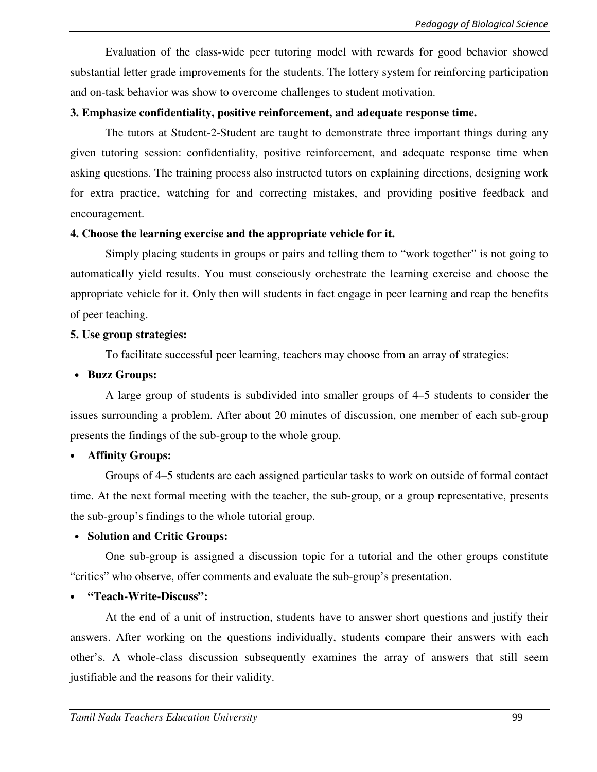Evaluation of the class-wide peer tutoring model with rewards for good behavior showed substantial letter grade improvements for the students. The lottery system for reinforcing participation and on-task behavior was show to overcome challenges to student motivation.

#### **3. Emphasize confidentiality, positive reinforcement, and adequate response time.**

The tutors at Student-2-Student are taught to demonstrate three important things during any given tutoring session: confidentiality, positive reinforcement, and adequate response time when asking questions. The training process also instructed tutors on explaining directions, designing work for extra practice, watching for and correcting mistakes, and providing positive feedback and encouragement.

### **4. Choose the learning exercise and the appropriate vehicle for it.**

Simply placing students in groups or pairs and telling them to "work together" is not going to automatically yield results. You must consciously orchestrate the learning exercise and choose the appropriate vehicle for it. Only then will students in fact engage in peer learning and reap the benefits of peer teaching.

### **5. Use group strategies:**

To facilitate successful peer learning, teachers may choose from an array of strategies:

## • **Buzz Groups:**

A large group of students is subdivided into smaller groups of 4–5 students to consider the issues surrounding a problem. After about 20 minutes of discussion, one member of each sub-group presents the findings of the sub-group to the whole group.

## • **Affinity Groups:**

Groups of 4–5 students are each assigned particular tasks to work on outside of formal contact time. At the next formal meeting with the teacher, the sub-group, or a group representative, presents the sub-group's findings to the whole tutorial group.

## • **Solution and Critic Groups:**

One sub-group is assigned a discussion topic for a tutorial and the other groups constitute "critics" who observe, offer comments and evaluate the sub-group's presentation.

## • **"Teach-Write-Discuss":**

At the end of a unit of instruction, students have to answer short questions and justify their answers. After working on the questions individually, students compare their answers with each other's. A whole-class discussion subsequently examines the array of answers that still seem justifiable and the reasons for their validity.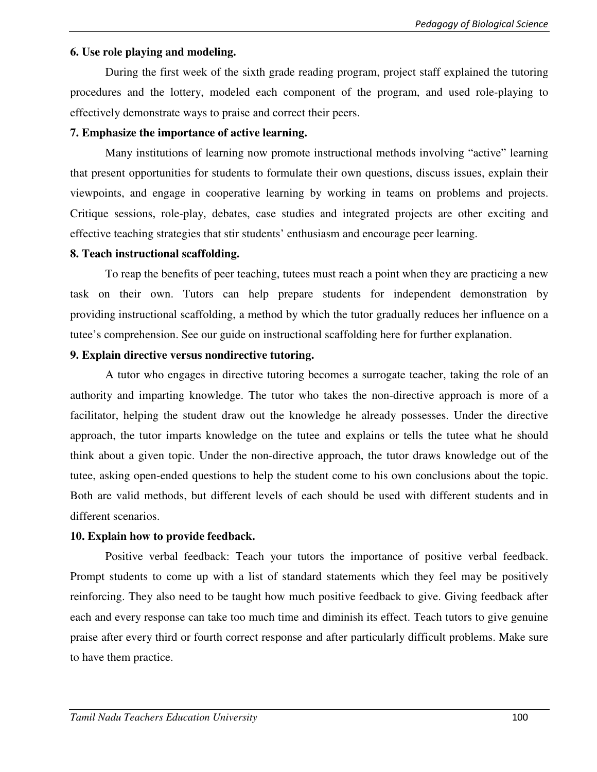#### **6. Use role playing and modeling.**

During the first week of the sixth grade reading program, project staff explained the tutoring procedures and the lottery, modeled each component of the program, and used role-playing to effectively demonstrate ways to praise and correct their peers.

### **7. Emphasize the importance of active learning.**

Many institutions of learning now promote instructional methods involving "active" learning that present opportunities for students to formulate their own questions, discuss issues, explain their viewpoints, and engage in cooperative learning by working in teams on problems and projects. Critique sessions, role-play, debates, case studies and integrated projects are other exciting and effective teaching strategies that stir students' enthusiasm and encourage peer learning.

### **8. Teach instructional scaffolding.**

To reap the benefits of peer teaching, tutees must reach a point when they are practicing a new task on their own. Tutors can help prepare students for independent demonstration by providing instructional scaffolding, a method by which the tutor gradually reduces her influence on a tutee's comprehension. See our guide on instructional scaffolding here for further explanation.

### **9. Explain directive versus nondirective tutoring.**

A tutor who engages in directive tutoring becomes a surrogate teacher, taking the role of an authority and imparting knowledge. The tutor who takes the non-directive approach is more of a facilitator, helping the student draw out the knowledge he already possesses. Under the directive approach, the tutor imparts knowledge on the tutee and explains or tells the tutee what he should think about a given topic. Under the non-directive approach, the tutor draws knowledge out of the tutee, asking open-ended questions to help the student come to his own conclusions about the topic. Both are valid methods, but different levels of each should be used with different students and in different scenarios.

## **10. Explain how to provide feedback.**

Positive verbal feedback: Teach your tutors the importance of positive verbal feedback. Prompt students to come up with a list of standard statements which they feel may be positively reinforcing. They also need to be taught how much positive feedback to give. Giving feedback after each and every response can take too much time and diminish its effect. Teach tutors to give genuine praise after every third or fourth correct response and after particularly difficult problems. Make sure to have them practice.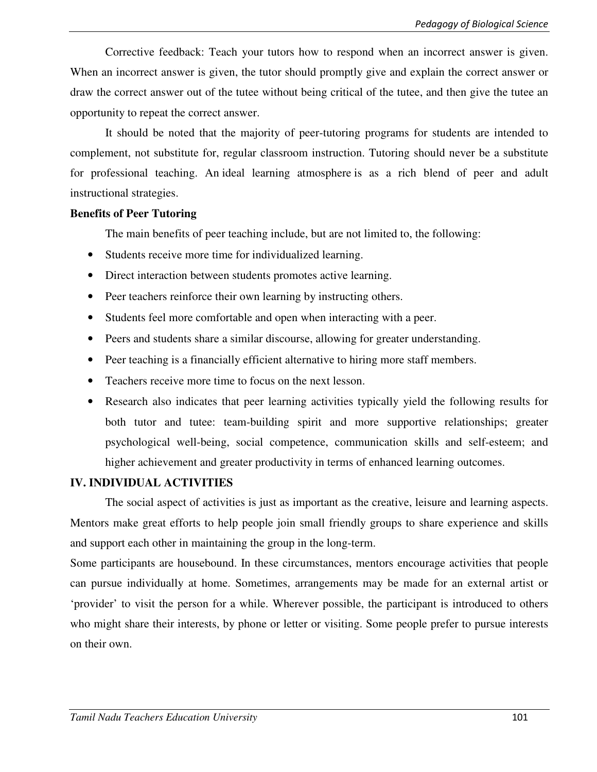Corrective feedback: Teach your tutors how to respond when an incorrect answer is given. When an incorrect answer is given, the tutor should promptly give and explain the correct answer or draw the correct answer out of the tutee without being critical of the tutee, and then give the tutee an opportunity to repeat the correct answer.

It should be noted that the majority of peer-tutoring programs for students are intended to complement, not substitute for, regular classroom instruction. Tutoring should never be a substitute for professional teaching. An ideal learning atmosphere is as a rich blend of peer and adult instructional strategies.

#### **Benefits of Peer Tutoring**

The main benefits of peer teaching include, but are not limited to, the following:

- Students receive more time for individualized learning.
- Direct interaction between students promotes active learning.
- Peer teachers reinforce their own learning by instructing others.
- Students feel more comfortable and open when interacting with a peer.
- Peers and students share a similar discourse, allowing for greater understanding.
- Peer teaching is a financially efficient alternative to hiring more staff members.
- Teachers receive more time to focus on the next lesson.
- Research also indicates that peer learning activities typically yield the following results for both tutor and tutee: team-building spirit and more supportive relationships; greater psychological well-being, social competence, communication skills and self-esteem; and higher achievement and greater productivity in terms of enhanced learning outcomes.

## **IV. INDIVIDUAL ACTIVITIES**

The social aspect of activities is just as important as the creative, leisure and learning aspects. Mentors make great efforts to help people join small friendly groups to share experience and skills and support each other in maintaining the group in the long-term.

Some participants are housebound. In these circumstances, mentors encourage activities that people can pursue individually at home. Sometimes, arrangements may be made for an external artist or 'provider' to visit the person for a while. Wherever possible, the participant is introduced to others who might share their interests, by phone or letter or visiting. Some people prefer to pursue interests on their own.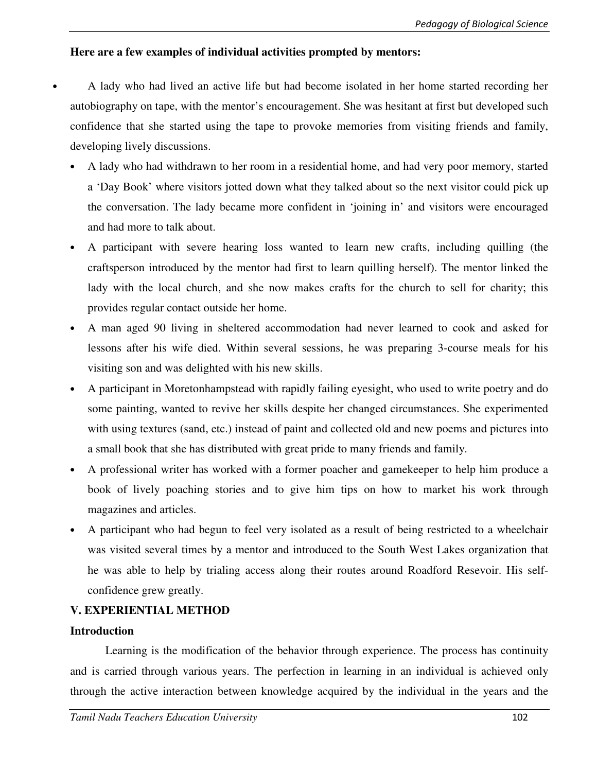## **Here are a few examples of individual activities prompted by mentors:**

- A lady who had lived an active life but had become isolated in her home started recording her autobiography on tape, with the mentor's encouragement. She was hesitant at first but developed such confidence that she started using the tape to provoke memories from visiting friends and family, developing lively discussions.
	- A lady who had withdrawn to her room in a residential home, and had very poor memory, started a 'Day Book' where visitors jotted down what they talked about so the next visitor could pick up the conversation. The lady became more confident in 'joining in' and visitors were encouraged and had more to talk about.
	- A participant with severe hearing loss wanted to learn new crafts, including quilling (the craftsperson introduced by the mentor had first to learn quilling herself). The mentor linked the lady with the local church, and she now makes crafts for the church to sell for charity; this provides regular contact outside her home.
	- A man aged 90 living in sheltered accommodation had never learned to cook and asked for lessons after his wife died. Within several sessions, he was preparing 3-course meals for his visiting son and was delighted with his new skills.
	- A participant in Moretonhampstead with rapidly failing eyesight, who used to write poetry and do some painting, wanted to revive her skills despite her changed circumstances. She experimented with using textures (sand, etc.) instead of paint and collected old and new poems and pictures into a small book that she has distributed with great pride to many friends and family.
	- A professional writer has worked with a former poacher and gamekeeper to help him produce a book of lively poaching stories and to give him tips on how to market his work through magazines and articles.
	- A participant who had begun to feel very isolated as a result of being restricted to a wheelchair was visited several times by a mentor and introduced to the South West Lakes organization that he was able to help by trialing access along their routes around Roadford Resevoir. His selfconfidence grew greatly.

## **V. EXPERIENTIAL METHOD**

#### **Introduction**

 Learning is the modification of the behavior through experience. The process has continuity and is carried through various years. The perfection in learning in an individual is achieved only through the active interaction between knowledge acquired by the individual in the years and the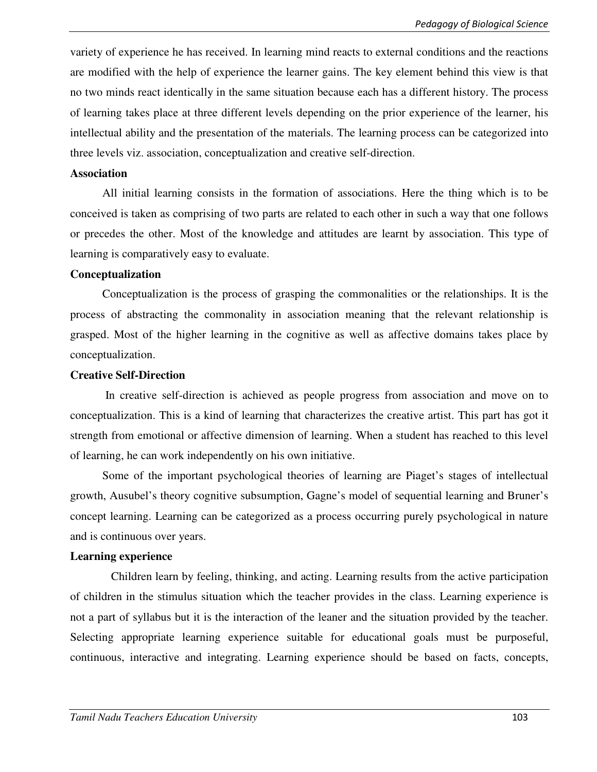variety of experience he has received. In learning mind reacts to external conditions and the reactions are modified with the help of experience the learner gains. The key element behind this view is that no two minds react identically in the same situation because each has a different history. The process of learning takes place at three different levels depending on the prior experience of the learner, his intellectual ability and the presentation of the materials. The learning process can be categorized into three levels viz. association, conceptualization and creative self-direction.

#### **Association**

 All initial learning consists in the formation of associations. Here the thing which is to be conceived is taken as comprising of two parts are related to each other in such a way that one follows or precedes the other. Most of the knowledge and attitudes are learnt by association. This type of learning is comparatively easy to evaluate.

#### **Conceptualization**

 Conceptualization is the process of grasping the commonalities or the relationships. It is the process of abstracting the commonality in association meaning that the relevant relationship is grasped. Most of the higher learning in the cognitive as well as affective domains takes place by conceptualization.

#### **Creative Self-Direction**

 In creative self-direction is achieved as people progress from association and move on to conceptualization. This is a kind of learning that characterizes the creative artist. This part has got it strength from emotional or affective dimension of learning. When a student has reached to this level of learning, he can work independently on his own initiative.

 Some of the important psychological theories of learning are Piaget's stages of intellectual growth, Ausubel's theory cognitive subsumption, Gagne's model of sequential learning and Bruner's concept learning. Learning can be categorized as a process occurring purely psychological in nature and is continuous over years.

#### **Learning experience**

 Children learn by feeling, thinking, and acting. Learning results from the active participation of children in the stimulus situation which the teacher provides in the class. Learning experience is not a part of syllabus but it is the interaction of the leaner and the situation provided by the teacher. Selecting appropriate learning experience suitable for educational goals must be purposeful, continuous, interactive and integrating. Learning experience should be based on facts, concepts,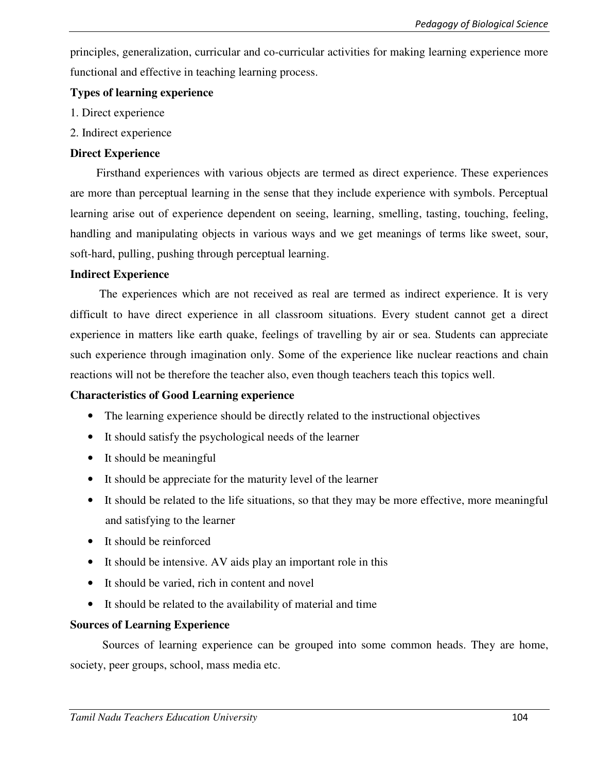principles, generalization, curricular and co-curricular activities for making learning experience more functional and effective in teaching learning process.

## **Types of learning experience**

- 1. Direct experience
- 2. Indirect experience

# **Direct Experience**

 Firsthand experiences with various objects are termed as direct experience. These experiences are more than perceptual learning in the sense that they include experience with symbols. Perceptual learning arise out of experience dependent on seeing, learning, smelling, tasting, touching, feeling, handling and manipulating objects in various ways and we get meanings of terms like sweet, sour, soft-hard, pulling, pushing through perceptual learning.

# **Indirect Experience**

 The experiences which are not received as real are termed as indirect experience. It is very difficult to have direct experience in all classroom situations. Every student cannot get a direct experience in matters like earth quake, feelings of travelling by air or sea. Students can appreciate such experience through imagination only. Some of the experience like nuclear reactions and chain reactions will not be therefore the teacher also, even though teachers teach this topics well.

# **Characteristics of Good Learning experience**

- The learning experience should be directly related to the instructional objectives
- It should satisfy the psychological needs of the learner
- It should be meaningful
- It should be appreciate for the maturity level of the learner
- It should be related to the life situations, so that they may be more effective, more meaningful and satisfying to the learner
- It should be reinforced
- It should be intensive. AV aids play an important role in this
- It should be varied, rich in content and novel
- It should be related to the availability of material and time

# **Sources of Learning Experience**

 Sources of learning experience can be grouped into some common heads. They are home, society, peer groups, school, mass media etc.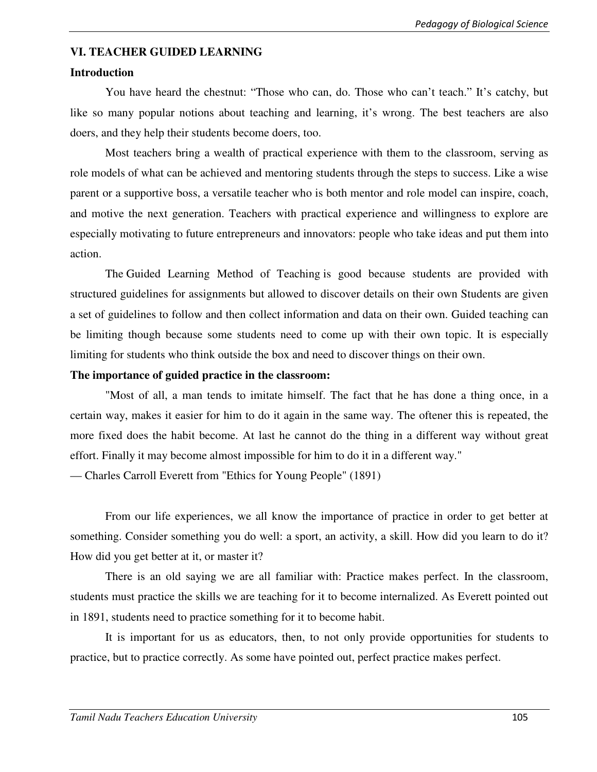#### **VI. TEACHER GUIDED LEARNING**

#### **Introduction**

You have heard the chestnut: "Those who can, do. Those who can't teach." It's catchy, but like so many popular notions about teaching and learning, it's wrong. The best teachers are also doers, and they help their students become doers, too.

Most teachers bring a wealth of practical experience with them to the classroom, serving as role models of what can be achieved and mentoring students through the steps to success. Like a wise parent or a supportive boss, a versatile teacher who is both mentor and role model can inspire, coach, and motive the next generation. Teachers with practical experience and willingness to explore are especially motivating to future entrepreneurs and innovators: people who take ideas and put them into action.

The Guided Learning Method of Teaching is good because students are provided with structured guidelines for assignments but allowed to discover details on their own Students are given a set of guidelines to follow and then collect information and data on their own. Guided teaching can be limiting though because some students need to come up with their own topic. It is especially limiting for students who think outside the box and need to discover things on their own.

#### **The importance of guided practice in the classroom:**

"Most of all, a man tends to imitate himself. The fact that he has done a thing once, in a certain way, makes it easier for him to do it again in the same way. The oftener this is repeated, the more fixed does the habit become. At last he cannot do the thing in a different way without great effort. Finally it may become almost impossible for him to do it in a different way."

— Charles Carroll Everett from "Ethics for Young People" (1891)

From our life experiences, we all know the importance of practice in order to get better at something. Consider something you do well: a sport, an activity, a skill. How did you learn to do it? How did you get better at it, or master it?

There is an old saying we are all familiar with: Practice makes perfect. In the classroom, students must practice the skills we are teaching for it to become internalized. As Everett pointed out in 1891, students need to practice something for it to become habit.

It is important for us as educators, then, to not only provide opportunities for students to practice, but to practice correctly. As some have pointed out, perfect practice makes perfect.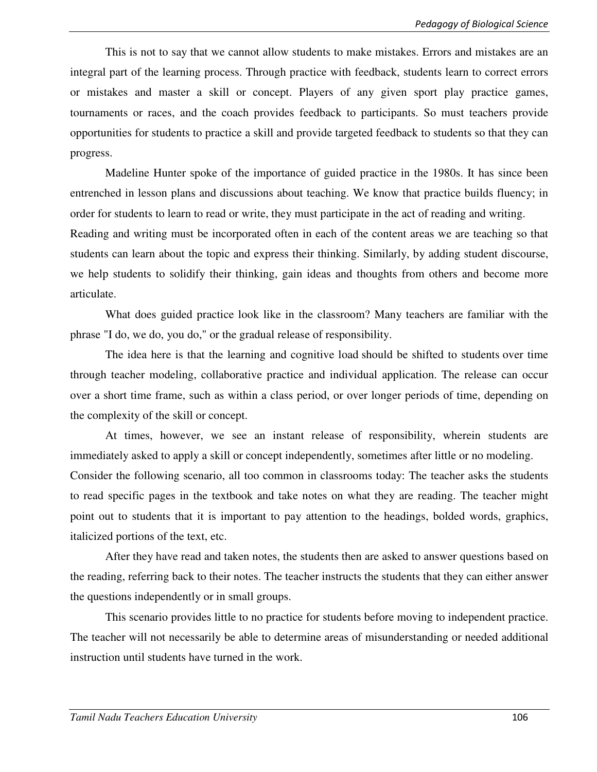This is not to say that we cannot allow students to make mistakes. Errors and mistakes are an integral part of the learning process. Through practice with feedback, students learn to correct errors or mistakes and master a skill or concept. Players of any given sport play practice games, tournaments or races, and the coach provides feedback to participants. So must teachers provide opportunities for students to practice a skill and provide targeted feedback to students so that they can progress.

Madeline Hunter spoke of the importance of guided practice in the 1980s. It has since been entrenched in lesson plans and discussions about teaching. We know that practice builds fluency; in order for students to learn to read or write, they must participate in the act of reading and writing.

Reading and writing must be incorporated often in each of the content areas we are teaching so that students can learn about the topic and express their thinking. Similarly, by adding student discourse, we help students to solidify their thinking, gain ideas and thoughts from others and become more articulate.

What does guided practice look like in the classroom? Many teachers are familiar with the phrase "I do, we do, you do," or the gradual release of responsibility.

The idea here is that the learning and cognitive load should be shifted to students over time through teacher modeling, collaborative practice and individual application. The release can occur over a short time frame, such as within a class period, or over longer periods of time, depending on the complexity of the skill or concept.

At times, however, we see an instant release of responsibility, wherein students are immediately asked to apply a skill or concept independently, sometimes after little or no modeling. Consider the following scenario, all too common in classrooms today: The teacher asks the students to read specific pages in the textbook and take notes on what they are reading. The teacher might point out to students that it is important to pay attention to the headings, bolded words, graphics, italicized portions of the text, etc.

After they have read and taken notes, the students then are asked to answer questions based on the reading, referring back to their notes. The teacher instructs the students that they can either answer the questions independently or in small groups.

This scenario provides little to no practice for students before moving to independent practice. The teacher will not necessarily be able to determine areas of misunderstanding or needed additional instruction until students have turned in the work.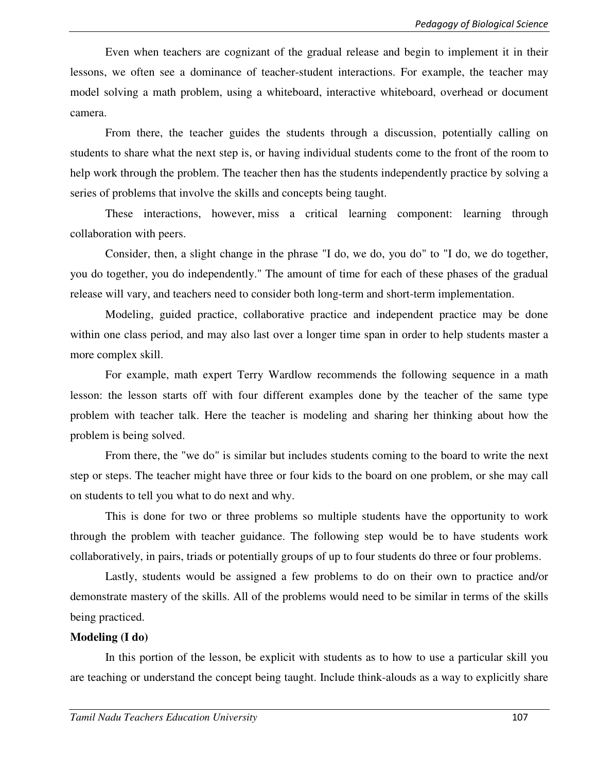Even when teachers are cognizant of the gradual release and begin to implement it in their lessons, we often see a dominance of teacher-student interactions. For example, the teacher may model solving a math problem, using a whiteboard, interactive whiteboard, overhead or document camera.

From there, the teacher guides the students through a discussion, potentially calling on students to share what the next step is, or having individual students come to the front of the room to help work through the problem. The teacher then has the students independently practice by solving a series of problems that involve the skills and concepts being taught.

These interactions, however, miss a critical learning component: learning through collaboration with peers.

Consider, then, a slight change in the phrase "I do, we do, you do" to "I do, we do together, you do together, you do independently." The amount of time for each of these phases of the gradual release will vary, and teachers need to consider both long-term and short-term implementation.

Modeling, guided practice, collaborative practice and independent practice may be done within one class period, and may also last over a longer time span in order to help students master a more complex skill.

For example, math expert Terry Wardlow recommends the following sequence in a math lesson: the lesson starts off with four different examples done by the teacher of the same type problem with teacher talk. Here the teacher is modeling and sharing her thinking about how the problem is being solved.

From there, the "we do" is similar but includes students coming to the board to write the next step or steps. The teacher might have three or four kids to the board on one problem, or she may call on students to tell you what to do next and why.

This is done for two or three problems so multiple students have the opportunity to work through the problem with teacher guidance. The following step would be to have students work collaboratively, in pairs, triads or potentially groups of up to four students do three or four problems.

Lastly, students would be assigned a few problems to do on their own to practice and/or demonstrate mastery of the skills. All of the problems would need to be similar in terms of the skills being practiced.

#### **Modeling (I do)**

In this portion of the lesson, be explicit with students as to how to use a particular skill you are teaching or understand the concept being taught. Include think-alouds as a way to explicitly share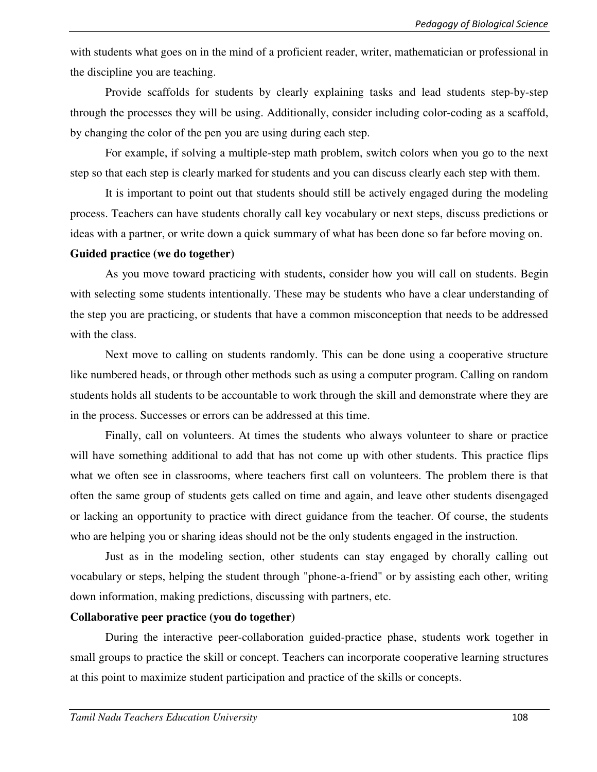with students what goes on in the mind of a proficient reader, writer, mathematician or professional in the discipline you are teaching.

Provide scaffolds for students by clearly explaining tasks and lead students step-by-step through the processes they will be using. Additionally, consider including color-coding as a scaffold, by changing the color of the pen you are using during each step.

For example, if solving a multiple-step math problem, switch colors when you go to the next step so that each step is clearly marked for students and you can discuss clearly each step with them.

It is important to point out that students should still be actively engaged during the modeling process. Teachers can have students chorally call key vocabulary or next steps, discuss predictions or ideas with a partner, or write down a quick summary of what has been done so far before moving on.

#### **Guided practice (we do together)**

As you move toward practicing with students, consider how you will call on students. Begin with selecting some students intentionally. These may be students who have a clear understanding of the step you are practicing, or students that have a common misconception that needs to be addressed with the class.

Next move to calling on students randomly. This can be done using a cooperative structure like numbered heads, or through other methods such as using a computer program. Calling on random students holds all students to be accountable to work through the skill and demonstrate where they are in the process. Successes or errors can be addressed at this time.

Finally, call on volunteers. At times the students who always volunteer to share or practice will have something additional to add that has not come up with other students. This practice flips what we often see in classrooms, where teachers first call on volunteers. The problem there is that often the same group of students gets called on time and again, and leave other students disengaged or lacking an opportunity to practice with direct guidance from the teacher. Of course, the students who are helping you or sharing ideas should not be the only students engaged in the instruction.

Just as in the modeling section, other students can stay engaged by chorally calling out vocabulary or steps, helping the student through "phone-a-friend" or by assisting each other, writing down information, making predictions, discussing with partners, etc.

#### **Collaborative peer practice (you do together)**

During the interactive peer-collaboration guided-practice phase, students work together in small groups to practice the skill or concept. Teachers can incorporate cooperative learning structures at this point to maximize student participation and practice of the skills or concepts.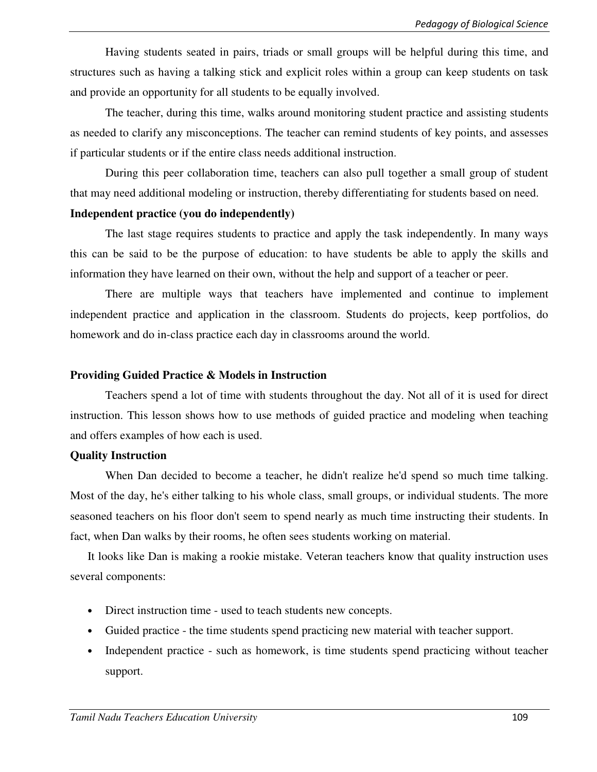Having students seated in pairs, triads or small groups will be helpful during this time, and structures such as having a talking stick and explicit roles within a group can keep students on task and provide an opportunity for all students to be equally involved.

The teacher, during this time, walks around monitoring student practice and assisting students as needed to clarify any misconceptions. The teacher can remind students of key points, and assesses if particular students or if the entire class needs additional instruction.

During this peer collaboration time, teachers can also pull together a small group of student that may need additional modeling or instruction, thereby differentiating for students based on need.

#### **Independent practice (you do independently)**

The last stage requires students to practice and apply the task independently. In many ways this can be said to be the purpose of education: to have students be able to apply the skills and information they have learned on their own, without the help and support of a teacher or peer.

There are multiple ways that teachers have implemented and continue to implement independent practice and application in the classroom. Students do projects, keep portfolios, do homework and do in-class practice each day in classrooms around the world.

### **Providing Guided Practice & Models in Instruction**

Teachers spend a lot of time with students throughout the day. Not all of it is used for direct instruction. This lesson shows how to use methods of guided practice and modeling when teaching and offers examples of how each is used.

## **Quality Instruction**

When Dan decided to become a teacher, he didn't realize he'd spend so much time talking. Most of the day, he's either talking to his whole class, small groups, or individual students. The more seasoned teachers on his floor don't seem to spend nearly as much time instructing their students. In fact, when Dan walks by their rooms, he often sees students working on material.

It looks like Dan is making a rookie mistake. Veteran teachers know that quality instruction uses several components:

- Direct instruction time used to teach students new concepts.
- Guided practice the time students spend practicing new material with teacher support.
- Independent practice such as homework, is time students spend practicing without teacher support.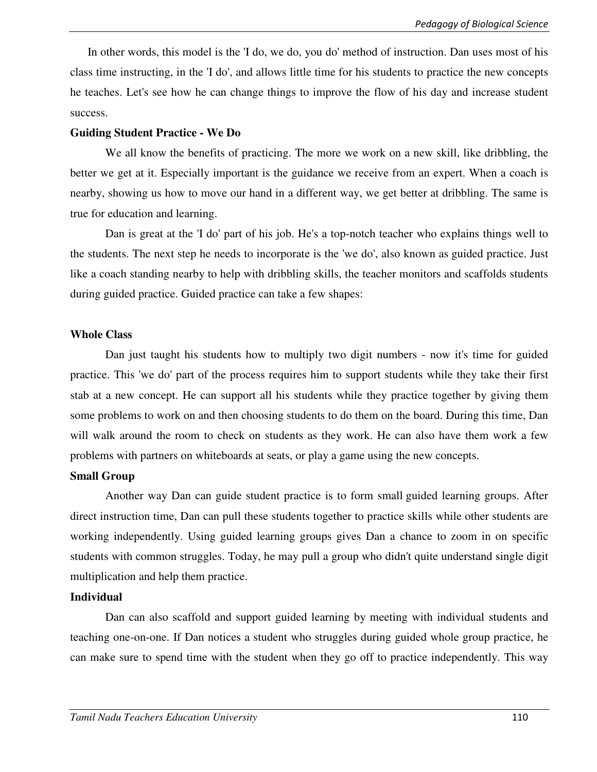In other words, this model is the 'I do, we do, you do' method of instruction. Dan uses most of his class time instructing, in the 'I do', and allows little time for his students to practice the new concepts he teaches. Let's see how he can change things to improve the flow of his day and increase student success.

#### **Guiding Student Practice - We Do**

We all know the benefits of practicing. The more we work on a new skill, like dribbling, the better we get at it. Especially important is the guidance we receive from an expert. When a coach is nearby, showing us how to move our hand in a different way, we get better at dribbling. The same is true for education and learning.

Dan is great at the 'I do' part of his job. He's a top-notch teacher who explains things well to the students. The next step he needs to incorporate is the 'we do', also known as guided practice. Just like a coach standing nearby to help with dribbling skills, the teacher monitors and scaffolds students during guided practice. Guided practice can take a few shapes:

#### **Whole Class**

Dan just taught his students how to multiply two digit numbers - now it's time for guided practice. This 'we do' part of the process requires him to support students while they take their first stab at a new concept. He can support all his students while they practice together by giving them some problems to work on and then choosing students to do them on the board. During this time, Dan will walk around the room to check on students as they work. He can also have them work a few problems with partners on whiteboards at seats, or play a game using the new concepts.

#### **Small Group**

Another way Dan can guide student practice is to form small guided learning groups. After direct instruction time, Dan can pull these students together to practice skills while other students are working independently. Using guided learning groups gives Dan a chance to zoom in on specific students with common struggles. Today, he may pull a group who didn't quite understand single digit multiplication and help them practice.

#### **Individual**

Dan can also scaffold and support guided learning by meeting with individual students and teaching one-on-one. If Dan notices a student who struggles during guided whole group practice, he can make sure to spend time with the student when they go off to practice independently. This way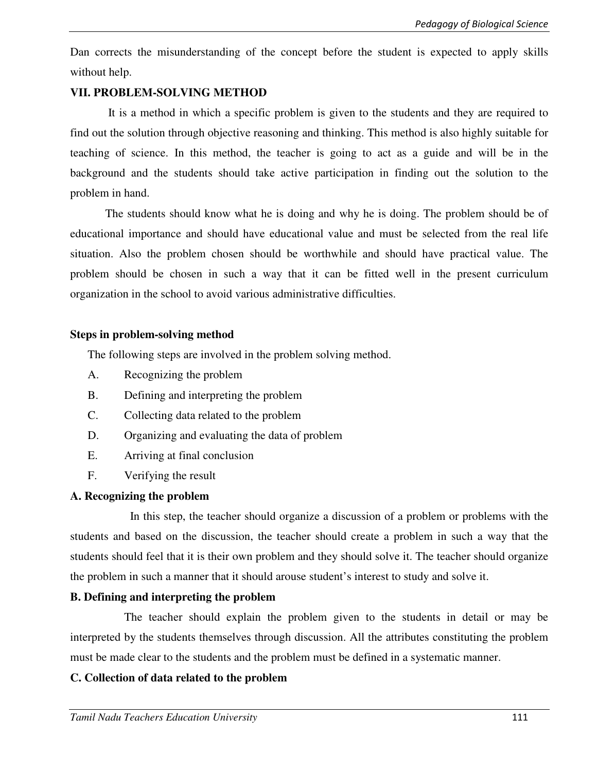Dan corrects the misunderstanding of the concept before the student is expected to apply skills without help.

#### **VII. PROBLEM-SOLVING METHOD**

 It is a method in which a specific problem is given to the students and they are required to find out the solution through objective reasoning and thinking. This method is also highly suitable for teaching of science. In this method, the teacher is going to act as a guide and will be in the background and the students should take active participation in finding out the solution to the problem in hand.

The students should know what he is doing and why he is doing. The problem should be of educational importance and should have educational value and must be selected from the real life situation. Also the problem chosen should be worthwhile and should have practical value. The problem should be chosen in such a way that it can be fitted well in the present curriculum organization in the school to avoid various administrative difficulties.

#### **Steps in problem-solving method**

The following steps are involved in the problem solving method.

- A. Recognizing the problem
- B. Defining and interpreting the problem
- C. Collecting data related to the problem
- D. Organizing and evaluating the data of problem
- E. Arriving at final conclusion
- F. Verifying the result

## **A. Recognizing the problem**

In this step, the teacher should organize a discussion of a problem or problems with the students and based on the discussion, the teacher should create a problem in such a way that the students should feel that it is their own problem and they should solve it. The teacher should organize the problem in such a manner that it should arouse student's interest to study and solve it.

## **B. Defining and interpreting the problem**

The teacher should explain the problem given to the students in detail or may be interpreted by the students themselves through discussion. All the attributes constituting the problem must be made clear to the students and the problem must be defined in a systematic manner.

## **C. Collection of data related to the problem**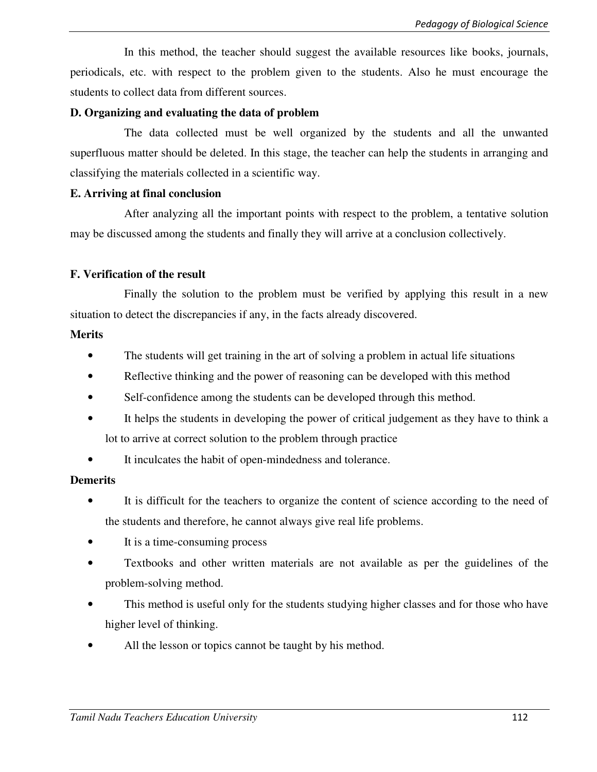In this method, the teacher should suggest the available resources like books, journals, periodicals, etc. with respect to the problem given to the students. Also he must encourage the students to collect data from different sources.

#### **D. Organizing and evaluating the data of problem**

 The data collected must be well organized by the students and all the unwanted superfluous matter should be deleted. In this stage, the teacher can help the students in arranging and classifying the materials collected in a scientific way.

#### **E. Arriving at final conclusion**

 After analyzing all the important points with respect to the problem, a tentative solution may be discussed among the students and finally they will arrive at a conclusion collectively.

## **F. Verification of the result**

 Finally the solution to the problem must be verified by applying this result in a new situation to detect the discrepancies if any, in the facts already discovered.

### **Merits**

- The students will get training in the art of solving a problem in actual life situations
- Reflective thinking and the power of reasoning can be developed with this method
- Self-confidence among the students can be developed through this method.
- It helps the students in developing the power of critical judgement as they have to think a lot to arrive at correct solution to the problem through practice
- It inculcates the habit of open-mindedness and tolerance.

## **Demerits**

- It is difficult for the teachers to organize the content of science according to the need of the students and therefore, he cannot always give real life problems.
- It is a time-consuming process
- Textbooks and other written materials are not available as per the guidelines of the problem-solving method.
- This method is useful only for the students studying higher classes and for those who have higher level of thinking.
- All the lesson or topics cannot be taught by his method.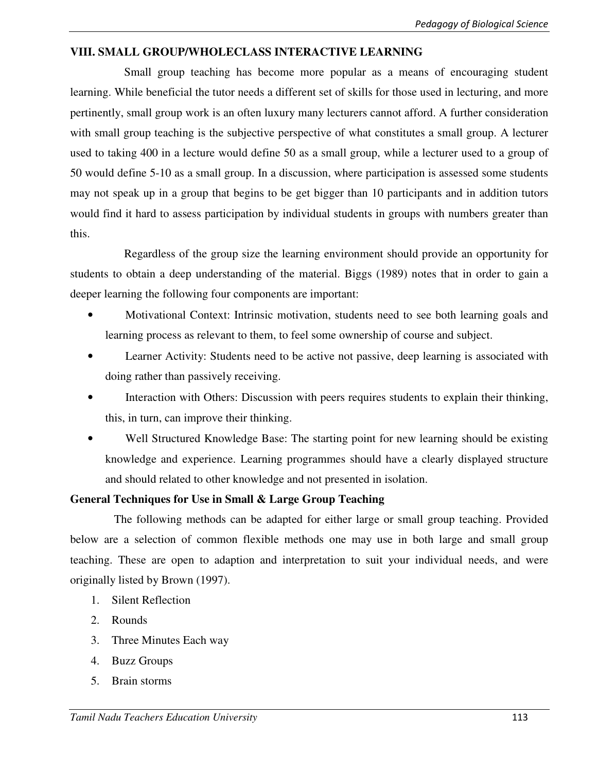## **VIII. SMALL GROUP/WHOLECLASS INTERACTIVE LEARNING**

 Small group teaching has become more popular as a means of encouraging student learning. While beneficial the tutor needs a different set of skills for those used in lecturing, and more pertinently, small group work is an often luxury many lecturers cannot afford. A further consideration with small group teaching is the subjective perspective of what constitutes a small group. A lecturer used to taking 400 in a lecture would define 50 as a small group, while a lecturer used to a group of 50 would define 5-10 as a small group. In a discussion, where participation is assessed some students may not speak up in a group that begins to be get bigger than 10 participants and in addition tutors would find it hard to assess participation by individual students in groups with numbers greater than this.

 Regardless of the group size the learning environment should provide an opportunity for students to obtain a deep understanding of the material. Biggs (1989) notes that in order to gain a deeper learning the following four components are important:

- Motivational Context: Intrinsic motivation, students need to see both learning goals and learning process as relevant to them, to feel some ownership of course and subject.
- Learner Activity: Students need to be active not passive, deep learning is associated with doing rather than passively receiving.
- Interaction with Others: Discussion with peers requires students to explain their thinking, this, in turn, can improve their thinking.
- Well Structured Knowledge Base: The starting point for new learning should be existing knowledge and experience. Learning programmes should have a clearly displayed structure and should related to other knowledge and not presented in isolation.

## **General Techniques for Use in Small & Large Group Teaching**

The following methods can be adapted for either large or small group teaching. Provided below are a selection of common flexible methods one may use in both large and small group teaching. These are open to adaption and interpretation to suit your individual needs, and were originally listed by Brown (1997).

- 1. Silent Reflection
- 2. Rounds
- 3. Three Minutes Each way
- 4. Buzz Groups
- 5. Brain storms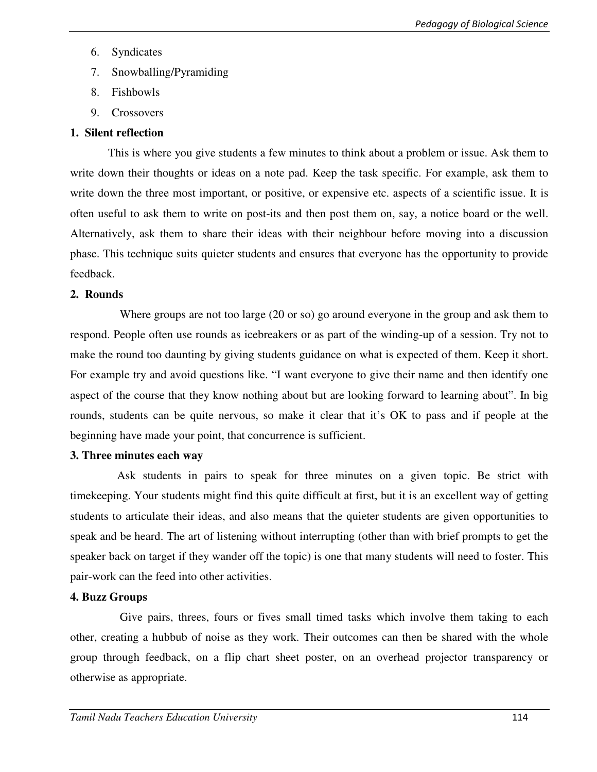- 6. Syndicates
- 7. Snowballing/Pyramiding
- 8. Fishbowls
- 9. Crossovers

# **1. Silent reflection**

This is where you give students a few minutes to think about a problem or issue. Ask them to write down their thoughts or ideas on a note pad. Keep the task specific. For example, ask them to write down the three most important, or positive, or expensive etc. aspects of a scientific issue. It is often useful to ask them to write on post-its and then post them on, say, a notice board or the well. Alternatively, ask them to share their ideas with their neighbour before moving into a discussion phase. This technique suits quieter students and ensures that everyone has the opportunity to provide feedback.

# **2. Rounds**

 Where groups are not too large (20 or so) go around everyone in the group and ask them to respond. People often use rounds as icebreakers or as part of the winding-up of a session. Try not to make the round too daunting by giving students guidance on what is expected of them. Keep it short. For example try and avoid questions like. "I want everyone to give their name and then identify one aspect of the course that they know nothing about but are looking forward to learning about". In big rounds, students can be quite nervous, so make it clear that it's OK to pass and if people at the beginning have made your point, that concurrence is sufficient.

# **3. Three minutes each way**

 Ask students in pairs to speak for three minutes on a given topic. Be strict with timekeeping. Your students might find this quite difficult at first, but it is an excellent way of getting students to articulate their ideas, and also means that the quieter students are given opportunities to speak and be heard. The art of listening without interrupting (other than with brief prompts to get the speaker back on target if they wander off the topic) is one that many students will need to foster. This pair-work can the feed into other activities.

# **4. Buzz Groups**

 Give pairs, threes, fours or fives small timed tasks which involve them taking to each other, creating a hubbub of noise as they work. Their outcomes can then be shared with the whole group through feedback, on a flip chart sheet poster, on an overhead projector transparency or otherwise as appropriate.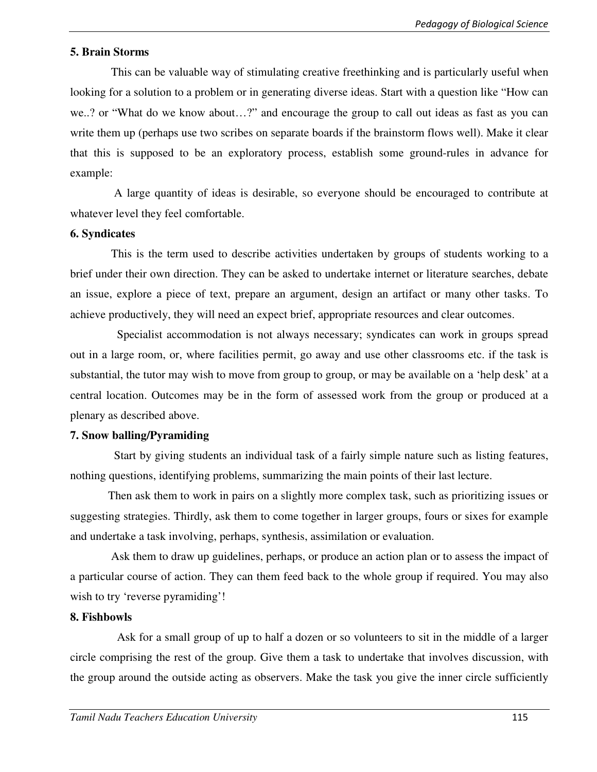#### **5. Brain Storms**

 This can be valuable way of stimulating creative freethinking and is particularly useful when looking for a solution to a problem or in generating diverse ideas. Start with a question like "How can we..? or "What do we know about…?" and encourage the group to call out ideas as fast as you can write them up (perhaps use two scribes on separate boards if the brainstorm flows well). Make it clear that this is supposed to be an exploratory process, establish some ground-rules in advance for example:

 A large quantity of ideas is desirable, so everyone should be encouraged to contribute at whatever level they feel comfortable.

#### **6. Syndicates**

 This is the term used to describe activities undertaken by groups of students working to a brief under their own direction. They can be asked to undertake internet or literature searches, debate an issue, explore a piece of text, prepare an argument, design an artifact or many other tasks. To achieve productively, they will need an expect brief, appropriate resources and clear outcomes.

 Specialist accommodation is not always necessary; syndicates can work in groups spread out in a large room, or, where facilities permit, go away and use other classrooms etc. if the task is substantial, the tutor may wish to move from group to group, or may be available on a 'help desk' at a central location. Outcomes may be in the form of assessed work from the group or produced at a plenary as described above.

#### **7. Snow balling/Pyramiding**

 Start by giving students an individual task of a fairly simple nature such as listing features, nothing questions, identifying problems, summarizing the main points of their last lecture.

 Then ask them to work in pairs on a slightly more complex task, such as prioritizing issues or suggesting strategies. Thirdly, ask them to come together in larger groups, fours or sixes for example and undertake a task involving, perhaps, synthesis, assimilation or evaluation.

 Ask them to draw up guidelines, perhaps, or produce an action plan or to assess the impact of a particular course of action. They can them feed back to the whole group if required. You may also wish to try 'reverse pyramiding'!

#### **8. Fishbowls**

 Ask for a small group of up to half a dozen or so volunteers to sit in the middle of a larger circle comprising the rest of the group. Give them a task to undertake that involves discussion, with the group around the outside acting as observers. Make the task you give the inner circle sufficiently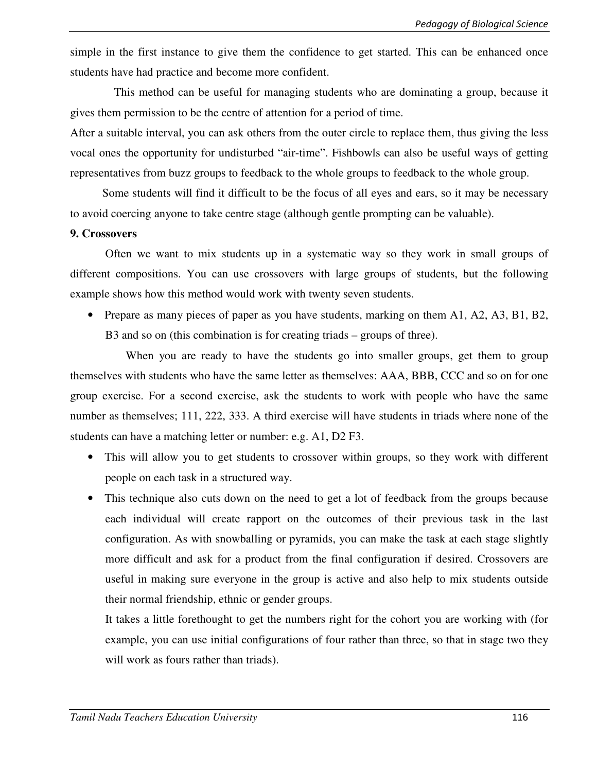simple in the first instance to give them the confidence to get started. This can be enhanced once students have had practice and become more confident.

 This method can be useful for managing students who are dominating a group, because it gives them permission to be the centre of attention for a period of time.

After a suitable interval, you can ask others from the outer circle to replace them, thus giving the less vocal ones the opportunity for undisturbed "air-time". Fishbowls can also be useful ways of getting representatives from buzz groups to feedback to the whole groups to feedback to the whole group.

 Some students will find it difficult to be the focus of all eyes and ears, so it may be necessary to avoid coercing anyone to take centre stage (although gentle prompting can be valuable).

#### **9. Crossovers**

 Often we want to mix students up in a systematic way so they work in small groups of different compositions. You can use crossovers with large groups of students, but the following example shows how this method would work with twenty seven students.

• Prepare as many pieces of paper as you have students, marking on them A1, A2, A3, B1, B2, B3 and so on (this combination is for creating triads – groups of three).

When you are ready to have the students go into smaller groups, get them to group themselves with students who have the same letter as themselves: AAA, BBB, CCC and so on for one group exercise. For a second exercise, ask the students to work with people who have the same number as themselves; 111, 222, 333. A third exercise will have students in triads where none of the students can have a matching letter or number: e.g. A1, D2 F3.

- This will allow you to get students to crossover within groups, so they work with different people on each task in a structured way.
- This technique also cuts down on the need to get a lot of feedback from the groups because each individual will create rapport on the outcomes of their previous task in the last configuration. As with snowballing or pyramids, you can make the task at each stage slightly more difficult and ask for a product from the final configuration if desired. Crossovers are useful in making sure everyone in the group is active and also help to mix students outside their normal friendship, ethnic or gender groups.

It takes a little forethought to get the numbers right for the cohort you are working with (for example, you can use initial configurations of four rather than three, so that in stage two they will work as fours rather than triads).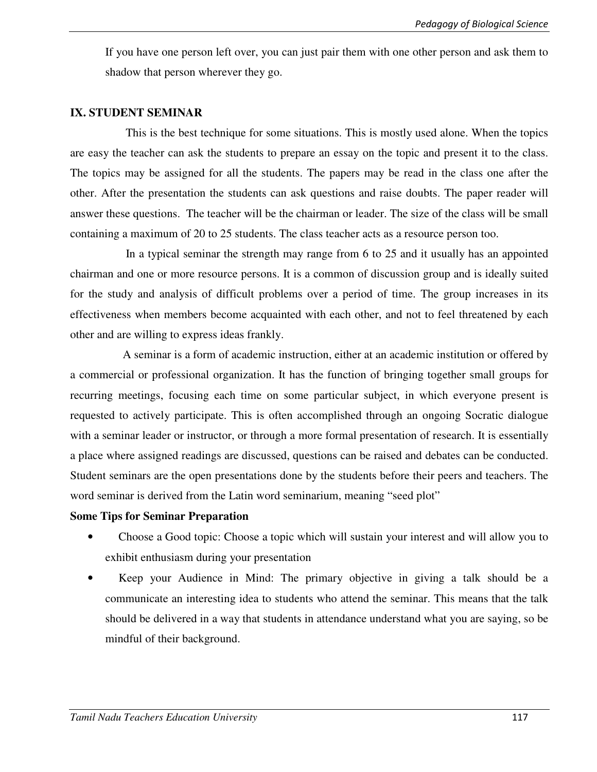If you have one person left over, you can just pair them with one other person and ask them to shadow that person wherever they go.

#### **IX. STUDENT SEMINAR**

 This is the best technique for some situations. This is mostly used alone. When the topics are easy the teacher can ask the students to prepare an essay on the topic and present it to the class. The topics may be assigned for all the students. The papers may be read in the class one after the other. After the presentation the students can ask questions and raise doubts. The paper reader will answer these questions. The teacher will be the chairman or leader. The size of the class will be small containing a maximum of 20 to 25 students. The class teacher acts as a resource person too.

 In a typical seminar the strength may range from 6 to 25 and it usually has an appointed chairman and one or more resource persons. It is a common of discussion group and is ideally suited for the study and analysis of difficult problems over a period of time. The group increases in its effectiveness when members become acquainted with each other, and not to feel threatened by each other and are willing to express ideas frankly.

 A seminar is a form of academic instruction, either at an academic institution or offered by a commercial or professional organization. It has the function of bringing together small groups for recurring meetings, focusing each time on some particular subject, in which everyone present is requested to actively participate. This is often accomplished through an ongoing Socratic dialogue with a seminar leader or instructor, or through a more formal presentation of research. It is essentially a place where assigned readings are discussed, questions can be raised and debates can be conducted. Student seminars are the open presentations done by the students before their peers and teachers. The word seminar is derived from the Latin word seminarium, meaning "seed plot"

#### **Some Tips for Seminar Preparation**

- Choose a Good topic: Choose a topic which will sustain your interest and will allow you to exhibit enthusiasm during your presentation
- Keep your Audience in Mind: The primary objective in giving a talk should be a communicate an interesting idea to students who attend the seminar. This means that the talk should be delivered in a way that students in attendance understand what you are saying, so be mindful of their background.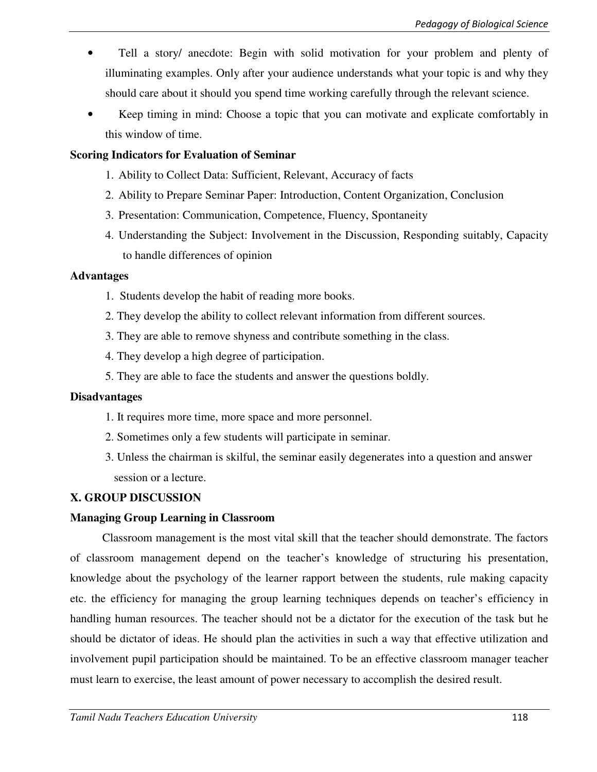- Tell a story/ anecdote: Begin with solid motivation for your problem and plenty of illuminating examples. Only after your audience understands what your topic is and why they should care about it should you spend time working carefully through the relevant science.
- Keep timing in mind: Choose a topic that you can motivate and explicate comfortably in this window of time.

#### **Scoring Indicators for Evaluation of Seminar**

- 1. Ability to Collect Data: Sufficient, Relevant, Accuracy of facts
- 2. Ability to Prepare Seminar Paper: Introduction, Content Organization, Conclusion
- 3. Presentation: Communication, Competence, Fluency, Spontaneity
- 4. Understanding the Subject: Involvement in the Discussion, Responding suitably, Capacity to handle differences of opinion

### **Advantages**

- 1. Students develop the habit of reading more books.
- 2. They develop the ability to collect relevant information from different sources.
- 3. They are able to remove shyness and contribute something in the class.
- 4. They develop a high degree of participation.
- 5. They are able to face the students and answer the questions boldly.

#### **Disadvantages**

- 1. It requires more time, more space and more personnel.
- 2. Sometimes only a few students will participate in seminar.
- 3. Unless the chairman is skilful, the seminar easily degenerates into a question and answer session or a lecture.

## **X. GROUP DISCUSSION**

#### **Managing Group Learning in Classroom**

 Classroom management is the most vital skill that the teacher should demonstrate. The factors of classroom management depend on the teacher's knowledge of structuring his presentation, knowledge about the psychology of the learner rapport between the students, rule making capacity etc. the efficiency for managing the group learning techniques depends on teacher's efficiency in handling human resources. The teacher should not be a dictator for the execution of the task but he should be dictator of ideas. He should plan the activities in such a way that effective utilization and involvement pupil participation should be maintained. To be an effective classroom manager teacher must learn to exercise, the least amount of power necessary to accomplish the desired result.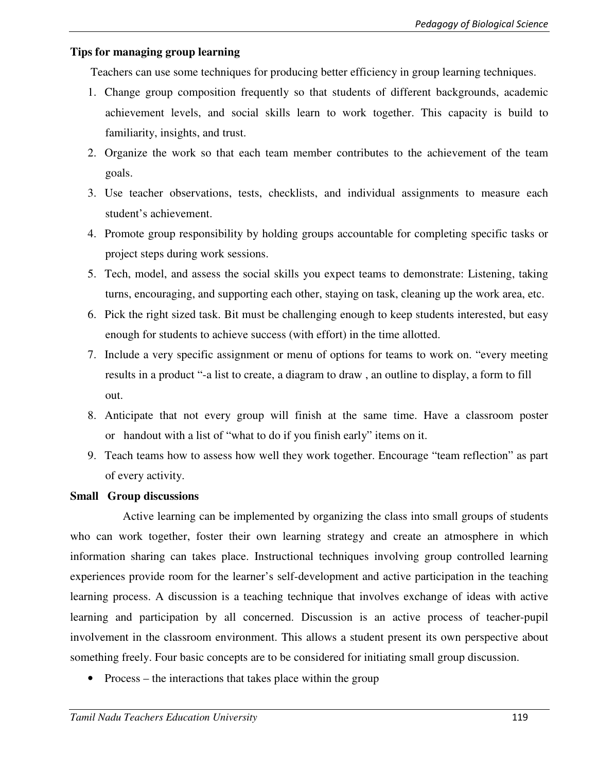## **Tips for managing group learning**

Teachers can use some techniques for producing better efficiency in group learning techniques.

- 1. Change group composition frequently so that students of different backgrounds, academic achievement levels, and social skills learn to work together. This capacity is build to familiarity, insights, and trust.
- 2. Organize the work so that each team member contributes to the achievement of the team goals.
- 3. Use teacher observations, tests, checklists, and individual assignments to measure each student's achievement.
- 4. Promote group responsibility by holding groups accountable for completing specific tasks or project steps during work sessions.
- 5. Tech, model, and assess the social skills you expect teams to demonstrate: Listening, taking turns, encouraging, and supporting each other, staying on task, cleaning up the work area, etc.
- 6. Pick the right sized task. Bit must be challenging enough to keep students interested, but easy enough for students to achieve success (with effort) in the time allotted.
- 7. Include a very specific assignment or menu of options for teams to work on. "every meeting results in a product "-a list to create, a diagram to draw , an outline to display, a form to fill out.
- 8. Anticipate that not every group will finish at the same time. Have a classroom poster or handout with a list of "what to do if you finish early" items on it.
- 9. Teach teams how to assess how well they work together. Encourage "team reflection" as part of every activity.

#### **Small Group discussions**

 Active learning can be implemented by organizing the class into small groups of students who can work together, foster their own learning strategy and create an atmosphere in which information sharing can takes place. Instructional techniques involving group controlled learning experiences provide room for the learner's self-development and active participation in the teaching learning process. A discussion is a teaching technique that involves exchange of ideas with active learning and participation by all concerned. Discussion is an active process of teacher-pupil involvement in the classroom environment. This allows a student present its own perspective about something freely. Four basic concepts are to be considered for initiating small group discussion.

• Process – the interactions that takes place within the group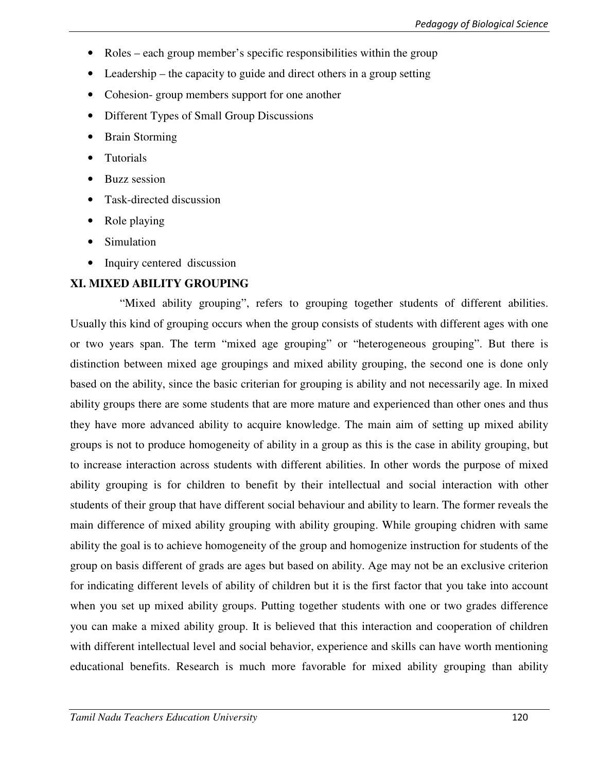- Roles each group member's specific responsibilities within the group
- Leadership the capacity to guide and direct others in a group setting
- Cohesion-group members support for one another
- Different Types of Small Group Discussions
- Brain Storming
- Tutorials
- Buzz session
- Task-directed discussion
- Role playing
- **Simulation**
- Inquiry centered discussion

# **XI. MIXED ABILITY GROUPING**

 "Mixed ability grouping", refers to grouping together students of different abilities. Usually this kind of grouping occurs when the group consists of students with different ages with one or two years span. The term "mixed age grouping" or "heterogeneous grouping". But there is distinction between mixed age groupings and mixed ability grouping, the second one is done only based on the ability, since the basic criterian for grouping is ability and not necessarily age. In mixed ability groups there are some students that are more mature and experienced than other ones and thus they have more advanced ability to acquire knowledge. The main aim of setting up mixed ability groups is not to produce homogeneity of ability in a group as this is the case in ability grouping, but to increase interaction across students with different abilities. In other words the purpose of mixed ability grouping is for children to benefit by their intellectual and social interaction with other students of their group that have different social behaviour and ability to learn. The former reveals the main difference of mixed ability grouping with ability grouping. While grouping chidren with same ability the goal is to achieve homogeneity of the group and homogenize instruction for students of the group on basis different of grads are ages but based on ability. Age may not be an exclusive criterion for indicating different levels of ability of children but it is the first factor that you take into account when you set up mixed ability groups. Putting together students with one or two grades difference you can make a mixed ability group. It is believed that this interaction and cooperation of children with different intellectual level and social behavior, experience and skills can have worth mentioning educational benefits. Research is much more favorable for mixed ability grouping than ability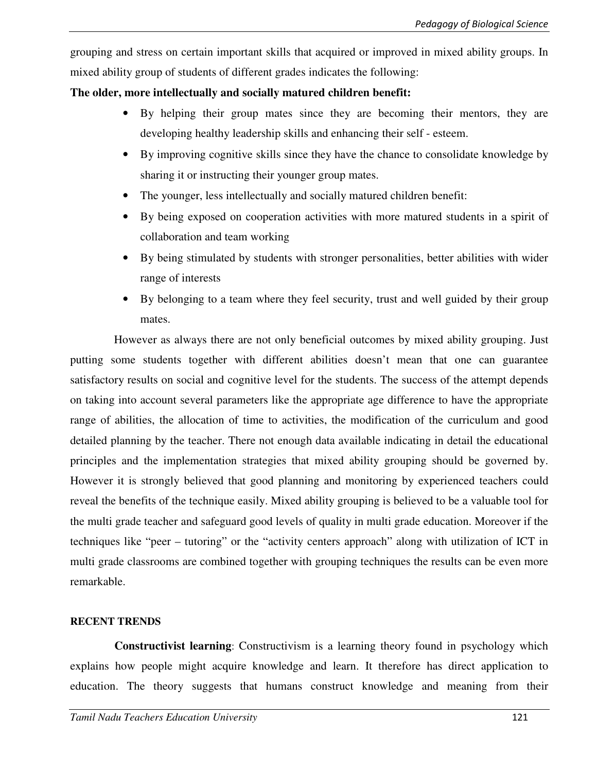grouping and stress on certain important skills that acquired or improved in mixed ability groups. In mixed ability group of students of different grades indicates the following:

### **The older, more intellectually and socially matured children benefit:**

- By helping their group mates since they are becoming their mentors, they are developing healthy leadership skills and enhancing their self - esteem.
- By improving cognitive skills since they have the chance to consolidate knowledge by sharing it or instructing their younger group mates.
- The younger, less intellectually and socially matured children benefit:
- By being exposed on cooperation activities with more matured students in a spirit of collaboration and team working
- By being stimulated by students with stronger personalities, better abilities with wider range of interests
- By belonging to a team where they feel security, trust and well guided by their group mates.

 However as always there are not only beneficial outcomes by mixed ability grouping. Just putting some students together with different abilities doesn't mean that one can guarantee satisfactory results on social and cognitive level for the students. The success of the attempt depends on taking into account several parameters like the appropriate age difference to have the appropriate range of abilities, the allocation of time to activities, the modification of the curriculum and good detailed planning by the teacher. There not enough data available indicating in detail the educational principles and the implementation strategies that mixed ability grouping should be governed by. However it is strongly believed that good planning and monitoring by experienced teachers could reveal the benefits of the technique easily. Mixed ability grouping is believed to be a valuable tool for the multi grade teacher and safeguard good levels of quality in multi grade education. Moreover if the techniques like "peer – tutoring" or the "activity centers approach" along with utilization of ICT in multi grade classrooms are combined together with grouping techniques the results can be even more remarkable.

#### **RECENT TRENDS**

**Constructivist learning**: Constructivism is a learning theory found in psychology which explains how people might acquire knowledge and learn. It therefore has direct application to education. The theory suggests that humans construct knowledge and meaning from their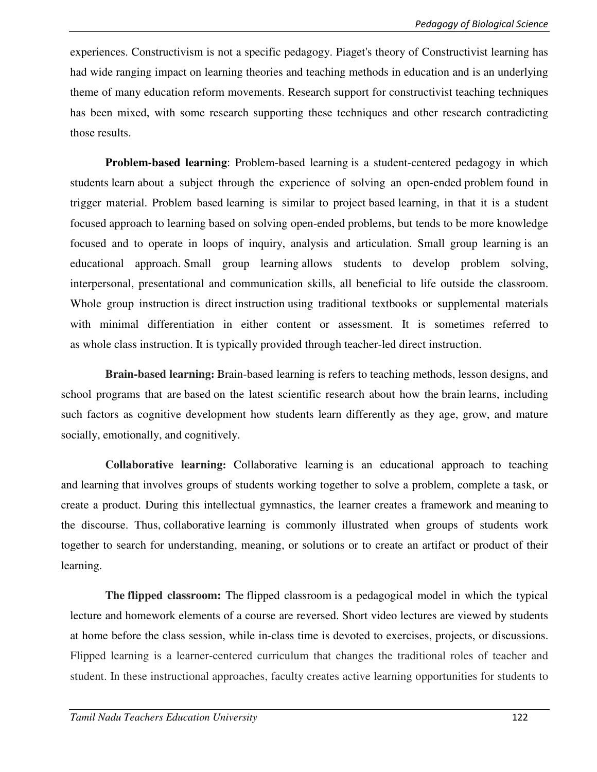experiences. Constructivism is not a specific pedagogy. Piaget's theory of Constructivist learning has had wide ranging impact on learning theories and teaching methods in education and is an underlying theme of many education reform movements. Research support for constructivist teaching techniques has been mixed, with some research supporting these techniques and other research contradicting those results.

**Problem-based learning**: Problem-based learning is a student-centered pedagogy in which students learn about a subject through the experience of solving an open-ended problem found in trigger material. Problem based learning is similar to project based learning, in that it is a student focused approach to learning based on solving open-ended problems, but tends to be more knowledge focused and to operate in loops of inquiry, analysis and articulation. Small group learning is an educational approach. Small group learning allows students to develop problem solving, interpersonal, presentational and communication skills, all beneficial to life outside the classroom. Whole group instruction is direct instruction using traditional textbooks or supplemental materials with minimal differentiation in either content or assessment. It is sometimes referred to as whole class instruction. It is typically provided through teacher-led direct instruction.

**Brain-based learning:** Brain-based learning is refers to teaching methods, lesson designs, and school programs that are based on the latest scientific research about how the brain learns, including such factors as cognitive development how students learn differently as they age, grow, and mature socially, emotionally, and cognitively.

**Collaborative learning:** Collaborative learning is an educational approach to teaching and learning that involves groups of students working together to solve a problem, complete a task, or create a product. During this intellectual gymnastics, the learner creates a framework and meaning to the discourse. Thus, collaborative learning is commonly illustrated when groups of students work together to search for understanding, meaning, or solutions or to create an artifact or product of their learning.

**The flipped classroom:** The flipped classroom is a pedagogical model in which the typical lecture and homework elements of a course are reversed. Short video lectures are viewed by students at home before the class session, while in-class time is devoted to exercises, projects, or discussions. Flipped learning is a learner-centered curriculum that changes the traditional roles of teacher and student. In these instructional approaches, faculty creates active learning opportunities for students to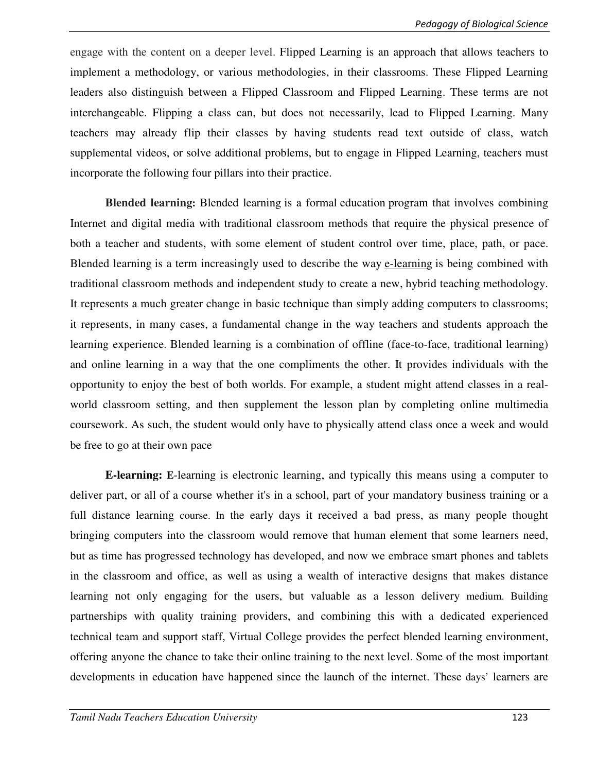engage with the content on a deeper level. Flipped Learning is an approach that allows teachers to implement a methodology, or various methodologies, in their classrooms. These Flipped Learning leaders also distinguish between a Flipped Classroom and Flipped Learning. These terms are not interchangeable. Flipping a class can, but does not necessarily, lead to Flipped Learning. Many teachers may already flip their classes by having students read text outside of class, watch supplemental videos, or solve additional problems, but to engage in Flipped Learning, teachers must incorporate the following four pillars into their practice.

**Blended learning:** Blended learning is a formal education program that involves combining Internet and digital media with traditional classroom methods that require the physical presence of both a teacher and students, with some element of student control over time, place, path, or pace. Blended learning is a term increasingly used to describe the way e-learning is being combined with traditional classroom methods and independent study to create a new, hybrid teaching methodology. It represents a much greater change in basic technique than simply adding computers to classrooms; it represents, in many cases, a fundamental change in the way teachers and students approach the learning experience. Blended learning is a combination of offline (face-to-face, traditional learning) and online learning in a way that the one compliments the other. It provides individuals with the opportunity to enjoy the best of both worlds. For example, a student might attend classes in a realworld classroom setting, and then supplement the lesson plan by completing online multimedia coursework. As such, the student would only have to physically attend class once a week and would be free to go at their own pace

**E-learning: E**-learning is electronic learning, and typically this means using a computer to deliver part, or all of a course whether it's in a school, part of your mandatory business training or a full distance learning course. In the early days it received a bad press, as many people thought bringing computers into the classroom would remove that human element that some learners need, but as time has progressed technology has developed, and now we embrace smart phones and tablets in the classroom and office, as well as using a wealth of interactive designs that makes distance learning not only engaging for the users, but valuable as a lesson delivery medium. Building partnerships with quality training providers, and combining this with a dedicated experienced technical team and support staff, Virtual College provides the perfect blended learning environment, offering anyone the chance to take their online training to the next level. Some of the most important developments in education have happened since the launch of the internet. These days' learners are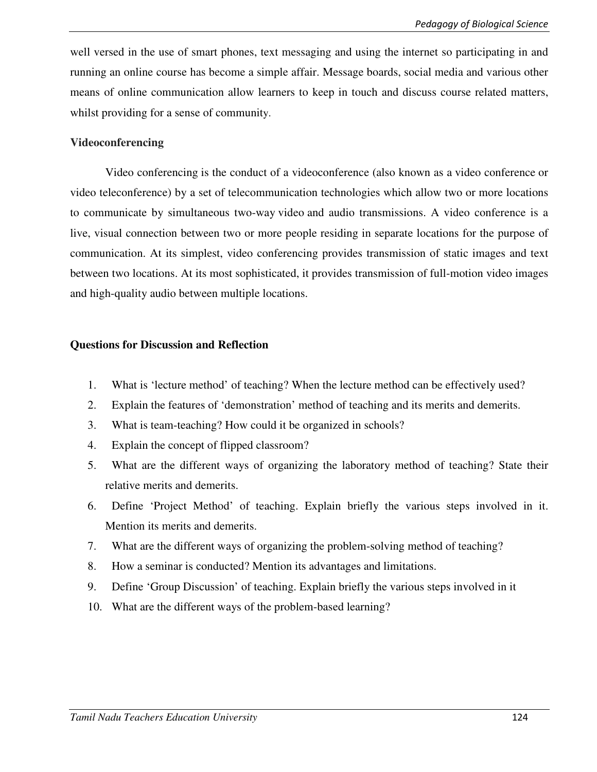well versed in the use of smart phones, text messaging and using the internet so participating in and running an online course has become a simple affair. Message boards, social media and various other means of online communication allow learners to keep in touch and discuss course related matters, whilst providing for a sense of community.

#### **Videoconferencing**

Video conferencing is the conduct of a videoconference (also known as a video conference or video teleconference) by a set of telecommunication technologies which allow two or more locations to communicate by simultaneous two-way video and audio transmissions. A video conference is a live, visual connection between two or more people residing in separate locations for the purpose of communication. At its simplest, video conferencing provides transmission of static images and text between two locations. At its most sophisticated, it provides transmission of full-motion video images and high-quality audio between multiple locations.

#### **Questions for Discussion and Reflection**

- 1. What is 'lecture method' of teaching? When the lecture method can be effectively used?
- 2. Explain the features of 'demonstration' method of teaching and its merits and demerits.
- 3. What is team-teaching? How could it be organized in schools?
- 4. Explain the concept of flipped classroom?
- 5. What are the different ways of organizing the laboratory method of teaching? State their relative merits and demerits.
- 6. Define 'Project Method' of teaching. Explain briefly the various steps involved in it. Mention its merits and demerits.
- 7. What are the different ways of organizing the problem-solving method of teaching?
- 8. How a seminar is conducted? Mention its advantages and limitations.
- 9. Define 'Group Discussion' of teaching. Explain briefly the various steps involved in it
- 10. What are the different ways of the problem-based learning?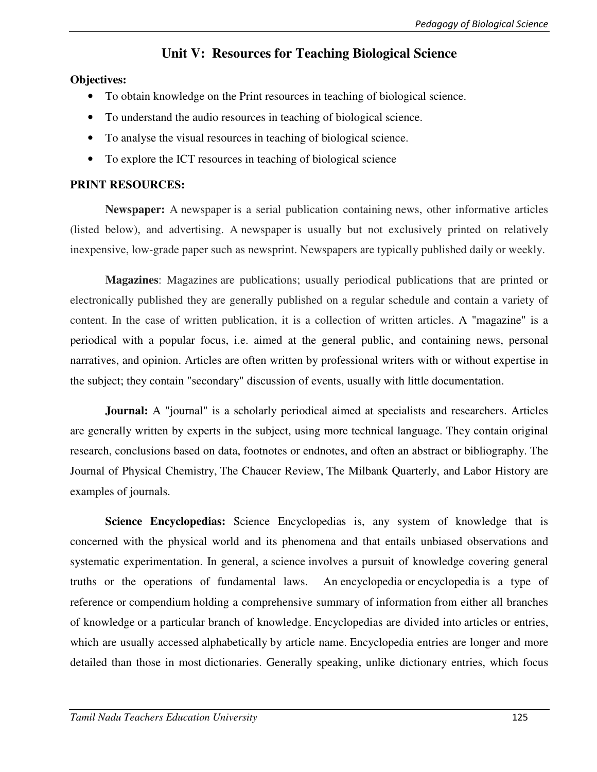# **Unit V: Resources for Teaching Biological Science**

#### **Objectives:**

- To obtain knowledge on the Print resources in teaching of biological science.
- To understand the audio resources in teaching of biological science.
- To analyse the visual resources in teaching of biological science.
- To explore the ICT resources in teaching of biological science

### **PRINT RESOURCES:**

**Newspaper:** A newspaper is a serial publication containing news, other informative articles (listed below), and advertising. A newspaper is usually but not exclusively printed on relatively inexpensive, low-grade paper such as newsprint. Newspapers are typically published daily or weekly.

**Magazines**: Magazines are publications; usually periodical publications that are printed or electronically published they are generally published on a regular schedule and contain a variety of content. In the case of written publication, it is a collection of written articles. A "magazine" is a periodical with a popular focus, i.e. aimed at the general public, and containing news, personal narratives, and opinion. Articles are often written by professional writers with or without expertise in the subject; they contain "secondary" discussion of events, usually with little documentation.

**Journal:** A "journal" is a scholarly periodical aimed at specialists and researchers. Articles are generally written by experts in the subject, using more technical language. They contain original research, conclusions based on data, footnotes or endnotes, and often an abstract or bibliography. The Journal of Physical Chemistry, The Chaucer Review, The Milbank Quarterly, and Labor History are examples of journals.

**Science Encyclopedias:** Science Encyclopedias is, any system of knowledge that is concerned with the physical world and its phenomena and that entails unbiased observations and systematic experimentation. In general, a science involves a pursuit of knowledge covering general truths or the operations of fundamental laws. An encyclopedia or encyclopedia is a type of reference or compendium holding a comprehensive summary of information from either all branches of knowledge or a particular branch of knowledge. Encyclopedias are divided into articles or entries, which are usually accessed alphabetically by article name. Encyclopedia entries are longer and more detailed than those in most dictionaries. Generally speaking, unlike dictionary entries, which focus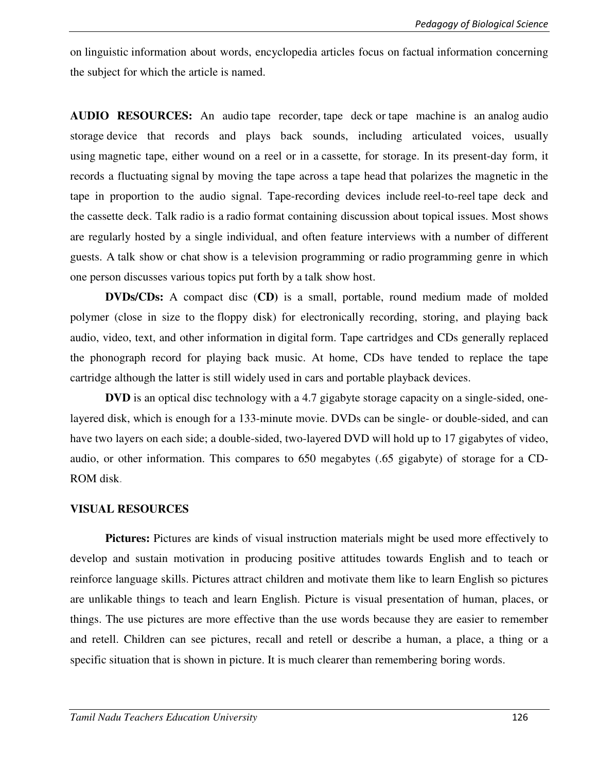on linguistic information about words, encyclopedia articles focus on factual information concerning the subject for which the article is named.

**AUDIO RESOURCES:** An audio tape recorder, tape deck or tape machine is an analog audio storage device that records and plays back sounds, including articulated voices, usually using magnetic tape, either wound on a reel or in a cassette, for storage. In its present-day form, it records a fluctuating signal by moving the tape across a tape head that polarizes the magnetic in the tape in proportion to the audio signal. Tape-recording devices include reel-to-reel tape deck and the cassette deck. Talk radio is a radio format containing discussion about topical issues. Most shows are regularly hosted by a single individual, and often feature interviews with a number of different guests. A talk show or chat show is a television programming or radio programming genre in which one person discusses various topics put forth by a talk show host.

**DVDs/CDs:** A compact disc (**CD)** is a small, portable, round medium made of molded polymer (close in size to the floppy disk) for electronically recording, storing, and playing back audio, video, text, and other information in digital form. Tape cartridges and CDs generally replaced the phonograph record for playing back music. At home, CDs have tended to replace the tape cartridge although the latter is still widely used in cars and portable playback devices.

**DVD** is an optical disc technology with a 4.7 gigabyte storage capacity on a single-sided, onelayered disk, which is enough for a 133-minute movie. DVDs can be single- or double-sided, and can have two layers on each side; a double-sided, two-layered DVD will hold up to 17 gigabytes of video, audio, or other information. This compares to 650 megabytes (.65 gigabyte) of storage for a CD-ROM disk.

#### **VISUAL RESOURCES**

**Pictures:** Pictures are kinds of visual instruction materials might be used more effectively to develop and sustain motivation in producing positive attitudes towards English and to teach or reinforce language skills. Pictures attract children and motivate them like to learn English so pictures are unlikable things to teach and learn English. Picture is visual presentation of human, places, or things. The use pictures are more effective than the use words because they are easier to remember and retell. Children can see pictures, recall and retell or describe a human, a place, a thing or a specific situation that is shown in picture. It is much clearer than remembering boring words.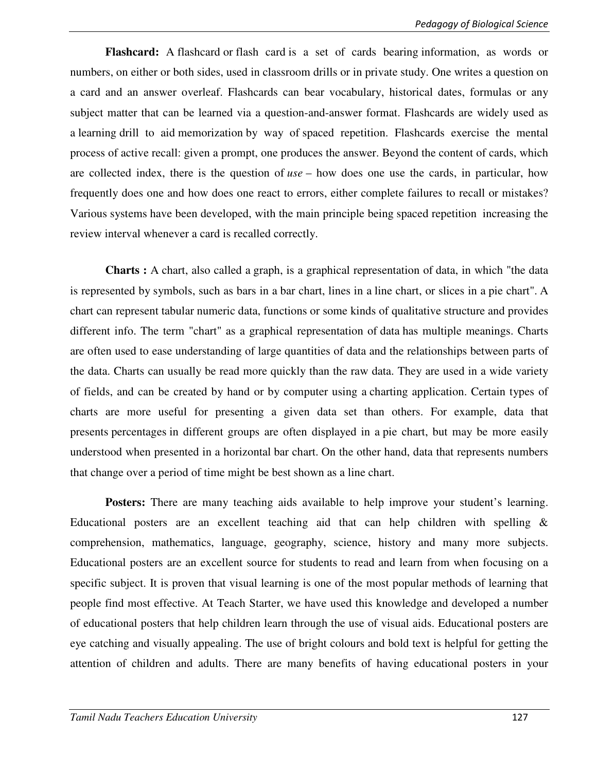**Flashcard:** A flashcard or flash card is a set of cards bearing information, as words or numbers, on either or both sides, used in classroom drills or in private study. One writes a question on a card and an answer overleaf. Flashcards can bear vocabulary, historical dates, formulas or any subject matter that can be learned via a question-and-answer format. Flashcards are widely used as a learning drill to aid memorization by way of spaced repetition. Flashcards exercise the mental process of active recall: given a prompt, one produces the answer. Beyond the content of cards, which are collected index, there is the question of *use* – how does one use the cards, in particular, how frequently does one and how does one react to errors, either complete failures to recall or mistakes? Various systems have been developed, with the main principle being spaced repetition increasing the review interval whenever a card is recalled correctly.

**Charts :** A chart, also called a graph, is a graphical representation of data, in which "the data is represented by symbols, such as bars in a bar chart, lines in a line chart, or slices in a pie chart". A chart can represent tabular numeric data, functions or some kinds of qualitative structure and provides different info. The term "chart" as a graphical representation of data has multiple meanings. Charts are often used to ease understanding of large quantities of data and the relationships between parts of the data. Charts can usually be read more quickly than the raw data. They are used in a wide variety of fields, and can be created by hand or by computer using a charting application. Certain types of charts are more useful for presenting a given data set than others. For example, data that presents percentages in different groups are often displayed in a pie chart, but may be more easily understood when presented in a horizontal bar chart. On the other hand, data that represents numbers that change over a period of time might be best shown as a line chart.

Posters: There are many teaching aids available to help improve your student's learning. Educational posters are an excellent teaching aid that can help children with spelling  $\&$ comprehension, mathematics, language, geography, science, history and many more subjects. Educational posters are an excellent source for students to read and learn from when focusing on a specific subject. It is proven that visual learning is one of the most popular methods of learning that people find most effective. At Teach Starter, we have used this knowledge and developed a number of educational posters that help children learn through the use of visual aids. Educational posters are eye catching and visually appealing. The use of bright colours and bold text is helpful for getting the attention of children and adults. There are many benefits of having educational posters in your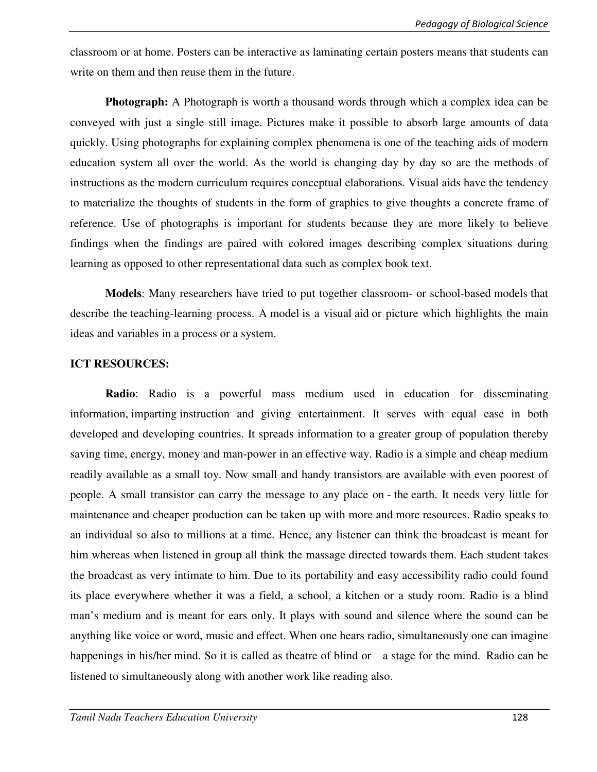classroom or at home. Posters can be interactive as laminating certain posters means that students can write on them and then reuse them in the future.

**Photograph:** A Photograph is worth a thousand words through which a complex idea can be conveyed with just a single still image. Pictures make it possible to absorb large amounts of data quickly. Using photographs for explaining complex phenomena is one of the teaching aids of modern education system all over the world. As the world is changing day by day so are the methods of instructions as the modern curriculum requires conceptual elaborations. Visual aids have the tendency to materialize the thoughts of students in the form of graphics to give thoughts a concrete frame of reference. Use of photographs is important for students because they are more likely to believe findings when the findings are paired with colored images describing complex situations during learning as opposed to other representational data such as complex book text.

**Models**: Many researchers have tried to put together classroom- or school-based models that describe the teaching-learning process. A model is a visual aid or picture which highlights the main ideas and variables in a process or a system.

#### **ICT RESOURCES:**

**Radio**: Radio is a powerful mass medium used in education for disseminating information, imparting instruction and giving entertainment. It serves with equal ease in both developed and developing countries. It spreads information to a greater group of population thereby saving time, energy, money and man-power in an effective way. Radio is a simple and cheap medium readily available as a small toy. Now small and handy transistors are available with even poorest of people. A small transistor can carry the message to any place on - the earth. It needs very little for maintenance and cheaper production can be taken up with more and more resources. Radio speaks to an individual so also to millions at a time. Hence, any listener can think the broadcast is meant for him whereas when listened in group all think the massage directed towards them. Each student takes the broadcast as very intimate to him. Due to its portability and easy accessibility radio could found its place everywhere whether it was a field, a school, a kitchen or a study room. Radio is a blind man's medium and is meant for ears only. It plays with sound and silence where the sound can be anything like voice or word, music and effect. When one hears radio, simultaneously one can imagine happenings in his/her mind. So it is called as theatre of blind or a stage for the mind. Radio can be listened to simultaneously along with another work like reading also.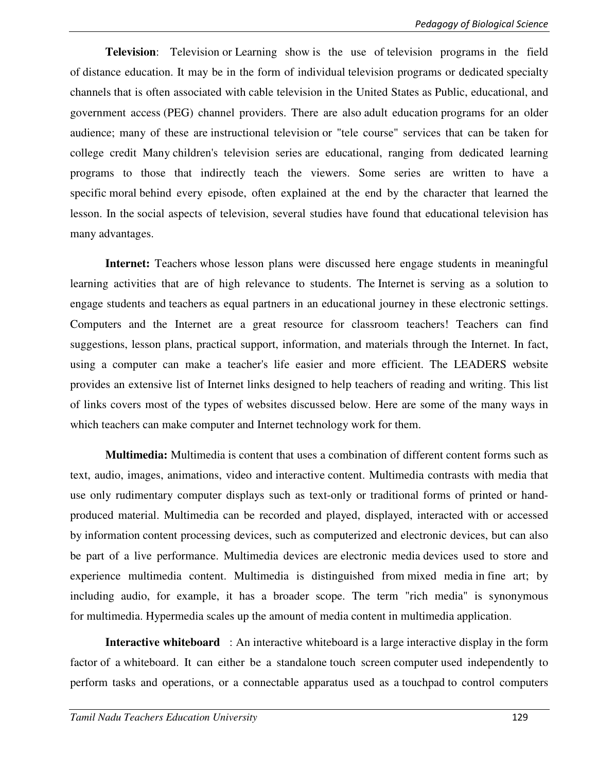**Television**: Television or Learning show is the use of television programs in the field of distance education. It may be in the form of individual television programs or dedicated specialty channels that is often associated with cable television in the United States as Public, educational, and government access (PEG) channel providers. There are also adult education programs for an older audience; many of these are instructional television or "tele course" services that can be taken for college credit Many children's television series are educational, ranging from dedicated learning programs to those that indirectly teach the viewers. Some series are written to have a specific moral behind every episode, often explained at the end by the character that learned the lesson. In the social aspects of television, several studies have found that educational television has many advantages.

**Internet:** Teachers whose lesson plans were discussed here engage students in meaningful learning activities that are of high relevance to students. The Internet is serving as a solution to engage students and teachers as equal partners in an educational journey in these electronic settings. Computers and the Internet are a great resource for classroom teachers! Teachers can find suggestions, lesson plans, practical support, information, and materials through the Internet. In fact, using a computer can make a teacher's life easier and more efficient. The LEADERS website provides an extensive list of Internet links designed to help teachers of reading and writing. This list of links covers most of the types of websites discussed below. Here are some of the many ways in which teachers can make computer and Internet technology work for them.

**Multimedia:** Multimedia is content that uses a combination of different content forms such as text, audio, images, animations, video and interactive content. Multimedia contrasts with media that use only rudimentary computer displays such as text-only or traditional forms of printed or handproduced material. Multimedia can be recorded and played, displayed, interacted with or accessed by information content processing devices, such as computerized and electronic devices, but can also be part of a live performance. Multimedia devices are electronic media devices used to store and experience multimedia content. Multimedia is distinguished from mixed media in fine art; by including audio, for example, it has a broader scope. The term "rich media" is synonymous for multimedia. Hypermedia scales up the amount of media content in multimedia application.

**Interactive whiteboard** : An interactive whiteboard is a large interactive display in the form factor of a whiteboard. It can either be a standalone touch screen computer used independently to perform tasks and operations, or a connectable apparatus used as a touchpad to control computers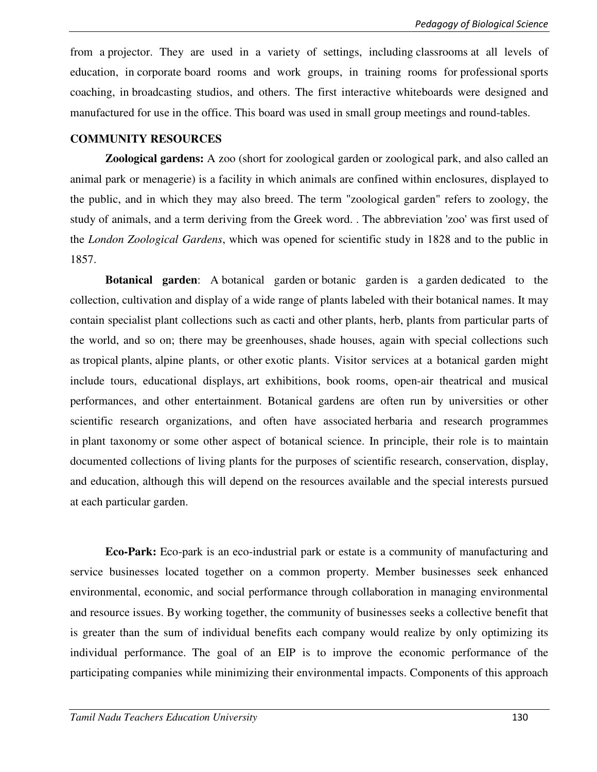from a projector. They are used in a variety of settings, including classrooms at all levels of education, in corporate board rooms and work groups, in training rooms for professional sports coaching, in broadcasting studios, and others. The first interactive whiteboards were designed and manufactured for use in the office. This board was used in small group meetings and round-tables.

#### **COMMUNITY RESOURCES**

**Zoological gardens:** A zoo (short for zoological garden or zoological park, and also called an animal park or menagerie) is a facility in which animals are confined within enclosures, displayed to the public, and in which they may also breed. The term "zoological garden" refers to zoology, the study of animals, and a term deriving from the Greek word. . The abbreviation 'zoo' was first used of the *London Zoological Gardens*, which was opened for scientific study in 1828 and to the public in 1857.

**Botanical garden**: A botanical garden or botanic garden is a garden dedicated to the collection, cultivation and display of a wide range of plants labeled with their botanical names. It may contain specialist plant collections such as cacti and other plants, herb, plants from particular parts of the world, and so on; there may be greenhouses, shade houses, again with special collections such as tropical plants, alpine plants, or other exotic plants. Visitor services at a botanical garden might include tours, educational displays, art exhibitions, book rooms, open-air theatrical and musical performances, and other entertainment. Botanical gardens are often run by universities or other scientific research organizations, and often have associated herbaria and research programmes in plant taxonomy or some other aspect of botanical science. In principle, their role is to maintain documented collections of living plants for the purposes of scientific research, conservation, display, and education, although this will depend on the resources available and the special interests pursued at each particular garden.

**Eco-Park:** Eco-park is an eco-industrial park or estate is a community of manufacturing and service businesses located together on a common property. Member businesses seek enhanced environmental, economic, and social performance through collaboration in managing environmental and resource issues. By working together, the community of businesses seeks a collective benefit that is greater than the sum of individual benefits each company would realize by only optimizing its individual performance. The goal of an EIP is to improve the economic performance of the participating companies while minimizing their environmental impacts. Components of this approach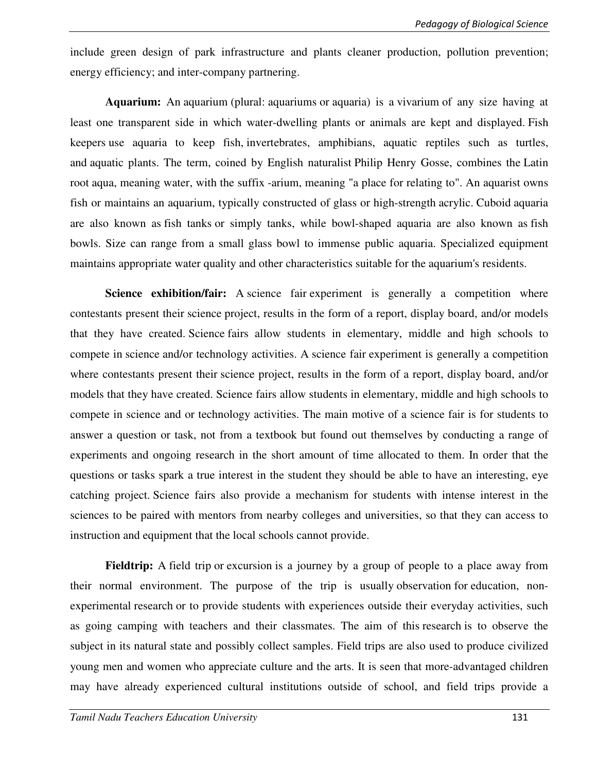include green design of park infrastructure and plants cleaner production, pollution prevention; energy efficiency; and inter-company partnering.

**Aquarium:** An aquarium (plural: aquariums or aquaria) is a vivarium of any size having at least one transparent side in which water-dwelling plants or animals are kept and displayed. Fish keepers use aquaria to keep fish, invertebrates, amphibians, aquatic reptiles such as turtles, and aquatic plants. The term, coined by English naturalist Philip Henry Gosse, combines the Latin root aqua, meaning water, with the suffix -arium, meaning "a place for relating to". An aquarist owns fish or maintains an aquarium, typically constructed of glass or high-strength acrylic. Cuboid aquaria are also known as fish tanks or simply tanks, while bowl-shaped aquaria are also known as fish bowls. Size can range from a small glass bowl to immense public aquaria. Specialized equipment maintains appropriate water quality and other characteristics suitable for the aquarium's residents.

**Science exhibition/fair:** A science fair experiment is generally a competition where contestants present their science project, results in the form of a report, display board, and/or models that they have created. Science fairs allow students in elementary, middle and high schools to compete in science and/or technology activities. A science fair experiment is generally a competition where contestants present their science project, results in the form of a report, display board, and/or models that they have created. Science fairs allow students in elementary, middle and high schools to compete in science and or technology activities. The main motive of a science fair is for students to answer a question or task, not from a textbook but found out themselves by conducting a range of experiments and ongoing research in the short amount of time allocated to them. In order that the questions or tasks spark a true interest in the student they should be able to have an interesting, eye catching project. Science fairs also provide a mechanism for students with intense interest in the sciences to be paired with mentors from nearby colleges and universities, so that they can access to instruction and equipment that the local schools cannot provide.

**Fieldtrip:** A field trip or excursion is a journey by a group of people to a place away from their normal environment. The purpose of the trip is usually observation for education, nonexperimental research or to provide students with experiences outside their everyday activities, such as going camping with teachers and their classmates. The aim of this research is to observe the subject in its natural state and possibly collect samples. Field trips are also used to produce civilized young men and women who appreciate culture and the arts. It is seen that more-advantaged children may have already experienced cultural institutions outside of school, and field trips provide a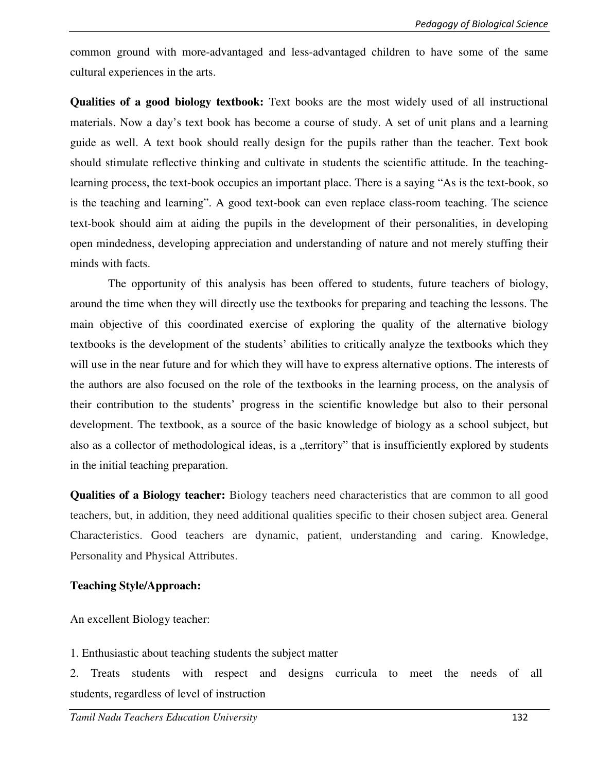common ground with more-advantaged and less-advantaged children to have some of the same cultural experiences in the arts.

**Qualities of a good biology textbook:** Text books are the most widely used of all instructional materials. Now a day's text book has become a course of study. A set of unit plans and a learning guide as well. A text book should really design for the pupils rather than the teacher. Text book should stimulate reflective thinking and cultivate in students the scientific attitude. In the teachinglearning process, the text-book occupies an important place. There is a saying "As is the text-book, so is the teaching and learning". A good text-book can even replace class-room teaching. The science text-book should aim at aiding the pupils in the development of their personalities, in developing open mindedness, developing appreciation and understanding of nature and not merely stuffing their minds with facts.

 The opportunity of this analysis has been offered to students, future teachers of biology, around the time when they will directly use the textbooks for preparing and teaching the lessons. The main objective of this coordinated exercise of exploring the quality of the alternative biology textbooks is the development of the students' abilities to critically analyze the textbooks which they will use in the near future and for which they will have to express alternative options. The interests of the authors are also focused on the role of the textbooks in the learning process, on the analysis of their contribution to the students' progress in the scientific knowledge but also to their personal development. The textbook, as a source of the basic knowledge of biology as a school subject, but also as a collector of methodological ideas, is a "territory" that is insufficiently explored by students in the initial teaching preparation.

**Qualities of a Biology teacher:** Biology teachers need characteristics that are common to all good teachers, but, in addition, they need additional qualities specific to their chosen subject area. General Characteristics. Good teachers are dynamic, patient, understanding and caring. Knowledge, Personality and Physical Attributes.

#### **Teaching Style/Approach:**

An excellent Biology teacher:

1. Enthusiastic about teaching students the subject matter

2. Treats students with respect and designs curricula to meet the needs of all students, regardless of level of instruction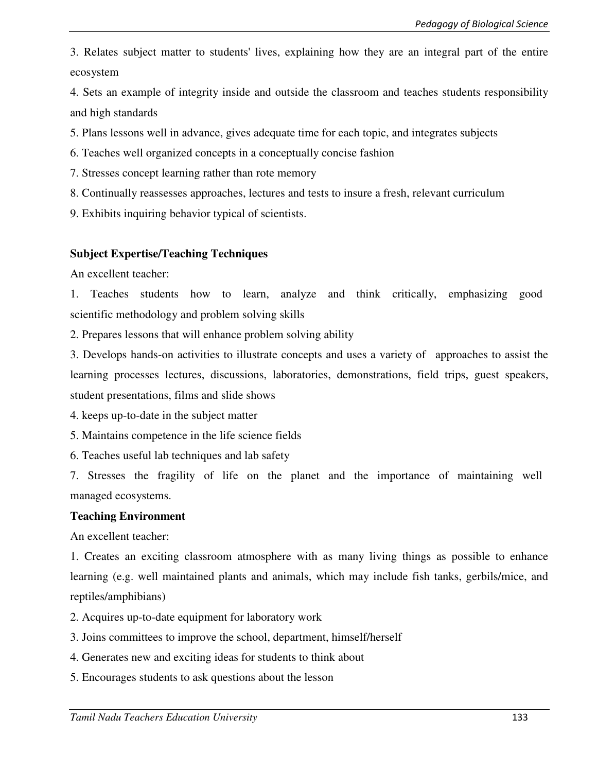3. Relates subject matter to students' lives, explaining how they are an integral part of the entire ecosystem

4. Sets an example of integrity inside and outside the classroom and teaches students responsibility and high standards

5. Plans lessons well in advance, gives adequate time for each topic, and integrates subjects

- 6. Teaches well organized concepts in a conceptually concise fashion
- 7. Stresses concept learning rather than rote memory
- 8. Continually reassesses approaches, lectures and tests to insure a fresh, relevant curriculum
- 9. Exhibits inquiring behavior typical of scientists.

### **Subject Expertise/Teaching Techniques**

An excellent teacher:

1. Teaches students how to learn, analyze and think critically, emphasizing good scientific methodology and problem solving skills

2. Prepares lessons that will enhance problem solving ability

3. Develops hands-on activities to illustrate concepts and uses a variety of approaches to assist the learning processes lectures, discussions, laboratories, demonstrations, field trips, guest speakers, student presentations, films and slide shows

4. keeps up-to-date in the subject matter

5. Maintains competence in the life science fields

6. Teaches useful lab techniques and lab safety

7. Stresses the fragility of life on the planet and the importance of maintaining well managed ecosystems.

#### **Teaching Environment**

An excellent teacher:

1. Creates an exciting classroom atmosphere with as many living things as possible to enhance learning (e.g. well maintained plants and animals, which may include fish tanks, gerbils/mice, and reptiles/amphibians)

- 2. Acquires up-to-date equipment for laboratory work
- 3. Joins committees to improve the school, department, himself/herself
- 4. Generates new and exciting ideas for students to think about
- 5. Encourages students to ask questions about the lesson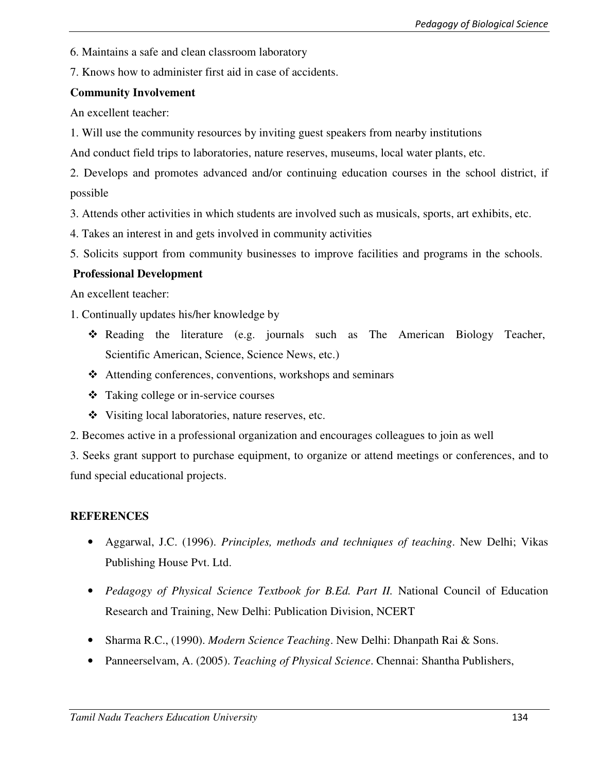6. Maintains a safe and clean classroom laboratory

7. Knows how to administer first aid in case of accidents.

### **Community Involvement**

An excellent teacher:

1. Will use the community resources by inviting guest speakers from nearby institutions

And conduct field trips to laboratories, nature reserves, museums, local water plants, etc.

2. Develops and promotes advanced and/or continuing education courses in the school district, if possible

3. Attends other activities in which students are involved such as musicals, sports, art exhibits, etc.

4. Takes an interest in and gets involved in community activities

5. Solicits support from community businesses to improve facilities and programs in the schools.

### **Professional Development**

An excellent teacher:

1. Continually updates his/her knowledge by

- Reading the literature (e.g. journals such as The American Biology Teacher, Scientific American, Science, Science News, etc.)
- Attending conferences, conventions, workshops and seminars
- Taking college or in-service courses
- Visiting local laboratories, nature reserves, etc.
- 2. Becomes active in a professional organization and encourages colleagues to join as well

3. Seeks grant support to purchase equipment, to organize or attend meetings or conferences, and to fund special educational projects.

## **REFERENCES**

- Aggarwal, J.C. (1996). *Principles, methods and techniques of teaching*. New Delhi; Vikas Publishing House Pvt. Ltd.
- *Pedagogy of Physical Science Textbook for B.Ed. Part II.* National Council of Education Research and Training, New Delhi: Publication Division, NCERT
- Sharma R.C., (1990). *Modern Science Teaching*. New Delhi: Dhanpath Rai & Sons.
- Panneerselvam, A. (2005). *Teaching of Physical Science*. Chennai: Shantha Publishers,